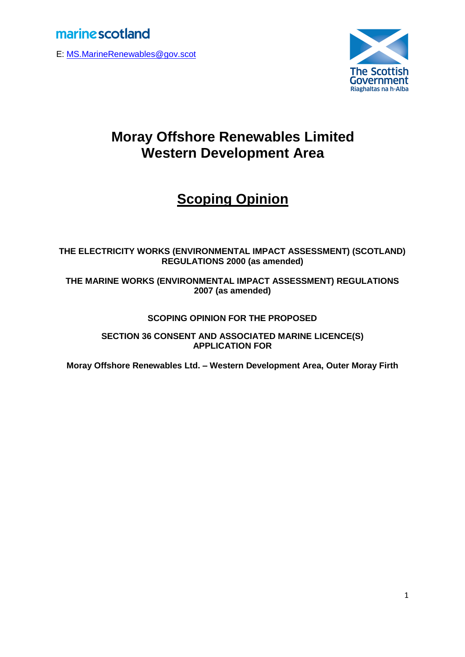E: [MS.MarineRenewables@gov.scot](mailto:MS.MarineRenewables@gov.scot)



# **Moray Offshore Renewables Limited Western Development Area**

# **Scoping Opinion**

### **THE ELECTRICITY WORKS (ENVIRONMENTAL IMPACT ASSESSMENT) (SCOTLAND) REGULATIONS 2000 (as amended)**

**THE MARINE WORKS (ENVIRONMENTAL IMPACT ASSESSMENT) REGULATIONS 2007 (as amended)**

### **SCOPING OPINION FOR THE PROPOSED**

**SECTION 36 CONSENT AND ASSOCIATED MARINE LICENCE(S) APPLICATION FOR**

**Moray Offshore Renewables Ltd. – Western Development Area, Outer Moray Firth**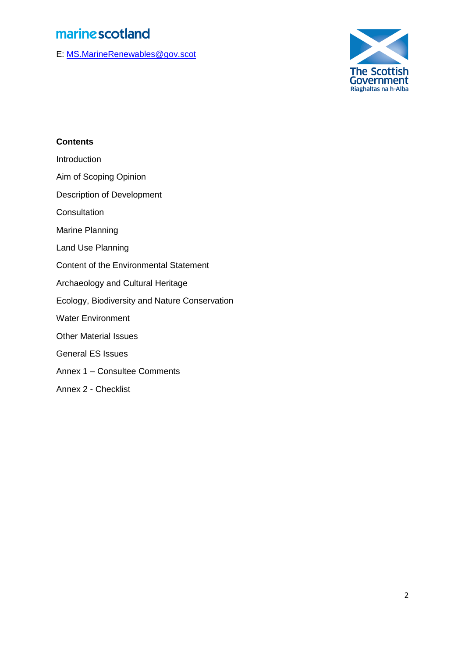E: [MS.MarineRenewables@gov.scot](mailto:MS.MarineRenewables@gov.scot)



### **Contents**

**Introduction** 

Aim of Scoping Opinion

Description of Development

**Consultation** 

Marine Planning

Land Use Planning

Content of the Environmental Statement

Archaeology and Cultural Heritage

Ecology, Biodiversity and Nature Conservation

Water Environment

Other Material Issues

General ES Issues

Annex 1 – Consultee Comments

Annex 2 - Checklist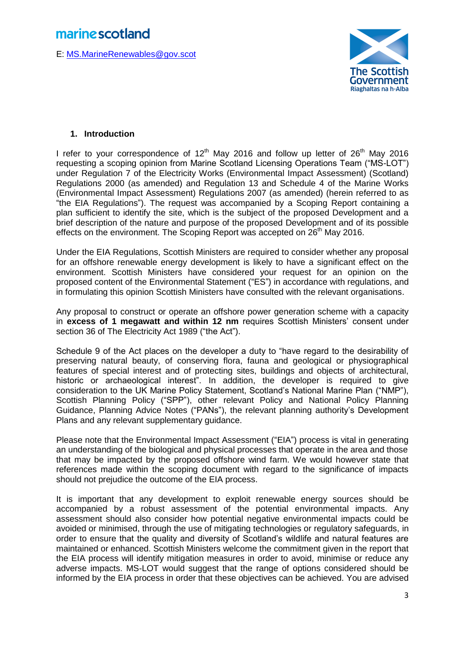E: [MS.MarineRenewables@gov.scot](mailto:MS.MarineRenewables@gov.scot)



### **1. Introduction**

I refer to your correspondence of  $12<sup>th</sup>$  May 2016 and follow up letter of  $26<sup>th</sup>$  May 2016 requesting a scoping opinion from Marine Scotland Licensing Operations Team ("MS-LOT") under Regulation 7 of the Electricity Works (Environmental Impact Assessment) (Scotland) Regulations 2000 (as amended) and Regulation 13 and Schedule 4 of the Marine Works (Environmental Impact Assessment) Regulations 2007 (as amended) (herein referred to as "the EIA Regulations"). The request was accompanied by a Scoping Report containing a plan sufficient to identify the site, which is the subject of the proposed Development and a brief description of the nature and purpose of the proposed Development and of its possible effects on the environment. The Scoping Report was accepted on  $26<sup>th</sup>$  May 2016.

Under the EIA Regulations, Scottish Ministers are required to consider whether any proposal for an offshore renewable energy development is likely to have a significant effect on the environment. Scottish Ministers have considered your request for an opinion on the proposed content of the Environmental Statement ("ES") in accordance with regulations, and in formulating this opinion Scottish Ministers have consulted with the relevant organisations.

Any proposal to construct or operate an offshore power generation scheme with a capacity in **excess of 1 megawatt and within 12 nm** requires Scottish Ministers' consent under section 36 of The Electricity Act 1989 ("the Act").

Schedule 9 of the Act places on the developer a duty to "have regard to the desirability of preserving natural beauty, of conserving flora, fauna and geological or physiographical features of special interest and of protecting sites, buildings and objects of architectural, historic or archaeological interest". In addition, the developer is required to give consideration to the UK Marine Policy Statement, Scotland's National Marine Plan ("NMP"), Scottish Planning Policy ("SPP"), other relevant Policy and National Policy Planning Guidance, Planning Advice Notes ("PANs"), the relevant planning authority's Development Plans and any relevant supplementary guidance.

Please note that the Environmental Impact Assessment ("EIA") process is vital in generating an understanding of the biological and physical processes that operate in the area and those that may be impacted by the proposed offshore wind farm. We would however state that references made within the scoping document with regard to the significance of impacts should not prejudice the outcome of the EIA process.

It is important that any development to exploit renewable energy sources should be accompanied by a robust assessment of the potential environmental impacts. Any assessment should also consider how potential negative environmental impacts could be avoided or minimised, through the use of mitigating technologies or regulatory safeguards, in order to ensure that the quality and diversity of Scotland's wildlife and natural features are maintained or enhanced. Scottish Ministers welcome the commitment given in the report that the EIA process will identify mitigation measures in order to avoid, minimise or reduce any adverse impacts. MS-LOT would suggest that the range of options considered should be informed by the EIA process in order that these objectives can be achieved. You are advised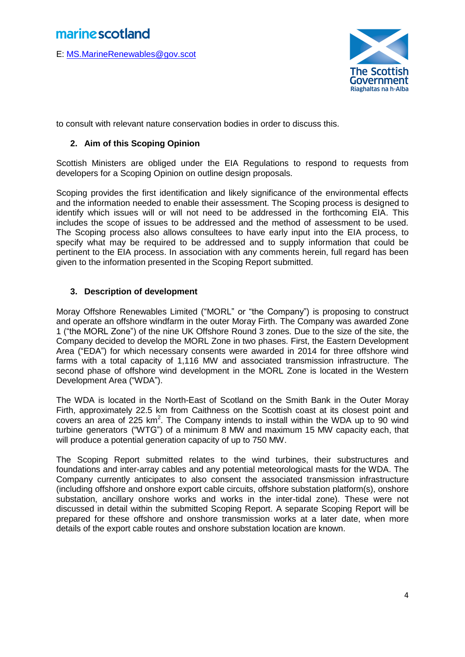E: [MS.MarineRenewables@gov.scot](mailto:MS.MarineRenewables@gov.scot)



to consult with relevant nature conservation bodies in order to discuss this.

### **2. Aim of this Scoping Opinion**

Scottish Ministers are obliged under the EIA Regulations to respond to requests from developers for a Scoping Opinion on outline design proposals.

Scoping provides the first identification and likely significance of the environmental effects and the information needed to enable their assessment. The Scoping process is designed to identify which issues will or will not need to be addressed in the forthcoming EIA. This includes the scope of issues to be addressed and the method of assessment to be used. The Scoping process also allows consultees to have early input into the EIA process, to specify what may be required to be addressed and to supply information that could be pertinent to the EIA process. In association with any comments herein, full regard has been given to the information presented in the Scoping Report submitted.

### **3. Description of development**

Moray Offshore Renewables Limited ("MORL" or "the Company") is proposing to construct and operate an offshore windfarm in the outer Moray Firth. The Company was awarded Zone 1 ("the MORL Zone") of the nine UK Offshore Round 3 zones. Due to the size of the site, the Company decided to develop the MORL Zone in two phases. First, the Eastern Development Area ("EDA") for which necessary consents were awarded in 2014 for three offshore wind farms with a total capacity of 1,116 MW and associated transmission infrastructure. The second phase of offshore wind development in the MORL Zone is located in the Western Development Area ("WDA").

The WDA is located in the North-East of Scotland on the Smith Bank in the Outer Moray Firth, approximately 22.5 km from Caithness on the Scottish coast at its closest point and covers an area of  $225 \text{ km}^2$ . The Company intends to install within the WDA up to 90 wind turbine generators ("WTG") of a minimum 8 MW and maximum 15 MW capacity each, that will produce a potential generation capacity of up to 750 MW.

The Scoping Report submitted relates to the wind turbines, their substructures and foundations and inter-array cables and any potential meteorological masts for the WDA. The Company currently anticipates to also consent the associated transmission infrastructure (including offshore and onshore export cable circuits, offshore substation platform(s), onshore substation, ancillary onshore works and works in the inter-tidal zone). These were not discussed in detail within the submitted Scoping Report. A separate Scoping Report will be prepared for these offshore and onshore transmission works at a later date, when more details of the export cable routes and onshore substation location are known.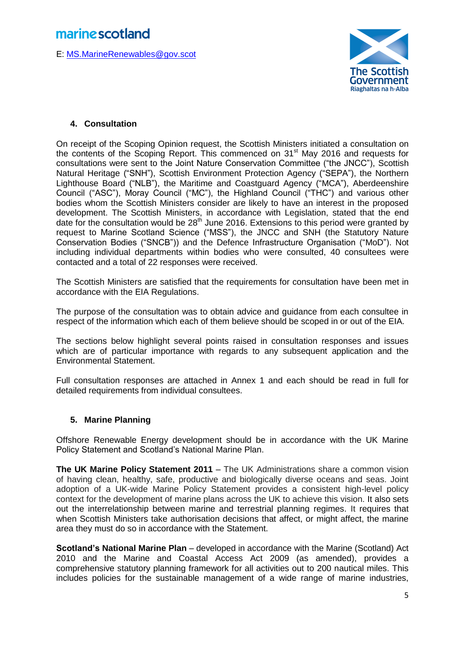E: [MS.MarineRenewables@gov.scot](mailto:MS.MarineRenewables@gov.scot)



### **4. Consultation**

On receipt of the Scoping Opinion request, the Scottish Ministers initiated a consultation on the contents of the Scoping Report. This commenced on 31<sup>st</sup> May 2016 and requests for consultations were sent to the Joint Nature Conservation Committee ("the JNCC"), Scottish Natural Heritage ("SNH"), Scottish Environment Protection Agency ("SEPA"), the Northern Lighthouse Board ("NLB"), the Maritime and Coastguard Agency ("MCA"), Aberdeenshire Council ("ASC"), Moray Council ("MC"), the Highland Council ("THC") and various other bodies whom the Scottish Ministers consider are likely to have an interest in the proposed development. The Scottish Ministers, in accordance with Legislation, stated that the end date for the consultation would be  $28<sup>th</sup>$  June 2016. Extensions to this period were granted by request to Marine Scotland Science ("MSS"), the JNCC and SNH (the Statutory Nature Conservation Bodies ("SNCB")) and the Defence Infrastructure Organisation ("MoD"). Not including individual departments within bodies who were consulted, 40 consultees were contacted and a total of 22 responses were received.

The Scottish Ministers are satisfied that the requirements for consultation have been met in accordance with the EIA Regulations.

The purpose of the consultation was to obtain advice and guidance from each consultee in respect of the information which each of them believe should be scoped in or out of the EIA.

The sections below highlight several points raised in consultation responses and issues which are of particular importance with regards to any subsequent application and the Environmental Statement.

Full consultation responses are attached in Annex 1 and each should be read in full for detailed requirements from individual consultees.

### **5. Marine Planning**

Offshore Renewable Energy development should be in accordance with the UK Marine Policy Statement and Scotland's National Marine Plan.

**The UK Marine Policy Statement 2011** – The UK Administrations share a common vision of having clean, healthy, safe, productive and biologically diverse oceans and seas. Joint adoption of a UK-wide Marine Policy Statement provides a consistent high-level policy context for the development of marine plans across the UK to achieve this vision. It also sets out the interrelationship between marine and terrestrial planning regimes. It requires that when Scottish Ministers take authorisation decisions that affect, or might affect, the marine area they must do so in accordance with the Statement.

**Scotland's National Marine Plan** – developed in accordance with the Marine (Scotland) Act 2010 and the Marine and Coastal Access Act 2009 (as amended), provides a comprehensive statutory planning framework for all activities out to 200 nautical miles. This includes policies for the sustainable management of a wide range of marine industries,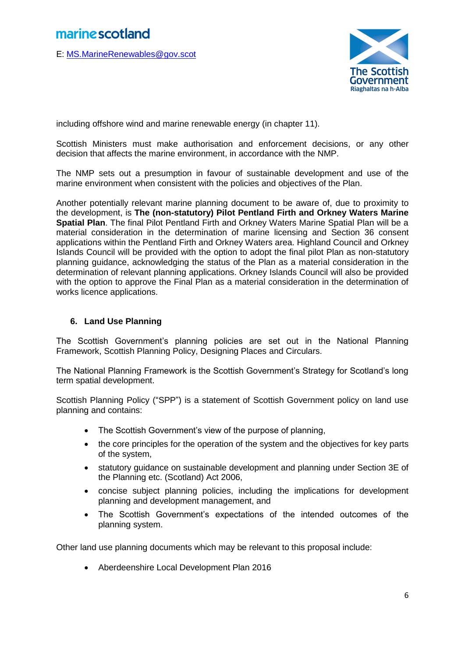E: [MS.MarineRenewables@gov.scot](mailto:MS.MarineRenewables@gov.scot)



including offshore wind and marine renewable energy (in chapter 11).

Scottish Ministers must make authorisation and enforcement decisions, or any other decision that affects the marine environment, in accordance with the NMP.

The NMP sets out a presumption in favour of sustainable development and use of the marine environment when consistent with the policies and objectives of the Plan.

Another potentially relevant marine planning document to be aware of, due to proximity to the development, is **The (non-statutory) Pilot Pentland Firth and Orkney Waters Marine Spatial Plan**. The final Pilot Pentland Firth and Orkney Waters Marine Spatial Plan will be a material consideration in the determination of marine licensing and Section 36 consent applications within the Pentland Firth and Orkney Waters area. Highland Council and Orkney Islands Council will be provided with the option to adopt the final pilot Plan as non-statutory planning guidance, acknowledging the status of the Plan as a material consideration in the determination of relevant planning applications. Orkney Islands Council will also be provided with the option to approve the Final Plan as a material consideration in the determination of works licence applications.

### **6. Land Use Planning**

The Scottish Government's planning policies are set out in the National Planning Framework, Scottish Planning Policy, Designing Places and Circulars.

The National Planning Framework is the Scottish Government's Strategy for Scotland's long term spatial development.

Scottish Planning Policy ("SPP") is a statement of Scottish Government policy on land use planning and contains:

- The Scottish Government's view of the purpose of planning,
- the core principles for the operation of the system and the objectives for key parts of the system,
- statutory guidance on sustainable development and planning under Section 3E of the Planning etc. (Scotland) Act 2006,
- concise subject planning policies, including the implications for development planning and development management, and
- The Scottish Government's expectations of the intended outcomes of the planning system.

Other land use planning documents which may be relevant to this proposal include:

Aberdeenshire Local Development Plan 2016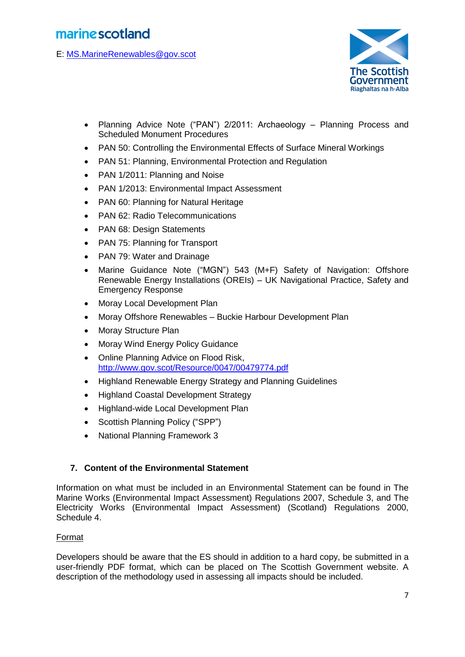E: [MS.MarineRenewables@gov.scot](mailto:MS.MarineRenewables@gov.scot)



- Planning Advice Note ("PAN") 2/2011: Archaeology Planning Process and Scheduled Monument Procedures
- PAN 50: Controlling the Environmental Effects of Surface Mineral Workings
- PAN 51: Planning, Environmental Protection and Regulation
- PAN 1/2011: Planning and Noise
- PAN 1/2013: Environmental Impact Assessment
- PAN 60: Planning for Natural Heritage
- PAN 62: Radio Telecommunications
- PAN 68: Design Statements
- PAN 75: Planning for Transport
- PAN 79: Water and Drainage
- Marine Guidance Note ("MGN") 543 (M+F) Safety of Navigation: Offshore Renewable Energy Installations (OREIs) – UK Navigational Practice, Safety and Emergency Response
- Moray Local Development Plan
- Moray Offshore Renewables Buckie Harbour Development Plan
- Moray Structure Plan
- Moray Wind Energy Policy Guidance
- Online Planning Advice on Flood Risk, <http://www.gov.scot/Resource/0047/00479774.pdf>
- Highland Renewable Energy Strategy and Planning Guidelines
- Highland Coastal Development Strategy
- Highland-wide Local Development Plan
- Scottish Planning Policy ("SPP")
- National Planning Framework 3

### **7. Content of the Environmental Statement**

Information on what must be included in an Environmental Statement can be found in The Marine Works (Environmental Impact Assessment) Regulations 2007, Schedule 3, and The Electricity Works (Environmental Impact Assessment) (Scotland) Regulations 2000, Schedule 4.

### Format

Developers should be aware that the ES should in addition to a hard copy, be submitted in a user-friendly PDF format, which can be placed on The Scottish Government website. A description of the methodology used in assessing all impacts should be included.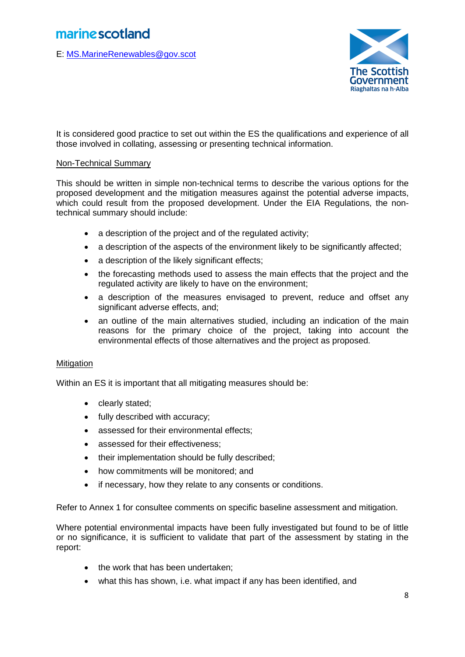E: [MS.MarineRenewables@gov.scot](mailto:MS.MarineRenewables@gov.scot)



It is considered good practice to set out within the ES the qualifications and experience of all those involved in collating, assessing or presenting technical information.

### Non-Technical Summary

This should be written in simple non-technical terms to describe the various options for the proposed development and the mitigation measures against the potential adverse impacts, which could result from the proposed development. Under the EIA Regulations, the nontechnical summary should include:

- a description of the project and of the regulated activity;
- a description of the aspects of the environment likely to be significantly affected;
- a description of the likely significant effects;
- the forecasting methods used to assess the main effects that the project and the regulated activity are likely to have on the environment;
- a description of the measures envisaged to prevent, reduce and offset any significant adverse effects, and;
- an outline of the main alternatives studied, including an indication of the main reasons for the primary choice of the project, taking into account the environmental effects of those alternatives and the project as proposed.

#### **Mitigation**

Within an ES it is important that all mitigating measures should be:

- clearly stated;
- fully described with accuracy;
- assessed for their environmental effects;
- assessed for their effectiveness;
- their implementation should be fully described;
- how commitments will be monitored; and
- if necessary, how they relate to any consents or conditions.

Refer to Annex 1 for consultee comments on specific baseline assessment and mitigation.

Where potential environmental impacts have been fully investigated but found to be of little or no significance, it is sufficient to validate that part of the assessment by stating in the report:

- the work that has been undertaken;
- what this has shown, i.e. what impact if any has been identified, and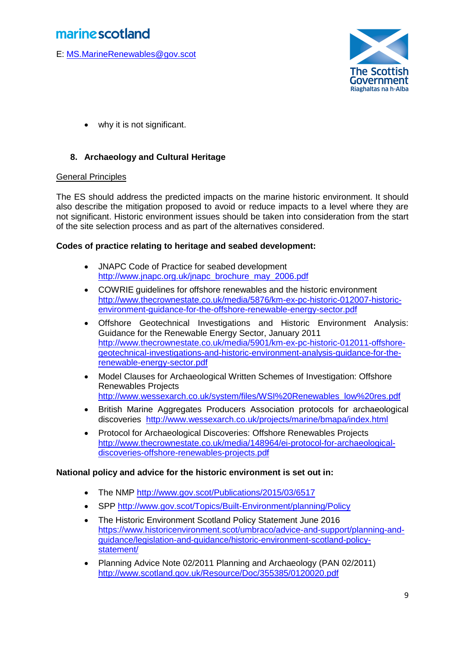E: [MS.MarineRenewables@gov.scot](mailto:MS.MarineRenewables@gov.scot)



why it is not significant.

### **8. Archaeology and Cultural Heritage**

#### General Principles

The ES should address the predicted impacts on the marine historic environment. It should also describe the mitigation proposed to avoid or reduce impacts to a level where they are not significant. Historic environment issues should be taken into consideration from the start of the site selection process and as part of the alternatives considered.

#### **Codes of practice relating to heritage and seabed development:**

- JNAPC Code of Practice for seabed development [http://www.jnapc.org.uk/jnapc\\_brochure\\_may\\_2006.pdf](http://www.jnapc.org.uk/jnapc_brochure_may_2006.pdf)
- COWRIE guidelines for offshore renewables and the historic environment [http://www.thecrownestate.co.uk/media/5876/km-ex-pc-historic-012007-historic](http://www.thecrownestate.co.uk/media/5876/km-ex-pc-historic-012007-historic-environment-guidance-for-the-offshore-renewable-energy-sector.pdf)[environment-guidance-for-the-offshore-renewable-energy-sector.pdf](http://www.thecrownestate.co.uk/media/5876/km-ex-pc-historic-012007-historic-environment-guidance-for-the-offshore-renewable-energy-sector.pdf)
- Offshore Geotechnical Investigations and Historic Environment Analysis: Guidance for the Renewable Energy Sector, January 2011 [http://www.thecrownestate.co.uk/media/5901/km-ex-pc-historic-012011-offshore](http://www.thecrownestate.co.uk/media/5901/km-ex-pc-historic-012011-offshore-geotechnical-investigations-and-historic-environment-analysis-guidance-for-the-renewable-energy-sector.pdf)[geotechnical-investigations-and-historic-environment-analysis-guidance-for-the](http://www.thecrownestate.co.uk/media/5901/km-ex-pc-historic-012011-offshore-geotechnical-investigations-and-historic-environment-analysis-guidance-for-the-renewable-energy-sector.pdf)[renewable-energy-sector.pdf](http://www.thecrownestate.co.uk/media/5901/km-ex-pc-historic-012011-offshore-geotechnical-investigations-and-historic-environment-analysis-guidance-for-the-renewable-energy-sector.pdf)
- Model Clauses for Archaeological Written Schemes of Investigation: Offshore Renewables Projects [http://www.wessexarch.co.uk/system/files/WSI%20Renewables\\_low%20res.pdf](http://www.wessexarch.co.uk/system/files/WSI%20Renewables_low%20res.pdf)
- British Marine Aggregates Producers Association protocols for archaeological discoveries <http://www.wessexarch.co.uk/projects/marine/bmapa/index.html>
- Protocol for Archaeological Discoveries: Offshore Renewables Projects http://www.thecrownestate.co.uk/media/148964/ei-protocol-for-archaeologicaldiscoveries-offshore-renewables-projects.pdf

### **National policy and advice for the historic environment is set out in:**

- The NMP <http://www.gov.scot/Publications/2015/03/6517>
- SPP<http://www.gov.scot/Topics/Built-Environment/planning/Policy>
- The Historic Environment Scotland Policy Statement June 2016 [https://www.historicenvironment.scot/umbraco/advice-and-support/planning-and](https://www.historicenvironment.scot/umbraco/advice-and-support/planning-and-guidance/legislation-and-guidance/historic-environment-scotland-policy-statement/)[guidance/legislation-and-guidance/historic-environment-scotland-policy](https://www.historicenvironment.scot/umbraco/advice-and-support/planning-and-guidance/legislation-and-guidance/historic-environment-scotland-policy-statement/)[statement/](https://www.historicenvironment.scot/umbraco/advice-and-support/planning-and-guidance/legislation-and-guidance/historic-environment-scotland-policy-statement/)
- Planning Advice Note 02/2011 Planning and Archaeology (PAN 02/2011) <http://www.scotland.gov.uk/Resource/Doc/355385/0120020.pdf>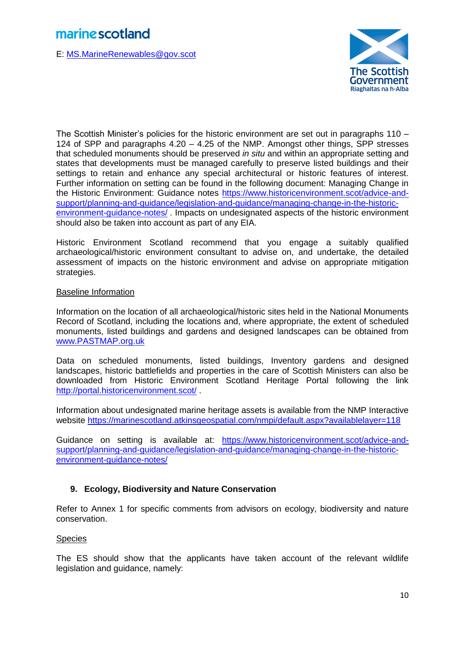E: [MS.MarineRenewables@gov.scot](mailto:MS.MarineRenewables@gov.scot)



The Scottish Minister's policies for the historic environment are set out in paragraphs 110 – 124 of SPP and paragraphs 4.20 – 4.25 of the NMP. Amongst other things, SPP stresses that scheduled monuments should be preserved *in situ* and within an appropriate setting and states that developments must be managed carefully to preserve listed buildings and their settings to retain and enhance any special architectural or historic features of interest. Further information on setting can be found in the following document: Managing Change in the Historic Environment: Guidance notes [https://www.historicenvironment.scot/advice-and](https://www.historicenvironment.scot/advice-and-support/planning-and-guidance/legislation-and-guidance/managing-change-in-the-historic-environment-guidance-notes/)[support/planning-and-guidance/legislation-and-guidance/managing-change-in-the-historic](https://www.historicenvironment.scot/advice-and-support/planning-and-guidance/legislation-and-guidance/managing-change-in-the-historic-environment-guidance-notes/)[environment-guidance-notes/](https://www.historicenvironment.scot/advice-and-support/planning-and-guidance/legislation-and-guidance/managing-change-in-the-historic-environment-guidance-notes/) . Impacts on undesignated aspects of the historic environment should also be taken into account as part of any EIA.

Historic Environment Scotland recommend that you engage a suitably qualified archaeological/historic environment consultant to advise on, and undertake, the detailed assessment of impacts on the historic environment and advise on appropriate mitigation strategies.

### Baseline Information

Information on the location of all archaeological/historic sites held in the National Monuments Record of Scotland, including the locations and, where appropriate, the extent of scheduled monuments, listed buildings and gardens and designed landscapes can be obtained from [www.PASTMAP.org.uk](http://www.pastmap.org.uk/)

Data on scheduled monuments, listed buildings, Inventory gardens and designed landscapes, historic battlefields and properties in the care of Scottish Ministers can also be downloaded from Historic Environment Scotland Heritage Portal following the link <http://portal.historicenvironment.scot/> .

Information about undesignated marine heritage assets is available from the NMP Interactive website <https://marinescotland.atkinsgeospatial.com/nmpi/default.aspx?availablelayer=118>

Guidance on setting is available at: [https://www.historicenvironment.scot/advice-and](https://www.historicenvironment.scot/advice-and-support/planning-and-guidance/legislation-and-guidance/managing-change-in-the-historic-environment-guidance-notes/)[support/planning-and-guidance/legislation-and-guidance/managing-change-in-the-historic](https://www.historicenvironment.scot/advice-and-support/planning-and-guidance/legislation-and-guidance/managing-change-in-the-historic-environment-guidance-notes/)[environment-guidance-notes/](https://www.historicenvironment.scot/advice-and-support/planning-and-guidance/legislation-and-guidance/managing-change-in-the-historic-environment-guidance-notes/)

### **9. Ecology, Biodiversity and Nature Conservation**

Refer to Annex 1 for specific comments from advisors on ecology, biodiversity and nature conservation.

### **Species**

The ES should show that the applicants have taken account of the relevant wildlife legislation and guidance, namely: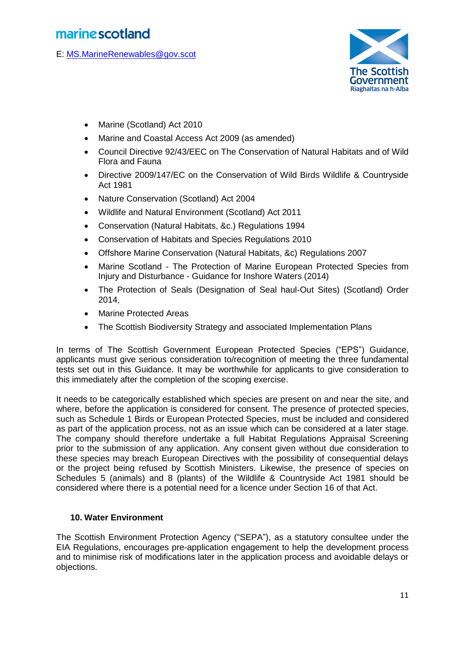E: [MS.MarineRenewables@gov.scot](mailto:MS.MarineRenewables@gov.scot)



- Marine (Scotland) Act 2010
- Marine and Coastal Access Act 2009 (as amended)
- Council Directive 92/43/EEC on The Conservation of Natural Habitats and of Wild Flora and Fauna
- Directive 2009/147/EC on the Conservation of Wild Birds Wildlife & Countryside Act 1981
- Nature Conservation (Scotland) Act 2004
- Wildlife and Natural Environment (Scotland) Act 2011
- Conservation (Natural Habitats, &c.) Regulations 1994
- Conservation of Habitats and Species Regulations 2010
- Offshore Marine Conservation (Natural Habitats, &c) Regulations 2007
- Marine Scotland The Protection of Marine European Protected Species from Injury and Disturbance - Guidance for Inshore Waters (2014)
- The Protection of Seals (Designation of Seal haul-Out Sites) (Scotland) Order 2014,
- Marine Protected Areas
- The Scottish Biodiversity Strategy and associated Implementation Plans

In terms of The Scottish Government European Protected Species ("EPS") Guidance, applicants must give serious consideration to/recognition of meeting the three fundamental tests set out in this Guidance. It may be worthwhile for applicants to give consideration to this immediately after the completion of the scoping exercise.

It needs to be categorically established which species are present on and near the site, and where, before the application is considered for consent. The presence of protected species, such as Schedule 1 Birds or European Protected Species, must be included and considered as part of the application process, not as an issue which can be considered at a later stage. The company should therefore undertake a full Habitat Regulations Appraisal Screening prior to the submission of any application. Any consent given without due consideration to these species may breach European Directives with the possibility of consequential delays or the project being refused by Scottish Ministers. Likewise, the presence of species on Schedules 5 (animals) and 8 (plants) of the Wildlife & Countryside Act 1981 should be considered where there is a potential need for a licence under Section 16 of that Act.

### **10. Water Environment**

The Scottish Environment Protection Agency ("SEPA"), as a statutory consultee under the EIA Regulations, encourages pre-application engagement to help the development process and to minimise risk of modifications later in the application process and avoidable delays or objections.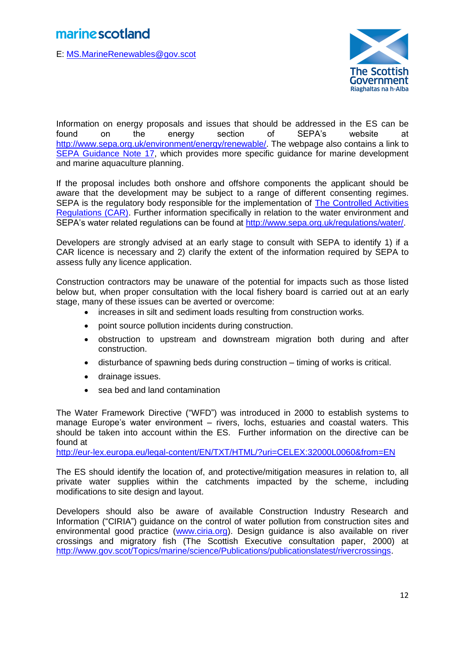E: [MS.MarineRenewables@gov.scot](mailto:MS.MarineRenewables@gov.scot)



Information on energy proposals and issues that should be addressed in the ES can be found on the energy section of SEPA's website at [http://www.sepa.org.uk/environment/energy/renewable/.](http://www.sepa.org.uk/environment/energy/renewable/) The webpage also contains a link to [SEPA Guidance Note 17,](http://www.sepa.org.uk/media/144034/lups-gu17_-marine_development_and_marine_aquaculture_planning_guidance.pdf) which provides more specific guidance for marine development and marine aquaculture planning.

If the proposal includes both onshore and offshore components the applicant should be aware that the development may be subject to a range of different consenting regimes. SEPA is the regulatory body responsible for the implementation of [The Controlled Activities](http://www.legislation.gov.uk/ssi/2011/209/contents/made)  [Regulations \(CAR\).](http://www.legislation.gov.uk/ssi/2011/209/contents/made) Further information specifically in relation to the water environment and SEPA's water related regulations can be found at [http://www.sepa.org.uk/regulations/water/.](http://www.sepa.org.uk/regulations/water/)

Developers are strongly advised at an early stage to consult with SEPA to identify 1) if a CAR licence is necessary and 2) clarify the extent of the information required by SEPA to assess fully any licence application.

Construction contractors may be unaware of the potential for impacts such as those listed below but, when proper consultation with the local fishery board is carried out at an early stage, many of these issues can be averted or overcome:

- increases in silt and sediment loads resulting from construction works.
- point source pollution incidents during construction.
- obstruction to upstream and downstream migration both during and after construction.
- disturbance of spawning beds during construction timing of works is critical.
- drainage issues.
- sea bed and land contamination

The Water Framework Directive ("WFD") was introduced in 2000 to establish systems to manage Europe's water environment – rivers, lochs, estuaries and coastal waters. This should be taken into account within the ES. Further information on the directive can be found at

<http://eur-lex.europa.eu/legal-content/EN/TXT/HTML/?uri=CELEX:32000L0060&from=EN>

The ES should identify the location of, and protective/mitigation measures in relation to, all private water supplies within the catchments impacted by the scheme, including modifications to site design and layout.

Developers should also be aware of available Construction Industry Research and Information ("CIRIA") guidance on the control of water pollution from construction sites and environmental good practice [\(www.ciria.org\)](http://www.ciria.org/). Design guidance is also available on river crossings and migratory fish (The Scottish Executive consultation paper, 2000) at [http://www.gov.scot/Topics/marine/science/Publications/publicationslatest/rivercrossings.](http://www.gov.scot/Topics/marine/science/Publications/publicationslatest/rivercrossings)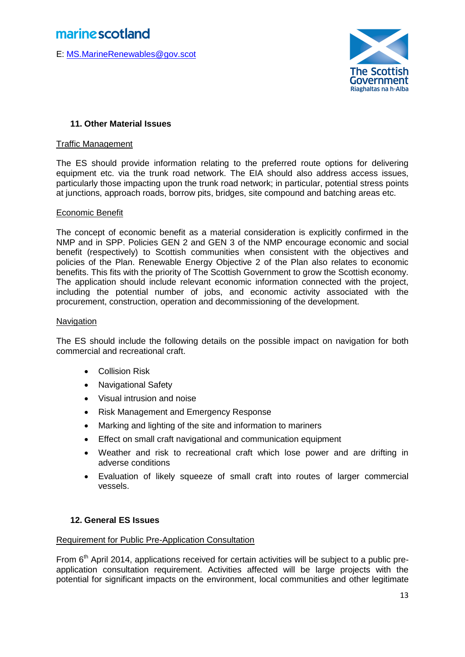E: [MS.MarineRenewables@gov.scot](mailto:MS.MarineRenewables@gov.scot)



### **11. Other Material Issues**

#### Traffic Management

The ES should provide information relating to the preferred route options for delivering equipment etc. via the trunk road network. The EIA should also address access issues, particularly those impacting upon the trunk road network; in particular, potential stress points at junctions, approach roads, borrow pits, bridges, site compound and batching areas etc.

#### Economic Benefit

The concept of economic benefit as a material consideration is explicitly confirmed in the NMP and in SPP. Policies GEN 2 and GEN 3 of the NMP encourage economic and social benefit (respectively) to Scottish communities when consistent with the objectives and policies of the Plan. Renewable Energy Objective 2 of the Plan also relates to economic benefits. This fits with the priority of The Scottish Government to grow the Scottish economy. The application should include relevant economic information connected with the project, including the potential number of jobs, and economic activity associated with the procurement, construction, operation and decommissioning of the development.

#### **Navigation**

The ES should include the following details on the possible impact on navigation for both commercial and recreational craft.

- **•** Collision Risk
- Navigational Safety
- Visual intrusion and noise
- Risk Management and Emergency Response
- Marking and lighting of the site and information to mariners
- Effect on small craft navigational and communication equipment
- Weather and risk to recreational craft which lose power and are drifting in adverse conditions
- Evaluation of likely squeeze of small craft into routes of larger commercial vessels.

### **12. General ES Issues**

### Requirement for Public Pre-Application Consultation

From  $6<sup>th</sup>$  April 2014, applications received for certain activities will be subject to a public preapplication consultation requirement. Activities affected will be large projects with the potential for significant impacts on the environment, local communities and other legitimate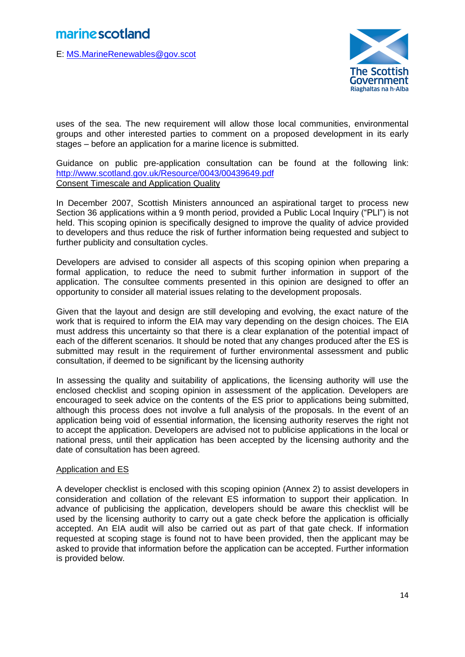E: [MS.MarineRenewables@gov.scot](mailto:MS.MarineRenewables@gov.scot)



uses of the sea. The new requirement will allow those local communities, environmental groups and other interested parties to comment on a proposed development in its early stages – before an application for a marine licence is submitted.

Guidance on public pre-application consultation can be found at the following link: <http://www.scotland.gov.uk/Resource/0043/00439649.pdf> Consent Timescale and Application Quality

In December 2007, Scottish Ministers announced an aspirational target to process new Section 36 applications within a 9 month period, provided a Public Local Inquiry ("PLI") is not held. This scoping opinion is specifically designed to improve the quality of advice provided to developers and thus reduce the risk of further information being requested and subject to further publicity and consultation cycles.

Developers are advised to consider all aspects of this scoping opinion when preparing a formal application, to reduce the need to submit further information in support of the application. The consultee comments presented in this opinion are designed to offer an opportunity to consider all material issues relating to the development proposals.

Given that the layout and design are still developing and evolving, the exact nature of the work that is required to inform the EIA may vary depending on the design choices. The EIA must address this uncertainty so that there is a clear explanation of the potential impact of each of the different scenarios. It should be noted that any changes produced after the ES is submitted may result in the requirement of further environmental assessment and public consultation, if deemed to be significant by the licensing authority

In assessing the quality and suitability of applications, the licensing authority will use the enclosed checklist and scoping opinion in assessment of the application. Developers are encouraged to seek advice on the contents of the ES prior to applications being submitted, although this process does not involve a full analysis of the proposals. In the event of an application being void of essential information, the licensing authority reserves the right not to accept the application. Developers are advised not to publicise applications in the local or national press, until their application has been accepted by the licensing authority and the date of consultation has been agreed.

### Application and ES

A developer checklist is enclosed with this scoping opinion (Annex 2) to assist developers in consideration and collation of the relevant ES information to support their application. In advance of publicising the application, developers should be aware this checklist will be used by the licensing authority to carry out a gate check before the application is officially accepted. An EIA audit will also be carried out as part of that gate check. If information requested at scoping stage is found not to have been provided, then the applicant may be asked to provide that information before the application can be accepted. Further information is provided below.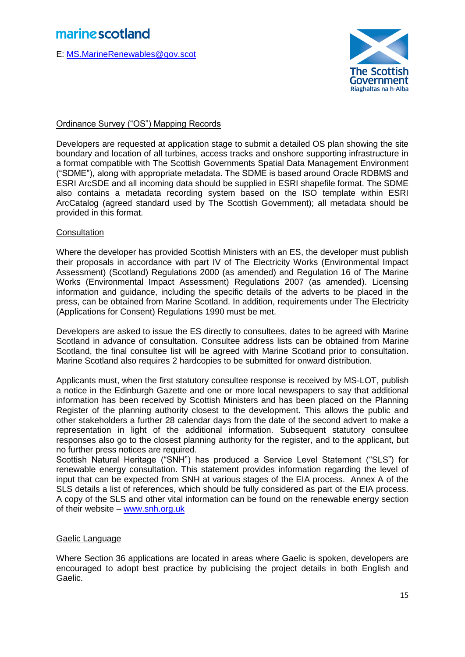E: [MS.MarineRenewables@gov.scot](mailto:MS.MarineRenewables@gov.scot)



### Ordinance Survey ("OS") Mapping Records

Developers are requested at application stage to submit a detailed OS plan showing the site boundary and location of all turbines, access tracks and onshore supporting infrastructure in a format compatible with The Scottish Governments Spatial Data Management Environment ("SDME"), along with appropriate metadata. The SDME is based around Oracle RDBMS and ESRI ArcSDE and all incoming data should be supplied in ESRI shapefile format. The SDME also contains a metadata recording system based on the ISO template within ESRI ArcCatalog (agreed standard used by The Scottish Government); all metadata should be provided in this format.

### **Consultation**

Where the developer has provided Scottish Ministers with an ES, the developer must publish their proposals in accordance with part IV of The Electricity Works (Environmental Impact Assessment) (Scotland) Regulations 2000 (as amended) and Regulation 16 of The Marine Works (Environmental Impact Assessment) Regulations 2007 (as amended). Licensing information and guidance, including the specific details of the adverts to be placed in the press, can be obtained from Marine Scotland. In addition, requirements under The Electricity (Applications for Consent) Regulations 1990 must be met.

Developers are asked to issue the ES directly to consultees, dates to be agreed with Marine Scotland in advance of consultation. Consultee address lists can be obtained from Marine Scotland, the final consultee list will be agreed with Marine Scotland prior to consultation. Marine Scotland also requires 2 hardcopies to be submitted for onward distribution.

Applicants must, when the first statutory consultee response is received by MS-LOT, publish a notice in the Edinburgh Gazette and one or more local newspapers to say that additional information has been received by Scottish Ministers and has been placed on the Planning Register of the planning authority closest to the development. This allows the public and other stakeholders a further 28 calendar days from the date of the second advert to make a representation in light of the additional information. Subsequent statutory consultee responses also go to the closest planning authority for the register, and to the applicant, but no further press notices are required.

Scottish Natural Heritage ("SNH") has produced a Service Level Statement ("SLS") for renewable energy consultation. This statement provides information regarding the level of input that can be expected from SNH at various stages of the EIA process. Annex A of the SLS details a list of references, which should be fully considered as part of the EIA process. A copy of the SLS and other vital information can be found on the renewable energy section of their website – [www.snh.org.uk](http://www.snh.org.uk/) 

### Gaelic Language

Where Section 36 applications are located in areas where Gaelic is spoken, developers are encouraged to adopt best practice by publicising the project details in both English and Gaelic.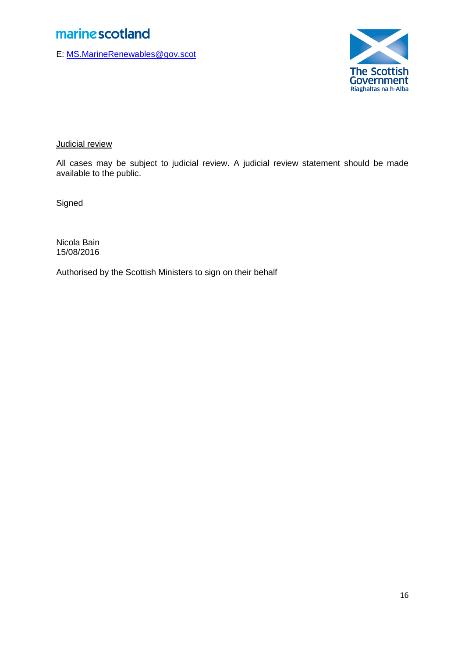E: [MS.MarineRenewables@gov.scot](mailto:MS.MarineRenewables@gov.scot)



Judicial review

All cases may be subject to judicial review. A judicial review statement should be made available to the public.

**Signed** 

Nicola Bain 15/08/2016

Authorised by the Scottish Ministers to sign on their behalf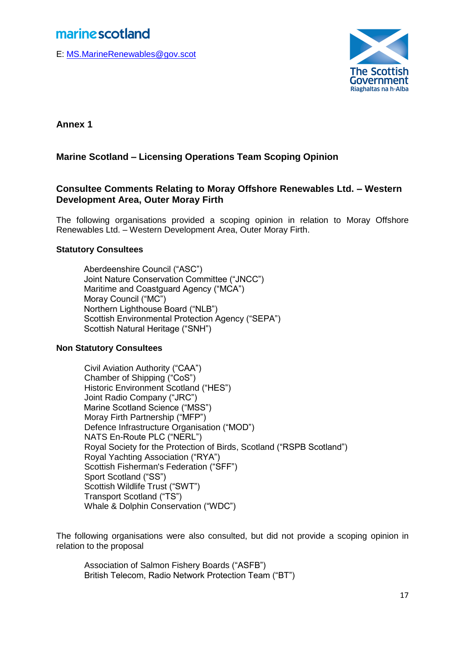E: [MS.MarineRenewables@gov.scot](mailto:MS.MarineRenewables@gov.scot)



**Annex 1**

### **Marine Scotland – Licensing Operations Team Scoping Opinion**

### **Consultee Comments Relating to Moray Offshore Renewables Ltd. – Western Development Area, Outer Moray Firth**

The following organisations provided a scoping opinion in relation to Moray Offshore Renewables Ltd. – Western Development Area, Outer Moray Firth.

### **Statutory Consultees**

Aberdeenshire Council ("ASC") Joint Nature Conservation Committee ("JNCC") Maritime and Coastguard Agency ("MCA") Moray Council ("MC") Northern Lighthouse Board ("NLB") Scottish Environmental Protection Agency ("SEPA") Scottish Natural Heritage ("SNH")

### **Non Statutory Consultees**

Civil Aviation Authority ("CAA") Chamber of Shipping ("CoS") Historic Environment Scotland ("HES") Joint Radio Company ("JRC") Marine Scotland Science ("MSS") Moray Firth Partnership ("MFP") Defence Infrastructure Organisation ("MOD") NATS En-Route PLC ("NERL") Royal Society for the Protection of Birds, Scotland ("RSPB Scotland") Royal Yachting Association ("RYA") Scottish Fisherman's Federation ("SFF") Sport Scotland ("SS") Scottish Wildlife Trust ("SWT") Transport Scotland ("TS") Whale & Dolphin Conservation ("WDC")

The following organisations were also consulted, but did not provide a scoping opinion in relation to the proposal

Association of Salmon Fishery Boards ("ASFB") British Telecom, Radio Network Protection Team ("BT")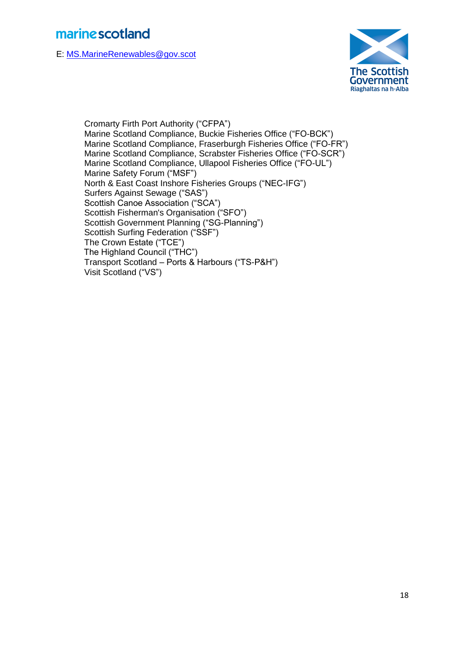E: [MS.MarineRenewables@gov.scot](mailto:MS.MarineRenewables@gov.scot)



Cromarty Firth Port Authority ("CFPA") Marine Scotland Compliance, Buckie Fisheries Office ("FO-BCK") Marine Scotland Compliance, Fraserburgh Fisheries Office ("FO-FR") Marine Scotland Compliance, Scrabster Fisheries Office ("FO-SCR") Marine Scotland Compliance, Ullapool Fisheries Office ("FO-UL") Marine Safety Forum ("MSF") North & East Coast Inshore Fisheries Groups ("NEC-IFG") Surfers Against Sewage ("SAS") Scottish Canoe Association ("SCA") Scottish Fisherman's Organisation ("SFO") Scottish Government Planning ("SG-Planning") Scottish Surfing Federation ("SSF") The Crown Estate ("TCE") The Highland Council ("THC") Transport Scotland – Ports & Harbours ("TS-P&H") Visit Scotland ("VS")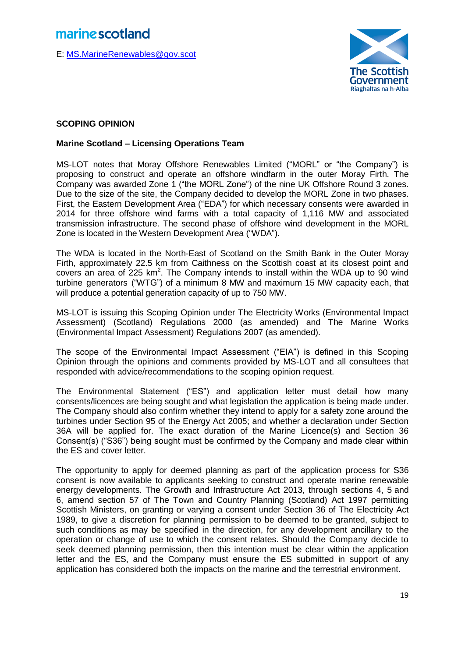E: [MS.MarineRenewables@gov.scot](mailto:MS.MarineRenewables@gov.scot)



### **SCOPING OPINION**

### **Marine Scotland – Licensing Operations Team**

MS-LOT notes that Moray Offshore Renewables Limited ("MORL" or "the Company") is proposing to construct and operate an offshore windfarm in the outer Moray Firth. The Company was awarded Zone 1 ("the MORL Zone") of the nine UK Offshore Round 3 zones. Due to the size of the site, the Company decided to develop the MORL Zone in two phases. First, the Eastern Development Area ("EDA") for which necessary consents were awarded in 2014 for three offshore wind farms with a total capacity of 1,116 MW and associated transmission infrastructure. The second phase of offshore wind development in the MORL Zone is located in the Western Development Area ("WDA").

The WDA is located in the North-East of Scotland on the Smith Bank in the Outer Moray Firth, approximately 22.5 km from Caithness on the Scottish coast at its closest point and covers an area of  $225 \text{ km}^2$ . The Company intends to install within the WDA up to 90 wind turbine generators ("WTG") of a minimum 8 MW and maximum 15 MW capacity each, that will produce a potential generation capacity of up to 750 MW.

MS-LOT is issuing this Scoping Opinion under The Electricity Works (Environmental Impact Assessment) (Scotland) Regulations 2000 (as amended) and The Marine Works (Environmental Impact Assessment) Regulations 2007 (as amended).

The scope of the Environmental Impact Assessment ("EIA") is defined in this Scoping Opinion through the opinions and comments provided by MS-LOT and all consultees that responded with advice/recommendations to the scoping opinion request.

The Environmental Statement ("ES") and application letter must detail how many consents/licences are being sought and what legislation the application is being made under. The Company should also confirm whether they intend to apply for a safety zone around the turbines under Section 95 of the Energy Act 2005; and whether a declaration under Section 36A will be applied for. The exact duration of the Marine Licence(s) and Section 36 Consent(s) ("S36") being sought must be confirmed by the Company and made clear within the ES and cover letter.

The opportunity to apply for deemed planning as part of the application process for S36 consent is now available to applicants seeking to construct and operate marine renewable energy developments. The Growth and Infrastructure Act 2013, through sections 4, 5 and 6, amend section 57 of The Town and Country Planning (Scotland) Act 1997 permitting Scottish Ministers, on granting or varying a consent under Section 36 of The Electricity Act 1989, to give a discretion for planning permission to be deemed to be granted, subject to such conditions as may be specified in the direction, for any development ancillary to the operation or change of use to which the consent relates. Should the Company decide to seek deemed planning permission, then this intention must be clear within the application letter and the ES, and the Company must ensure the ES submitted in support of any application has considered both the impacts on the marine and the terrestrial environment.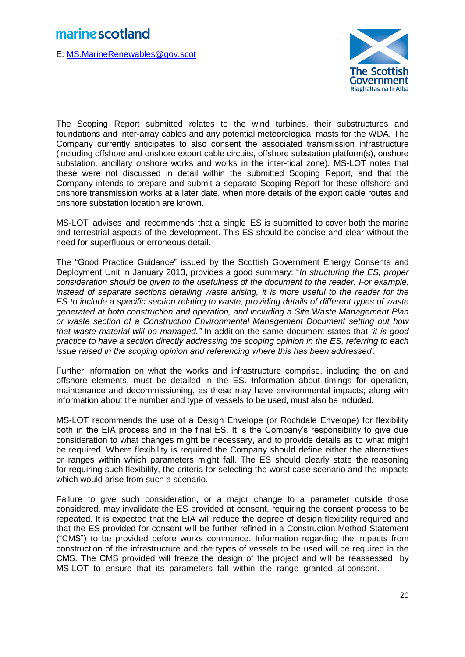E: [MS.MarineRenewables@gov.scot](mailto:MS.MarineRenewables@gov.scot)



The Scoping Report submitted relates to the wind turbines, their substructures and foundations and inter-array cables and any potential meteorological masts for the WDA. The Company currently anticipates to also consent the associated transmission infrastructure (including offshore and onshore export cable circuits, offshore substation platform(s), onshore substation, ancillary onshore works and works in the inter-tidal zone). MS-LOT notes that these were not discussed in detail within the submitted Scoping Report, and that the Company intends to prepare and submit a separate Scoping Report for these offshore and onshore transmission works at a later date, when more details of the export cable routes and onshore substation location are known.

MS-LOT advises and recommends that a single ES is submitted to cover both the marine and terrestrial aspects of the development. This ES should be concise and clear without the need for superfluous or erroneous detail.

The "Good Practice Guidance" issued by the Scottish Government Energy Consents and Deployment Unit in January 2013, provides a good summary: "*In structuring the ES, proper consideration should be given to the usefulness of the document to the reader. For example, instead of separate sections detailing waste arising, it is more useful to the reader for the ES to include a specific section relating to waste, providing details of different types of waste generated at both construction and operation, and including a Site Waste Management Plan or waste section of a Construction Environmental Management Document setting out how that waste material will be managed."* In addition the same document states that *'it is good practice to have a section directly addressing the scoping opinion in the ES, referring to each issue raised in the scoping opinion and referencing where this has been addressed'.*

Further information on what the works and infrastructure comprise, including the on and offshore elements, must be detailed in the ES. Information about timings for operation, maintenance and decommissioning, as these may have environmental impacts; along with information about the number and type of vessels to be used, must also be included.

MS-LOT recommends the use of a Design Envelope (or Rochdale Envelope) for flexibility both in the EIA process and in the final ES. It is the Company's responsibility to give due consideration to what changes might be necessary, and to provide details as to what might be required. Where flexibility is required the Company should define either the alternatives or ranges within which parameters might fall. The ES should clearly state the reasoning for requiring such flexibility, the criteria for selecting the worst case scenario and the impacts which would arise from such a scenario.

Failure to give such consideration, or a major change to a parameter outside those considered, may invalidate the ES provided at consent, requiring the consent process to be repeated. It is expected that the EIA will reduce the degree of design flexibility required and that the ES provided for consent will be further refined in a Construction Method Statement ("CMS") to be provided before works commence. Information regarding the impacts from construction of the infrastructure and the types of vessels to be used will be required in the CMS. The CMS provided will freeze the design of the project and will be reassessed by MS-LOT to ensure that its parameters fall within the range granted at consent.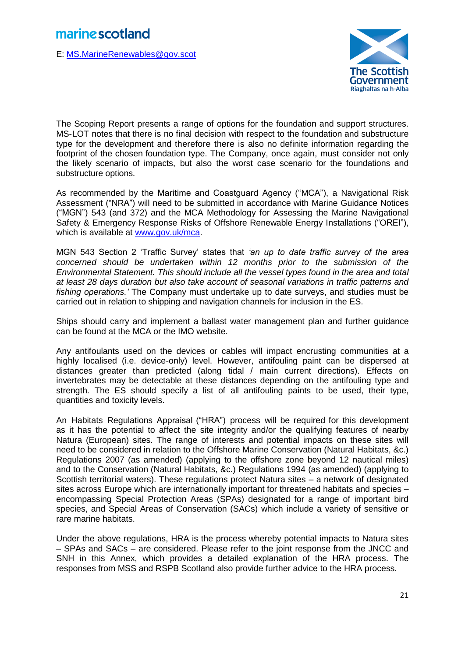E: [MS.MarineRenewables@gov.scot](mailto:MS.MarineRenewables@gov.scot)



The Scoping Report presents a range of options for the foundation and support structures. MS-LOT notes that there is no final decision with respect to the foundation and substructure type for the development and therefore there is also no definite information regarding the footprint of the chosen foundation type. The Company, once again, must consider not only the likely scenario of impacts, but also the worst case scenario for the foundations and substructure options.

As recommended by the Maritime and Coastguard Agency ("MCA"), a Navigational Risk Assessment ("NRA") will need to be submitted in accordance with Marine Guidance Notices ("MGN") 543 (and 372) and the MCA Methodology for Assessing the Marine Navigational Safety & Emergency Response Risks of Offshore Renewable Energy Installations ("OREI"), which is available at [www.gov.uk/mca.](http://www.gov.uk/mca)

MGN 543 Section 2 'Traffic Survey' states that *'an up to date traffic survey of the area concerned should be undertaken within 12 months prior to the submission of the Environmental Statement. This should include all the vessel types found in the area and total at least 28 days duration but also take account of seasonal variations in traffic patterns and fishing operations.'* The Company must undertake up to date surveys, and studies must be carried out in relation to shipping and navigation channels for inclusion in the ES.

Ships should carry and implement a ballast water management plan and further guidance can be found at the MCA or the IMO website.

Any antifoulants used on the devices or cables will impact encrusting communities at a highly localised (i.e. device-only) level. However, antifouling paint can be dispersed at distances greater than predicted (along tidal / main current directions). Effects on invertebrates may be detectable at these distances depending on the antifouling type and strength. The ES should specify a list of all antifouling paints to be used, their type, quantities and toxicity levels.

An Habitats Regulations Appraisal ("HRA") process will be required for this development as it has the potential to affect the site integrity and/or the qualifying features of nearby Natura (European) sites. The range of interests and potential impacts on these sites will need to be considered in relation to the Offshore Marine Conservation (Natural Habitats, &c.) Regulations 2007 (as amended) (applying to the offshore zone beyond 12 nautical miles) and to the Conservation (Natural Habitats, &c.) Regulations 1994 (as amended) (applying to Scottish territorial waters). These regulations protect Natura sites – a network of designated sites across Europe which are internationally important for threatened habitats and species – encompassing Special Protection Areas (SPAs) designated for a range of important bird species, and Special Areas of Conservation (SACs) which include a variety of sensitive or rare marine habitats.

Under the above regulations, HRA is the process whereby potential impacts to Natura sites – SPAs and SACs – are considered. Please refer to the joint response from the JNCC and SNH in this Annex, which provides a detailed explanation of the HRA process. The responses from MSS and RSPB Scotland also provide further advice to the HRA process.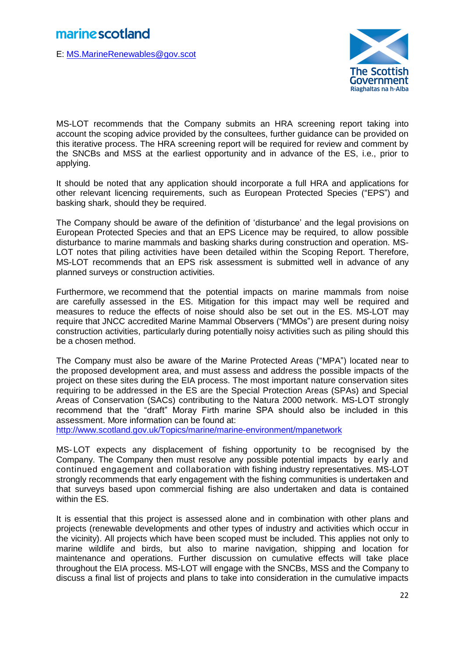E: [MS.MarineRenewables@gov.scot](mailto:MS.MarineRenewables@gov.scot)



MS-LOT recommends that the Company submits an HRA screening report taking into account the scoping advice provided by the consultees, further guidance can be provided on this iterative process. The HRA screening report will be required for review and comment by the SNCBs and MSS at the earliest opportunity and in advance of the ES, i.e., prior to applying.

It should be noted that any application should incorporate a full HRA and applications for other relevant licencing requirements, such as European Protected Species ("EPS") and basking shark, should they be required.

The Company should be aware of the definition of 'disturbance' and the legal provisions on European Protected Species and that an EPS Licence may be required, to allow possible disturbance to marine mammals and basking sharks during construction and operation. MS-LOT notes that piling activities have been detailed within the Scoping Report. Therefore, MS-LOT recommends that an EPS risk assessment is submitted well in advance of any planned surveys or construction activities.

Furthermore, we recommend that the potential impacts on marine mammals from noise are carefully assessed in the ES. Mitigation for this impact may well be required and measures to reduce the effects of noise should also be set out in the ES. MS-LOT may require that JNCC accredited Marine Mammal Observers ("MMOs") are present during noisy construction activities, particularly during potentially noisy activities such as piling should this be a chosen method.

The Company must also be aware of the Marine Protected Areas ("MPA") located near to the proposed development area, and must assess and address the possible impacts of the project on these sites during the EIA process. The most important nature conservation sites requiring to be addressed in the ES are the Special Protection Areas (SPAs) and Special Areas of Conservation (SACs) contributing to the Natura 2000 network. MS-LOT strongly recommend that the "draft" Moray Firth marine SPA should also be included in this assessment. More information can be found at:

<http://www.scotland.gov.uk/Topics/marine/marine-environment/mpanetwork>

MS- LOT expects any displacement of fishing opportunity to be recognised by the Company. The Company then must resolve any possible potential impacts by early and continued engagement and collaboration with fishing industry representatives. MS-LOT strongly recommends that early engagement with the fishing communities is undertaken and that surveys based upon commercial fishing are also undertaken and data is contained within the ES.

It is essential that this project is assessed alone and in combination with other plans and projects (renewable developments and other types of industry and activities which occur in the vicinity). All projects which have been scoped must be included. This applies not only to marine wildlife and birds, but also to marine navigation, shipping and location for maintenance and operations. Further discussion on cumulative effects will take place throughout the EIA process. MS-LOT will engage with the SNCBs, MSS and the Company to discuss a final list of projects and plans to take into consideration in the cumulative impacts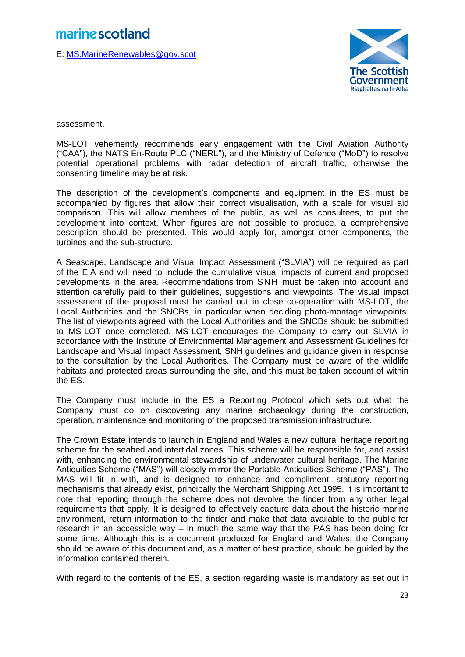E: [MS.MarineRenewables@gov.scot](mailto:MS.MarineRenewables@gov.scot)



assessment.

MS-LOT vehemently recommends early engagement with the Civil Aviation Authority ("CAA"), the NATS En-Route PLC ("NERL"), and the Ministry of Defence ("MoD") to resolve potential operational problems with radar detection of aircraft traffic, otherwise the consenting timeline may be at risk.

The description of the development's components and equipment in the ES must be accompanied by figures that allow their correct visualisation, with a scale for visual aid comparison. This will allow members of the public, as well as consultees, to put the development into context. When figures are not possible to produce, a comprehensive description should be presented. This would apply for, amongst other components, the turbines and the sub-structure.

A Seascape, Landscape and Visual Impact Assessment ("SLVIA") will be required as part of the EIA and will need to include the cumulative visual impacts of current and proposed developments in the area. Recommendations from SNH must be taken into account and attention carefully paid to their guidelines, suggestions and viewpoints. The visual impact assessment of the proposal must be carried out in close co-operation with MS-LOT, the Local Authorities and the SNCBs, in particular when deciding photo-montage viewpoints. The list of viewpoints agreed with the Local Authorities and the SNCBs should be submitted to MS-LOT once completed. MS-LOT encourages the Company to carry out SLVIA in accordance with the Institute of Environmental Management and Assessment Guidelines for Landscape and Visual Impact Assessment, SNH guidelines and guidance given in response to the consultation by the Local Authorities. The Company must be aware of the wildlife habitats and protected areas surrounding the site, and this must be taken account of within the ES.

The Company must include in the ES a Reporting Protocol which sets out what the Company must do on discovering any marine archaeology during the construction, operation, maintenance and monitoring of the proposed transmission infrastructure.

The Crown Estate intends to launch in England and Wales a new cultural heritage reporting scheme for the seabed and intertidal zones. This scheme will be responsible for, and assist with, enhancing the environmental stewardship of underwater cultural heritage. The Marine Antiquities Scheme ("MAS") will closely mirror the Portable Antiquities Scheme ("PAS"). The MAS will fit in with, and is designed to enhance and compliment, statutory reporting mechanisms that already exist, principally the Merchant Shipping Act 1995. It is important to note that reporting through the scheme does not devolve the finder from any other legal requirements that apply. It is designed to effectively capture data about the historic marine environment, return information to the finder and make that data available to the public for research in an accessible way – in much the same way that the PAS has been doing for some time. Although this is a document produced for England and Wales, the Company should be aware of this document and, as a matter of best practice, should be guided by the information contained therein.

With regard to the contents of the ES, a section regarding waste is mandatory as set out in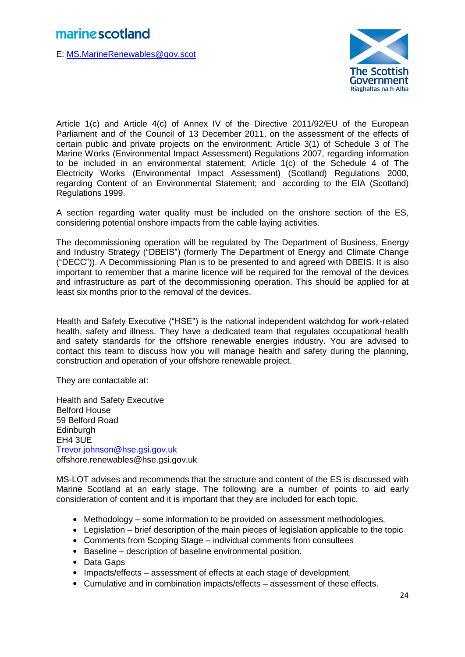E: [MS.MarineRenewables@gov.scot](mailto:MS.MarineRenewables@gov.scot)



Article 1(c) and Article 4(c) of Annex IV of the Directive 2011/92/EU of the European Parliament and of the Council of 13 December 2011, on the assessment of the effects of certain public and private projects on the environment; Article 3(1) of Schedule 3 of The Marine Works (Environmental Impact Assessment) Regulations 2007, regarding information to be included in an environmental statement; Article 1(c) of the Schedule 4 of The Electricity Works (Environmental Impact Assessment) (Scotland) Regulations 2000, regarding Content of an Environmental Statement; and according to the EIA (Scotland) Regulations 1999.

A section regarding water quality must be included on the onshore section of the ES, considering potential onshore impacts from the cable laying activities.

The decommissioning operation will be regulated by The Department of Business, Energy and Industry Strategy ("DBEIS") (formerly The Department of Energy and Climate Change ("DECC")). A Decommissioning Plan is to be presented to and agreed with DBEIS. It is also important to remember that a marine licence will be required for the removal of the devices and infrastructure as part of the decommissioning operation. This should be applied for at least six months prior to the removal of the devices.

Health and Safety Executive ("HSE") is the national independent watchdog for work-related health, safety and illness. They have a dedicated team that regulates occupational health and safety standards for the offshore renewable energies industry. You are advised to contact this team to discuss how you will manage health and safety during the planning, construction and operation of your offshore renewable project.

They are contactable at:

Health and Safety Executive Belford House 59 Belford Road **Edinburgh** EH4 3UE [Trevor.johnson@hse.gsi.gov.uk](mailto:Trevor.johnson@hse.gsi.gov.uk) offshore.renewables@hse.gsi.gov.uk

MS-LOT advises and recommends that the structure and content of the ES is discussed with Marine Scotland at an early stage. The following are a number of points to aid early consideration of content and it is important that they are included for each topic.

- Methodology some information to be provided on assessment methodologies.
- Legislation brief description of the main pieces of legislation applicable to the topic
- Comments from Scoping Stage individual comments from consultees
- Baseline description of baseline environmental position.
- Data Gaps
- Impacts/effects assessment of effects at each stage of development.
- Cumulative and in combination impacts/effects assessment of these effects.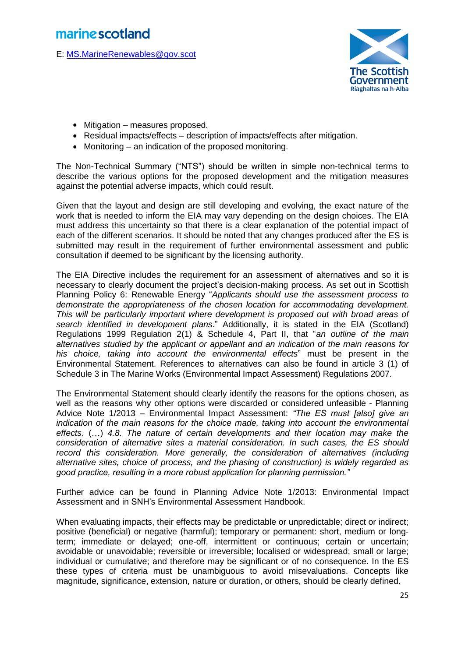E: [MS.MarineRenewables@gov.scot](mailto:MS.MarineRenewables@gov.scot)



- Mitigation measures proposed.
- Residual impacts/effects description of impacts/effects after mitigation.
- Monitoring an indication of the proposed monitoring.

The Non-Technical Summary ("NTS") should be written in simple non-technical terms to describe the various options for the proposed development and the mitigation measures against the potential adverse impacts, which could result.

Given that the layout and design are still developing and evolving, the exact nature of the work that is needed to inform the EIA may vary depending on the design choices. The EIA must address this uncertainty so that there is a clear explanation of the potential impact of each of the different scenarios. It should be noted that any changes produced after the ES is submitted may result in the requirement of further environmental assessment and public consultation if deemed to be significant by the licensing authority.

The EIA Directive includes the requirement for an assessment of alternatives and so it is necessary to clearly document the project's decision-making process. As set out in Scottish Planning Policy 6: Renewable Energy "*Applicants should use the assessment process to demonstrate the appropriateness of the chosen location for accommodating development. This will be particularly important where development is proposed out with broad areas of search identified in development plans*." Additionally, it is stated in the EIA (Scotland) Regulations 1999 Regulation 2(1) & Schedule 4, Part II, that "*an outline of the main alternatives studied by the applicant or appellant and an indication of the main reasons for his choice, taking into account the environmental effects*" must be present in the Environmental Statement. References to alternatives can also be found in article 3 (1) of Schedule 3 in The Marine Works (Environmental Impact Assessment) Regulations 2007.

The Environmental Statement should clearly identify the reasons for the options chosen, as well as the reasons why other options were discarded or considered unfeasible - Planning Advice Note 1/2013 – Environmental Impact Assessment: *"The ES must [also] give an indication of the main reasons for the choice made, taking into account the environmental effects*. (…) *4.8. The nature of certain developments and their location may make the consideration of alternative sites a material consideration. In such cases, the ES should record this consideration. More generally, the consideration of alternatives (including alternative sites, choice of process, and the phasing of construction) is widely regarded as good practice, resulting in a more robust application for planning permission."*

Further advice can be found in Planning Advice Note 1/2013: Environmental Impact Assessment and in SNH's Environmental Assessment Handbook.

When evaluating impacts, their effects may be predictable or unpredictable; direct or indirect; positive (beneficial) or negative (harmful); temporary or permanent: short, medium or longterm; immediate or delayed; one-off, intermittent or continuous; certain or uncertain; avoidable or unavoidable; reversible or irreversible; localised or widespread; small or large; individual or cumulative; and therefore may be significant or of no consequence. In the ES these types of criteria must be unambiguous to avoid misevaluations. Concepts like magnitude, significance, extension, nature or duration, or others, should be clearly defined.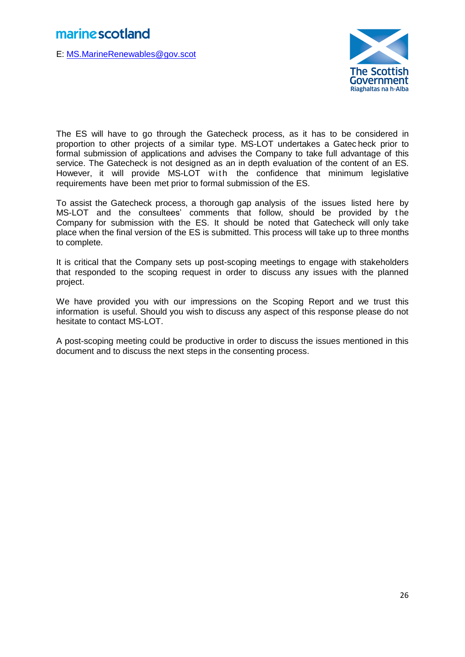E: [MS.MarineRenewables@gov.scot](mailto:MS.MarineRenewables@gov.scot)



The ES will have to go through the Gatecheck process, as it has to be considered in proportion to other projects of a similar type. MS-LOT undertakes a Gatec heck prior to formal submission of applications and advises the Company to take full advantage of this service. The Gatecheck is not designed as an in depth evaluation of the content of an ES. However, it will provide MS-LOT with the confidence that minimum legislative requirements have been met prior to formal submission of the ES.

To assist the Gatecheck process, a thorough gap analysis of the issues listed here by MS-LOT and the consultees' comments that follow, should be provided by t he Company for submission with the ES. It should be noted that Gatecheck will only take place when the final version of the ES is submitted. This process will take up to three months to complete.

It is critical that the Company sets up post-scoping meetings to engage with stakeholders that responded to the scoping request in order to discuss any issues with the planned project.

We have provided you with our impressions on the Scoping Report and we trust this information is useful. Should you wish to discuss any aspect of this response please do not hesitate to contact MS-LOT.

A post-scoping meeting could be productive in order to discuss the issues mentioned in this document and to discuss the next steps in the consenting process.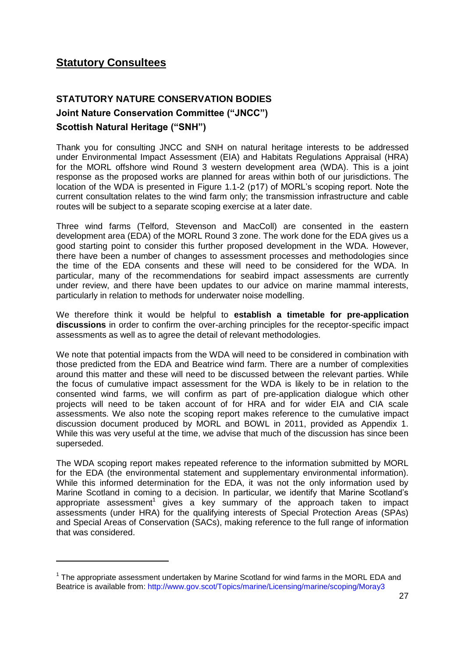### **Statutory Consultees**

**.** 

### **STATUTORY NATURE CONSERVATION BODIES Joint Nature Conservation Committee ("JNCC") Scottish Natural Heritage ("SNH")**

Thank you for consulting JNCC and SNH on natural heritage interests to be addressed under Environmental Impact Assessment (EIA) and Habitats Regulations Appraisal (HRA) for the MORL offshore wind Round 3 western development area (WDA). This is a joint response as the proposed works are planned for areas within both of our jurisdictions. The location of the WDA is presented in Figure 1.1-2 (p17) of MORL's scoping report. Note the current consultation relates to the wind farm only; the transmission infrastructure and cable routes will be subject to a separate scoping exercise at a later date.

Three wind farms (Telford, Stevenson and MacColl) are consented in the eastern development area (EDA) of the MORL Round 3 zone. The work done for the EDA gives us a good starting point to consider this further proposed development in the WDA. However, there have been a number of changes to assessment processes and methodologies since the time of the EDA consents and these will need to be considered for the WDA. In particular, many of the recommendations for seabird impact assessments are currently under review, and there have been updates to our advice on marine mammal interests, particularly in relation to methods for underwater noise modelling.

We therefore think it would be helpful to **establish a timetable for pre-application discussions** in order to confirm the over-arching principles for the receptor-specific impact assessments as well as to agree the detail of relevant methodologies.

We note that potential impacts from the WDA will need to be considered in combination with those predicted from the EDA and Beatrice wind farm. There are a number of complexities around this matter and these will need to be discussed between the relevant parties. While the focus of cumulative impact assessment for the WDA is likely to be in relation to the consented wind farms, we will confirm as part of pre-application dialogue which other projects will need to be taken account of for HRA and for wider EIA and CIA scale assessments. We also note the scoping report makes reference to the cumulative impact discussion document produced by MORL and BOWL in 2011, provided as Appendix 1. While this was very useful at the time, we advise that much of the discussion has since been superseded.

The WDA scoping report makes repeated reference to the information submitted by MORL for the EDA (the environmental statement and supplementary environmental information). While this informed determination for the EDA, it was not the only information used by Marine Scotland in coming to a decision. In particular, we identify that Marine Scotland's appropriate assessment<sup>1</sup> gives a key summary of the approach taken to impact assessments (under HRA) for the qualifying interests of Special Protection Areas (SPAs) and Special Areas of Conservation (SACs), making reference to the full range of information that was considered.

 $1$  The appropriate assessment undertaken by Marine Scotland for wind farms in the MORL EDA and Beatrice is available from: http://www.gov.scot/Topics/marine/Licensing/marine/scoping/Moray3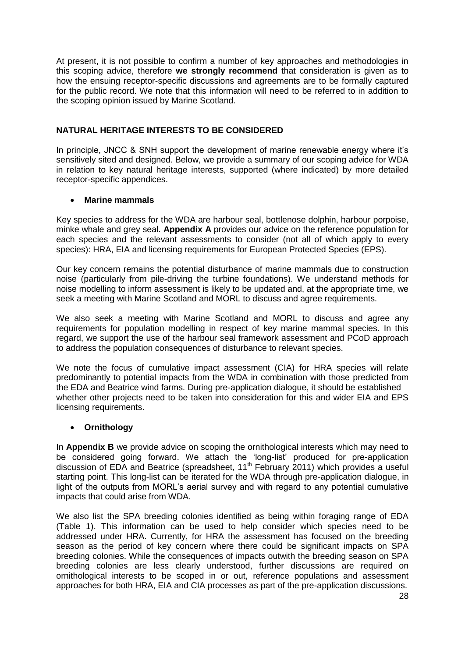At present, it is not possible to confirm a number of key approaches and methodologies in this scoping advice, therefore **we strongly recommend** that consideration is given as to how the ensuing receptor-specific discussions and agreements are to be formally captured for the public record. We note that this information will need to be referred to in addition to the scoping opinion issued by Marine Scotland.

### **NATURAL HERITAGE INTERESTS TO BE CONSIDERED**

In principle, JNCC & SNH support the development of marine renewable energy where it's sensitively sited and designed. Below, we provide a summary of our scoping advice for WDA in relation to key natural heritage interests, supported (where indicated) by more detailed receptor-specific appendices.

### **Marine mammals**

Key species to address for the WDA are harbour seal, bottlenose dolphin, harbour porpoise, minke whale and grey seal. **Appendix A** provides our advice on the reference population for each species and the relevant assessments to consider (not all of which apply to every species): HRA, EIA and licensing requirements for European Protected Species (EPS).

Our key concern remains the potential disturbance of marine mammals due to construction noise (particularly from pile-driving the turbine foundations). We understand methods for noise modelling to inform assessment is likely to be updated and, at the appropriate time, we seek a meeting with Marine Scotland and MORL to discuss and agree requirements.

We also seek a meeting with Marine Scotland and MORL to discuss and agree any requirements for population modelling in respect of key marine mammal species. In this regard, we support the use of the harbour seal framework assessment and PCoD approach to address the population consequences of disturbance to relevant species.

We note the focus of cumulative impact assessment (CIA) for HRA species will relate predominantly to potential impacts from the WDA in combination with those predicted from the EDA and Beatrice wind farms. During pre-application dialogue, it should be established whether other projects need to be taken into consideration for this and wider EIA and EPS licensing requirements.

### **Ornithology**

In **Appendix B** we provide advice on scoping the ornithological interests which may need to be considered going forward. We attach the 'long-list' produced for pre-application discussion of EDA and Beatrice (spreadsheet, 11<sup>th</sup> February 2011) which provides a useful starting point. This long-list can be iterated for the WDA through pre-application dialogue, in light of the outputs from MORL's aerial survey and with regard to any potential cumulative impacts that could arise from WDA.

We also list the SPA breeding colonies identified as being within foraging range of EDA (Table 1). This information can be used to help consider which species need to be addressed under HRA. Currently, for HRA the assessment has focused on the breeding season as the period of key concern where there could be significant impacts on SPA breeding colonies. While the consequences of impacts outwith the breeding season on SPA breeding colonies are less clearly understood, further discussions are required on ornithological interests to be scoped in or out, reference populations and assessment approaches for both HRA, EIA and CIA processes as part of the pre-application discussions.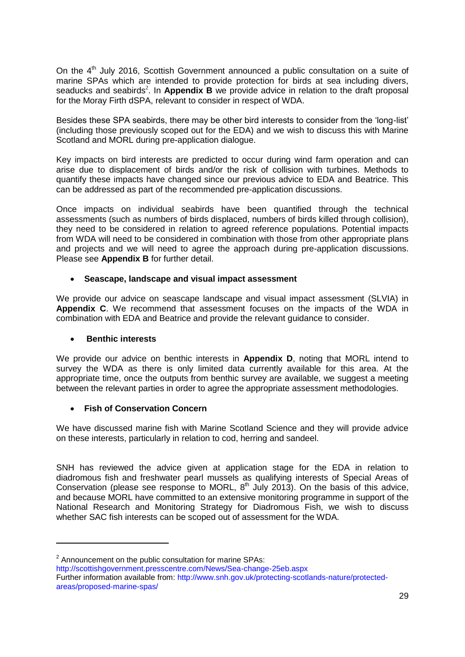On the  $4<sup>th</sup>$  July 2016, Scottish Government announced a public consultation on a suite of marine SPAs which are intended to provide protection for birds at sea including divers, seaducks and seabirds<sup>2</sup>. In **Appendix B** we provide advice in relation to the draft proposal for the Moray Firth dSPA, relevant to consider in respect of WDA.

Besides these SPA seabirds, there may be other bird interests to consider from the 'long-list' (including those previously scoped out for the EDA) and we wish to discuss this with Marine Scotland and MORL during pre-application dialogue.

Key impacts on bird interests are predicted to occur during wind farm operation and can arise due to displacement of birds and/or the risk of collision with turbines. Methods to quantify these impacts have changed since our previous advice to EDA and Beatrice. This can be addressed as part of the recommended pre-application discussions.

Once impacts on individual seabirds have been quantified through the technical assessments (such as numbers of birds displaced, numbers of birds killed through collision), they need to be considered in relation to agreed reference populations. Potential impacts from WDA will need to be considered in combination with those from other appropriate plans and projects and we will need to agree the approach during pre-application discussions. Please see **Appendix B** for further detail.

### **Seascape, landscape and visual impact assessment**

We provide our advice on seascape landscape and visual impact assessment (SLVIA) in **Appendix C**. We recommend that assessment focuses on the impacts of the WDA in combination with EDA and Beatrice and provide the relevant guidance to consider.

### **Benthic interests**

**.** 

We provide our advice on benthic interests in **Appendix D**, noting that MORL intend to survey the WDA as there is only limited data currently available for this area. At the appropriate time, once the outputs from benthic survey are available, we suggest a meeting between the relevant parties in order to agree the appropriate assessment methodologies.

### **Fish of Conservation Concern**

We have discussed marine fish with Marine Scotland Science and they will provide advice on these interests, particularly in relation to cod, herring and sandeel.

SNH has reviewed the advice given at application stage for the EDA in relation to diadromous fish and freshwater pearl mussels as qualifying interests of Special Areas of Conservation (please see response to MORL,  $8<sup>th</sup>$  July 2013). On the basis of this advice, and because MORL have committed to an extensive monitoring programme in support of the National Research and Monitoring Strategy for Diadromous Fish, we wish to discuss whether SAC fish interests can be scoped out of assessment for the WDA.

 $2$  Announcement on the public consultation for marine SPAs:

http://scottishgovernment.presscentre.com/News/Sea-change-25eb.aspx

Further information available from: http://www.snh.gov.uk/protecting-scotlands-nature/protectedareas/proposed-marine-spas/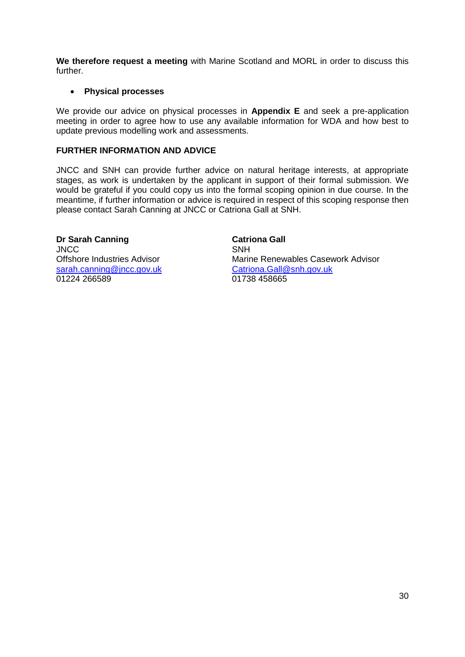**We therefore request a meeting** with Marine Scotland and MORL in order to discuss this further.

### **Physical processes**

We provide our advice on physical processes in **Appendix E** and seek a pre-application meeting in order to agree how to use any available information for WDA and how best to update previous modelling work and assessments.

### **FURTHER INFORMATION AND ADVICE**

JNCC and SNH can provide further advice on natural heritage interests, at appropriate stages, as work is undertaken by the applicant in support of their formal submission. We would be grateful if you could copy us into the formal scoping opinion in due course. In the meantime, if further information or advice is required in respect of this scoping response then please contact Sarah Canning at JNCC or Catriona Gall at SNH.

**Dr Sarah Canning JNCC** Offshore Industries Advisor [sarah.canning@jncc.gov.uk](mailto:sarah.canning@jncc.gov.uk) 01224 266589

**Catriona Gall** SNH Marine Renewables Casework Advisor [Catriona.Gall@snh.gov.uk](mailto:Catriona.Gall@snh.gov.uk) 01738 458665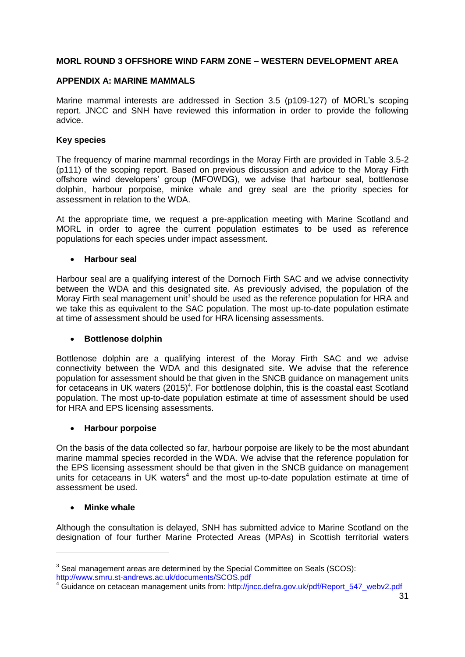### **MORL ROUND 3 OFFSHORE WIND FARM ZONE – WESTERN DEVELOPMENT AREA**

#### **APPENDIX A: MARINE MAMMALS**

Marine mammal interests are addressed in Section 3.5 (p109-127) of MORL's scoping report. JNCC and SNH have reviewed this information in order to provide the following advice.

#### **Key species**

The frequency of marine mammal recordings in the Moray Firth are provided in Table 3.5-2 (p111) of the scoping report. Based on previous discussion and advice to the Moray Firth offshore wind developers' group (MFOWDG), we advise that harbour seal, bottlenose dolphin, harbour porpoise, minke whale and grey seal are the priority species for assessment in relation to the WDA.

At the appropriate time, we request a pre-application meeting with Marine Scotland and MORL in order to agree the current population estimates to be used as reference populations for each species under impact assessment.

#### **Harbour seal**

Harbour seal are a qualifying interest of the Dornoch Firth SAC and we advise connectivity between the WDA and this designated site. As previously advised, the population of the Moray Firth seal management unit<sup>3</sup> should be used as the reference population for HRA and we take this as equivalent to the SAC population. The most up-to-date population estimate at time of assessment should be used for HRA licensing assessments.

#### **Bottlenose dolphin**

Bottlenose dolphin are a qualifying interest of the Moray Firth SAC and we advise connectivity between the WDA and this designated site. We advise that the reference population for assessment should be that given in the SNCB guidance on management units for cetaceans in UK waters  $(2015)^4$ . For bottlenose dolphin, this is the coastal east Scotland population. The most up-to-date population estimate at time of assessment should be used for HRA and EPS licensing assessments.

### **Harbour porpoise**

On the basis of the data collected so far, harbour porpoise are likely to be the most abundant marine mammal species recorded in the WDA. We advise that the reference population for the EPS licensing assessment should be that given in the SNCB guidance on management units for cetaceans in UK waters<sup>4</sup> and the most up-to-date population estimate at time of assessment be used.

#### **Minke whale**

1

Although the consultation is delayed, SNH has submitted advice to Marine Scotland on the designation of four further Marine Protected Areas (MPAs) in Scottish territorial waters

 $3$  Seal management areas are determined by the Special Committee on Seals (SCOS): http://www.smru.st-andrews.ac.uk/documents/SCOS.pdf

<sup>4</sup> Guidance on cetacean management units from: http://jncc.defra.gov.uk/pdf/Report\_547\_webv2.pdf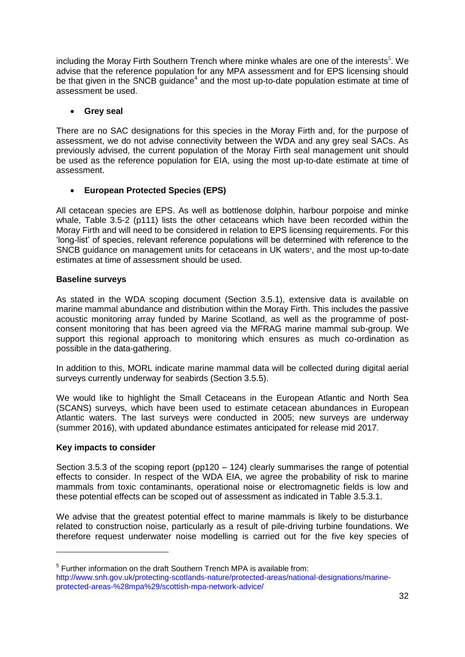including the Moray Firth Southern Trench where minke whales are one of the interests<sup>5</sup>. We advise that the reference population for any MPA assessment and for EPS licensing should be that given in the SNCB guidance<sup>4</sup> and the most up-to-date population estimate at time of assessment be used.

### **Grey seal**

There are no SAC designations for this species in the Moray Firth and, for the purpose of assessment, we do not advise connectivity between the WDA and any grey seal SACs. As previously advised, the current population of the Moray Firth seal management unit should be used as the reference population for EIA, using the most up-to-date estimate at time of assessment.

### **European Protected Species (EPS)**

All cetacean species are EPS. As well as bottlenose dolphin, harbour porpoise and minke whale, Table 3.5-2 (p111) lists the other cetaceans which have been recorded within the Moray Firth and will need to be considered in relation to EPS licensing requirements. For this 'long-list' of species, relevant reference populations will be determined with reference to the SNCB guidance on management units for cetaceans in UK waters<sup>4</sup>, and the most up-to-date estimates at time of assessment should be used.

### **Baseline surveys**

As stated in the WDA scoping document (Section 3.5.1), extensive data is available on marine mammal abundance and distribution within the Moray Firth. This includes the passive acoustic monitoring array funded by Marine Scotland, as well as the programme of postconsent monitoring that has been agreed via the MFRAG marine mammal sub-group. We support this regional approach to monitoring which ensures as much co-ordination as possible in the data-gathering.

In addition to this, MORL indicate marine mammal data will be collected during digital aerial surveys currently underway for seabirds (Section 3.5.5).

We would like to highlight the Small Cetaceans in the European Atlantic and North Sea (SCANS) surveys, which have been used to estimate cetacean abundances in European Atlantic waters. The last surveys were conducted in 2005; new surveys are underway (summer 2016), with updated abundance estimates anticipated for release mid 2017.

### **Key impacts to consider**

1

Section 3.5.3 of the scoping report ( $pp120 - 124$ ) clearly summarises the range of potential effects to consider. In respect of the WDA EIA, we agree the probability of risk to marine mammals from toxic contaminants, operational noise or electromagnetic fields is low and these potential effects can be scoped out of assessment as indicated in Table 3.5.3.1.

We advise that the greatest potential effect to marine mammals is likely to be disturbance related to construction noise, particularly as a result of pile-driving turbine foundations. We therefore request underwater noise modelling is carried out for the five key species of

<sup>&</sup>lt;sup>5</sup> Further information on the draft Southern Trench MPA is available from: http://www.snh.gov.uk/protecting-scotlands-nature/protected-areas/national-designations/marineprotected-areas-%28mpa%29/scottish-mpa-network-advice/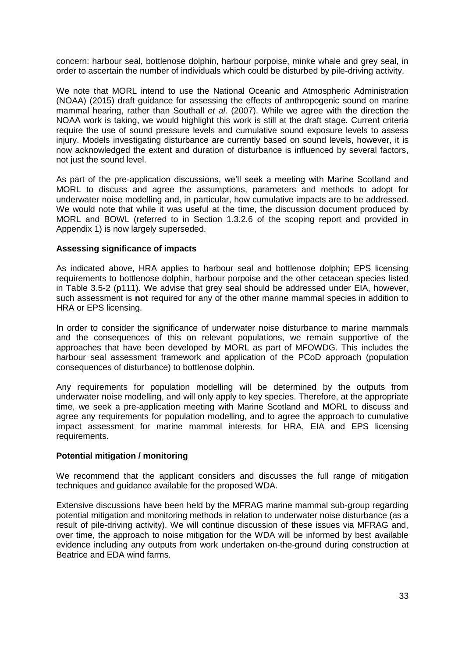concern: harbour seal, bottlenose dolphin, harbour porpoise, minke whale and grey seal, in order to ascertain the number of individuals which could be disturbed by pile-driving activity.

We note that MORL intend to use the National Oceanic and Atmospheric Administration (NOAA) (2015) draft guidance for assessing the effects of anthropogenic sound on marine mammal hearing, rather than Southall *et al*. (2007). While we agree with the direction the NOAA work is taking, we would highlight this work is still at the draft stage. Current criteria require the use of sound pressure levels and cumulative sound exposure levels to assess injury. Models investigating disturbance are currently based on sound levels, however, it is now acknowledged the extent and duration of disturbance is influenced by several factors, not just the sound level.

As part of the pre-application discussions, we'll seek a meeting with Marine Scotland and MORL to discuss and agree the assumptions, parameters and methods to adopt for underwater noise modelling and, in particular, how cumulative impacts are to be addressed. We would note that while it was useful at the time, the discussion document produced by MORL and BOWL (referred to in Section 1.3.2.6 of the scoping report and provided in Appendix 1) is now largely superseded.

#### **Assessing significance of impacts**

As indicated above, HRA applies to harbour seal and bottlenose dolphin; EPS licensing requirements to bottlenose dolphin, harbour porpoise and the other cetacean species listed in Table 3.5-2 (p111). We advise that grey seal should be addressed under EIA, however, such assessment is **not** required for any of the other marine mammal species in addition to HRA or EPS licensing.

In order to consider the significance of underwater noise disturbance to marine mammals and the consequences of this on relevant populations, we remain supportive of the approaches that have been developed by MORL as part of MFOWDG. This includes the harbour seal assessment framework and application of the PCoD approach (population consequences of disturbance) to bottlenose dolphin.

Any requirements for population modelling will be determined by the outputs from underwater noise modelling, and will only apply to key species. Therefore, at the appropriate time, we seek a pre-application meeting with Marine Scotland and MORL to discuss and agree any requirements for population modelling, and to agree the approach to cumulative impact assessment for marine mammal interests for HRA, EIA and EPS licensing requirements.

#### **Potential mitigation / monitoring**

We recommend that the applicant considers and discusses the full range of mitigation techniques and guidance available for the proposed WDA.

Extensive discussions have been held by the MFRAG marine mammal sub-group regarding potential mitigation and monitoring methods in relation to underwater noise disturbance (as a result of pile-driving activity). We will continue discussion of these issues via MFRAG and, over time, the approach to noise mitigation for the WDA will be informed by best available evidence including any outputs from work undertaken on-the-ground during construction at Beatrice and EDA wind farms.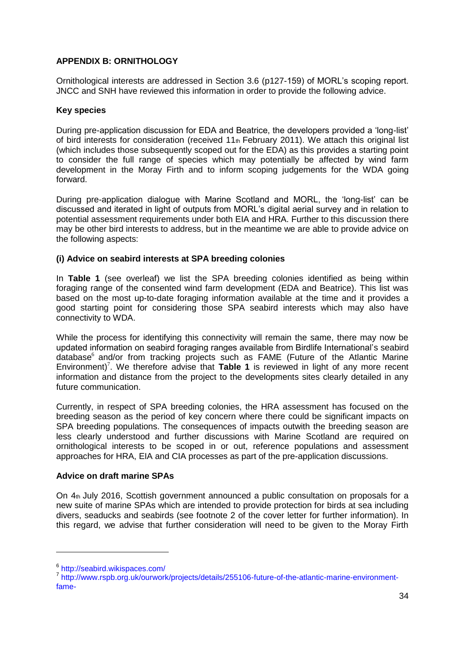### **APPENDIX B: ORNITHOLOGY**

Ornithological interests are addressed in Section 3.6 (p127-159) of MORL's scoping report. JNCC and SNH have reviewed this information in order to provide the following advice.

### **Key species**

During pre-application discussion for EDA and Beatrice, the developers provided a 'long-list' of bird interests for consideration (received  $11<sub>th</sub>$  February 2011). We attach this original list (which includes those subsequently scoped out for the EDA) as this provides a starting point to consider the full range of species which may potentially be affected by wind farm development in the Moray Firth and to inform scoping judgements for the WDA going forward.

During pre-application dialogue with Marine Scotland and MORL, the 'long-list' can be discussed and iterated in light of outputs from MORL's digital aerial survey and in relation to potential assessment requirements under both EIA and HRA. Further to this discussion there may be other bird interests to address, but in the meantime we are able to provide advice on the following aspects:

### **(i) Advice on seabird interests at SPA breeding colonies**

In **Table 1** (see overleaf) we list the SPA breeding colonies identified as being within foraging range of the consented wind farm development (EDA and Beatrice). This list was based on the most up-to-date foraging information available at the time and it provides a good starting point for considering those SPA seabird interests which may also have connectivity to WDA.

While the process for identifying this connectivity will remain the same, there may now be updated information on seabird foraging ranges available from Birdlife International's seabird database<sup>6</sup> and/or from tracking projects such as FAME (Future of the Atlantic Marine Environment)<sup>7</sup>. We therefore advise that Table 1 is reviewed in light of any more recent information and distance from the project to the developments sites clearly detailed in any future communication.

Currently, in respect of SPA breeding colonies, the HRA assessment has focused on the breeding season as the period of key concern where there could be significant impacts on SPA breeding populations. The consequences of impacts outwith the breeding season are less clearly understood and further discussions with Marine Scotland are required on ornithological interests to be scoped in or out, reference populations and assessment approaches for HRA, EIA and CIA processes as part of the pre-application discussions.

#### **Advice on draft marine SPAs**

On 4th July 2016, Scottish government announced a public consultation on proposals for a new suite of marine SPAs which are intended to provide protection for birds at sea including divers, seaducks and seabirds (see footnote 2 of the cover letter for further information). In this regard, we advise that further consideration will need to be given to the Moray Firth

1

<sup>6</sup> http://seabird.wikispaces.com/

<sup>&</sup>lt;sup>7</sup> http://www.rspb.org.uk/ourwork/projects/details/255106-future-of-the-atlantic-marine-environmentfame-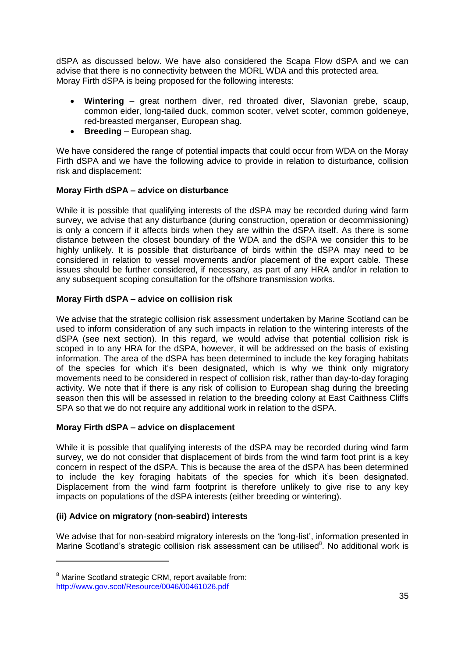dSPA as discussed below. We have also considered the Scapa Flow dSPA and we can advise that there is no connectivity between the MORL WDA and this protected area. Moray Firth dSPA is being proposed for the following interests:

- **Wintering**  great northern diver, red throated diver, Slavonian grebe, scaup, common eider, long-tailed duck, common scoter, velvet scoter, common goldeneye, red-breasted merganser, European shag.
- **Breeding**  European shag.

We have considered the range of potential impacts that could occur from WDA on the Moray Firth dSPA and we have the following advice to provide in relation to disturbance, collision risk and displacement:

### **Moray Firth dSPA – advice on disturbance**

While it is possible that qualifying interests of the dSPA may be recorded during wind farm survey, we advise that any disturbance (during construction, operation or decommissioning) is only a concern if it affects birds when they are within the dSPA itself. As there is some distance between the closest boundary of the WDA and the dSPA we consider this to be highly unlikely. It is possible that disturbance of birds within the dSPA may need to be considered in relation to vessel movements and/or placement of the export cable. These issues should be further considered, if necessary, as part of any HRA and/or in relation to any subsequent scoping consultation for the offshore transmission works.

### **Moray Firth dSPA – advice on collision risk**

We advise that the strategic collision risk assessment undertaken by Marine Scotland can be used to inform consideration of any such impacts in relation to the wintering interests of the dSPA (see next section). In this regard, we would advise that potential collision risk is scoped in to any HRA for the dSPA, however, it will be addressed on the basis of existing information. The area of the dSPA has been determined to include the key foraging habitats of the species for which it's been designated, which is why we think only migratory movements need to be considered in respect of collision risk, rather than day-to-day foraging activity. We note that if there is any risk of collision to European shag during the breeding season then this will be assessed in relation to the breeding colony at East Caithness Cliffs SPA so that we do not require any additional work in relation to the dSPA.

### **Moray Firth dSPA – advice on displacement**

While it is possible that qualifying interests of the dSPA may be recorded during wind farm survey, we do not consider that displacement of birds from the wind farm foot print is a key concern in respect of the dSPA. This is because the area of the dSPA has been determined to include the key foraging habitats of the species for which it's been designated. Displacement from the wind farm footprint is therefore unlikely to give rise to any key impacts on populations of the dSPA interests (either breeding or wintering).

### **(ii) Advice on migratory (non-seabird) interests**

We advise that for non-seabird migratory interests on the 'long-list', information presented in Marine Scotland's strategic collision risk assessment can be utilised<sup>8</sup>. No additional work is

**.** 

<sup>&</sup>lt;sup>8</sup> Marine Scotland strategic CRM, report available from:

http://www.gov.scot/Resource/0046/00461026.pdf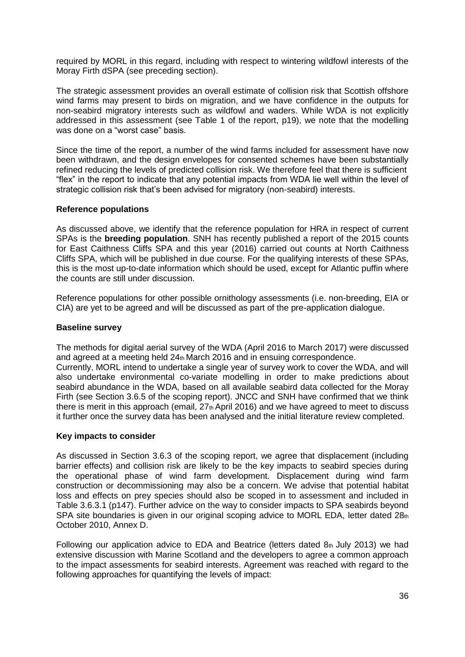required by MORL in this regard, including with respect to wintering wildfowl interests of the Moray Firth dSPA (see preceding section).

The strategic assessment provides an overall estimate of collision risk that Scottish offshore wind farms may present to birds on migration, and we have confidence in the outputs for non-seabird migratory interests such as wildfowl and waders. While WDA is not explicitly addressed in this assessment (see Table 1 of the report, p19), we note that the modelling was done on a "worst case" basis.

Since the time of the report, a number of the wind farms included for assessment have now been withdrawn, and the design envelopes for consented schemes have been substantially refined reducing the levels of predicted collision risk. We therefore feel that there is sufficient "flex" in the report to indicate that any potential impacts from WDA lie well within the level of strategic collision risk that's been advised for migratory (non-seabird) interests.

#### **Reference populations**

As discussed above, we identify that the reference population for HRA in respect of current SPAs is the **breeding population**. SNH has recently published a report of the 2015 counts for East Caithness Cliffs SPA and this year (2016) carried out counts at North Caithness Cliffs SPA, which will be published in due course. For the qualifying interests of these SPAs, this is the most up-to-date information which should be used, except for Atlantic puffin where the counts are still under discussion.

Reference populations for other possible ornithology assessments (i.e. non-breeding, EIA or CIA) are yet to be agreed and will be discussed as part of the pre-application dialogue.

#### **Baseline survey**

The methods for digital aerial survey of the WDA (April 2016 to March 2017) were discussed and agreed at a meeting held  $24<sub>th</sub>$  March 2016 and in ensuing correspondence.

Currently, MORL intend to undertake a single year of survey work to cover the WDA, and will also undertake environmental co-variate modelling in order to make predictions about seabird abundance in the WDA, based on all available seabird data collected for the Moray Firth (see Section 3.6.5 of the scoping report). JNCC and SNH have confirmed that we think there is merit in this approach (email,  $27<sub>th</sub>$  April 2016) and we have agreed to meet to discuss it further once the survey data has been analysed and the initial literature review completed.

### **Key impacts to consider**

As discussed in Section 3.6.3 of the scoping report, we agree that displacement (including barrier effects) and collision risk are likely to be the key impacts to seabird species during the operational phase of wind farm development. Displacement during wind farm construction or decommissioning may also be a concern. We advise that potential habitat loss and effects on prey species should also be scoped in to assessment and included in Table 3.6.3.1 (p147). Further advice on the way to consider impacts to SPA seabirds beyond SPA site boundaries is given in our original scoping advice to MORL EDA, letter dated 28th October 2010, Annex D.

Following our application advice to EDA and Beatrice (letters dated  $8<sub>th</sub>$  July 2013) we had extensive discussion with Marine Scotland and the developers to agree a common approach to the impact assessments for seabird interests. Agreement was reached with regard to the following approaches for quantifying the levels of impact: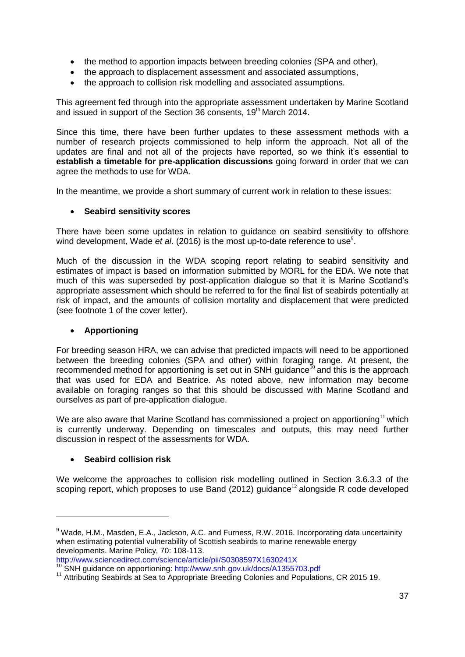- the method to apportion impacts between breeding colonies (SPA and other),
- the approach to displacement assessment and associated assumptions,
- the approach to collision risk modelling and associated assumptions.

This agreement fed through into the appropriate assessment undertaken by Marine Scotland and issued in support of the Section 36 consents, 19<sup>th</sup> March 2014.

Since this time, there have been further updates to these assessment methods with a number of research projects commissioned to help inform the approach. Not all of the updates are final and not all of the projects have reported, so we think it's essential to **establish a timetable for pre-application discussions** going forward in order that we can agree the methods to use for WDA.

In the meantime, we provide a short summary of current work in relation to these issues:

### **Seabird sensitivity scores**

There have been some updates in relation to guidance on seabird sensitivity to offshore wind development, Wade et al. (2016) is the most up-to-date reference to use<sup>9</sup>.

Much of the discussion in the WDA scoping report relating to seabird sensitivity and estimates of impact is based on information submitted by MORL for the EDA. We note that much of this was superseded by post-application dialogue so that it is Marine Scotland's appropriate assessment which should be referred to for the final list of seabirds potentially at risk of impact, and the amounts of collision mortality and displacement that were predicted (see footnote 1 of the cover letter).

## **Apportioning**

For breeding season HRA, we can advise that predicted impacts will need to be apportioned between the breeding colonies (SPA and other) within foraging range. At present, the recommended method for apportioning is set out in SNH guidance<sup>10</sup> and this is the approach that was used for EDA and Beatrice. As noted above, new information may become available on foraging ranges so that this should be discussed with Marine Scotland and ourselves as part of pre-application dialogue.

We are also aware that Marine Scotland has commissioned a project on apportioning<sup>11</sup> which is currently underway. Depending on timescales and outputs, this may need further discussion in respect of the assessments for WDA.

### **Seabird collision risk**

**.** 

We welcome the approaches to collision risk modelling outlined in Section 3.6.3.3 of the scoping report, which proposes to use Band (2012) guidance<sup>12</sup> alongside R code developed

<sup>&</sup>lt;sup>9</sup> Wade, H.M., Masden, E.A., Jackson, A.C. and Furness, R.W. 2016. Incorporating data uncertainity when estimating potential vulnerability of Scottish seabirds to marine renewable energy developments. Marine Policy, 70: 108-113.

http://www.sciencedirect.com/science/article/pii/S0308597X1630241X

<sup>10</sup> SNH guidance on apportioning: http://www.snh.gov.uk/docs/A1355703.pdf

<sup>&</sup>lt;sup>11</sup> Attributing Seabirds at Sea to Appropriate Breeding Colonies and Populations, CR 2015 19.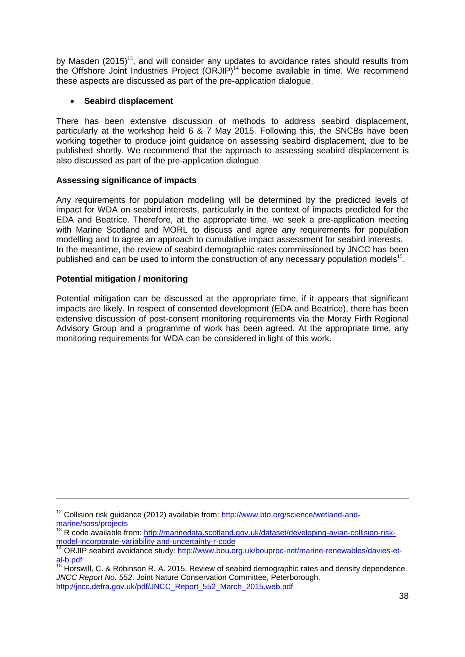by Masden  $(2015)^{13}$ , and will consider any updates to avoidance rates should results from the Offshore Joint Industries Project  $(ORIIP)^{14}$  become available in time. We recommend these aspects are discussed as part of the pre-application dialogue.

## **Seabird displacement**

There has been extensive discussion of methods to address seabird displacement, particularly at the workshop held 6 & 7 May 2015. Following this, the SNCBs have been working together to produce joint guidance on assessing seabird displacement, due to be published shortly. We recommend that the approach to assessing seabird displacement is also discussed as part of the pre-application dialogue.

## **Assessing significance of impacts**

Any requirements for population modelling will be determined by the predicted levels of impact for WDA on seabird interests, particularly in the context of impacts predicted for the EDA and Beatrice. Therefore, at the appropriate time, we seek a pre-application meeting with Marine Scotland and MORL to discuss and agree any requirements for population modelling and to agree an approach to cumulative impact assessment for seabird interests. In the meantime, the review of seabird demographic rates commissioned by JNCC has been published and can be used to inform the construction of any necessary population models<sup>15</sup>.

## **Potential mitigation / monitoring**

1

Potential mitigation can be discussed at the appropriate time, if it appears that significant impacts are likely. In respect of consented development (EDA and Beatrice), there has been extensive discussion of post-consent monitoring requirements via the Moray Firth Regional Advisory Group and a programme of work has been agreed. At the appropriate time, any monitoring requirements for WDA can be considered in light of this work.

<sup>&</sup>lt;sup>12</sup> Collision risk guidance (2012) available from: http://www.bto.org/science/wetland-andmarine/soss/projects

<sup>&</sup>lt;sup>13</sup> R code available from: [http://marinedata.scotland.gov.uk/dataset/developing-avian-collision-risk](http://marinedata.scotland.gov.uk/dataset/developing-avian-collision-risk-model-incorporate-variability-and-uncertainty-r-code)[model-incorporate-variability-and-uncertainty-r-code](http://marinedata.scotland.gov.uk/dataset/developing-avian-collision-risk-model-incorporate-variability-and-uncertainty-r-code)

<sup>&</sup>lt;sup>14</sup> ORJIP seabird avoidance study: http://www.bou.org.uk/bouproc-net/marine-renewables/davies-etal-b.pdf

 $15$  Horswill, C. & Robinson R. A. 2015. Review of seabird demographic rates and density dependence. *JNCC Report No. 552*. Joint Nature Conservation Committee, Peterborough.

http://jncc.defra.gov.uk/pdf/JNCC\_Report\_552\_March\_2015.web.pdf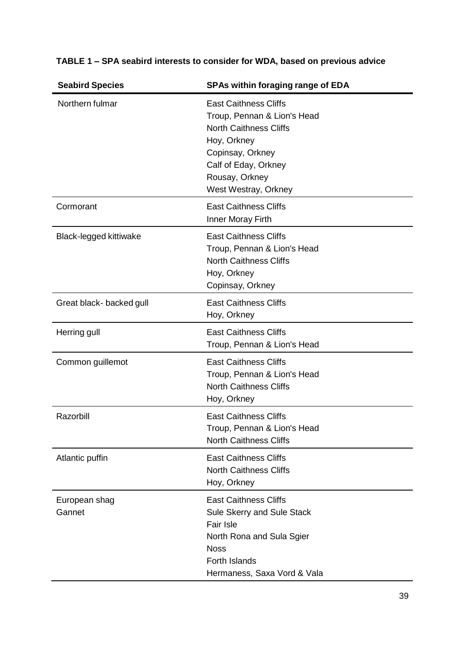| <b>Seabird Species</b>   | <b>SPAs within foraging range of EDA</b>                                                                                                                                                          |
|--------------------------|---------------------------------------------------------------------------------------------------------------------------------------------------------------------------------------------------|
| Northern fulmar          | <b>East Caithness Cliffs</b><br>Troup, Pennan & Lion's Head<br><b>North Caithness Cliffs</b><br>Hoy, Orkney<br>Copinsay, Orkney<br>Calf of Eday, Orkney<br>Rousay, Orkney<br>West Westray, Orkney |
| Cormorant                | <b>East Caithness Cliffs</b><br>Inner Moray Firth                                                                                                                                                 |
| Black-legged kittiwake   | <b>East Caithness Cliffs</b><br>Troup, Pennan & Lion's Head<br><b>North Caithness Cliffs</b><br>Hoy, Orkney<br>Copinsay, Orkney                                                                   |
| Great black- backed gull | <b>East Caithness Cliffs</b><br>Hoy, Orkney                                                                                                                                                       |
| Herring gull             | <b>East Caithness Cliffs</b><br>Troup, Pennan & Lion's Head                                                                                                                                       |
| Common guillemot         | <b>East Caithness Cliffs</b><br>Troup, Pennan & Lion's Head<br><b>North Caithness Cliffs</b><br>Hoy, Orkney                                                                                       |
| Razorbill                | <b>East Caithness Cliffs</b><br>Troup, Pennan & Lion's Head<br><b>North Caithness Cliffs</b>                                                                                                      |
| Atlantic puffin          | <b>East Caithness Cliffs</b><br><b>North Caithness Cliffs</b><br>Hoy, Orkney                                                                                                                      |
| European shag<br>Gannet  | <b>East Caithness Cliffs</b><br>Sule Skerry and Sule Stack<br><b>Fair Isle</b><br>North Rona and Sula Sgier<br><b>Noss</b><br><b>Forth Islands</b><br>Hermaness, Saxa Vord & Vala                 |

# **TABLE 1 – SPA seabird interests to consider for WDA, based on previous advice**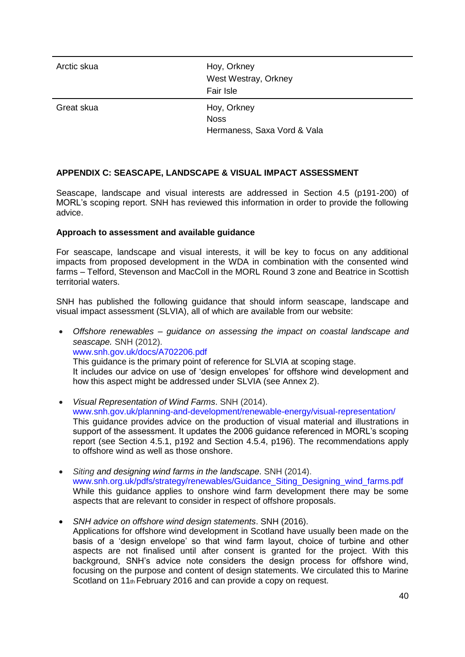| Arctic skua | Hoy, Orkney<br>West Westray, Orkney<br>Fair Isle          |
|-------------|-----------------------------------------------------------|
| Great skua  | Hoy, Orkney<br><b>Noss</b><br>Hermaness, Saxa Vord & Vala |

## **APPENDIX C: SEASCAPE, LANDSCAPE & VISUAL IMPACT ASSESSMENT**

Seascape, landscape and visual interests are addressed in Section 4.5 (p191-200) of MORL's scoping report. SNH has reviewed this information in order to provide the following advice.

### **Approach to assessment and available guidance**

For seascape, landscape and visual interests, it will be key to focus on any additional impacts from proposed development in the WDA in combination with the consented wind farms – Telford, Stevenson and MacColl in the MORL Round 3 zone and Beatrice in Scottish territorial waters.

SNH has published the following guidance that should inform seascape, landscape and visual impact assessment (SLVIA), all of which are available from our website:

- *Offshore renewables – guidance on assessing the impact on coastal landscape and seascape.* SNH (2012). www.snh.gov.uk/docs/A702206.pdf This guidance is the primary point of reference for SLVIA at scoping stage. It includes our advice on use of 'design envelopes' for offshore wind development and how this aspect might be addressed under SLVIA (see Annex 2).
- *Visual Representation of Wind Farms*. SNH (2014). www.snh.gov.uk/planning-and-development/renewable-energy/visual-representation/ This guidance provides advice on the production of visual material and illustrations in support of the assessment. It updates the 2006 quidance referenced in MORL's scoping report (see Section 4.5.1, p192 and Section 4.5.4, p196). The recommendations apply to offshore wind as well as those onshore.
- *Siting and designing wind farms in the landscape*. SNH (2014). www.snh.org.uk/pdfs/strategy/renewables/Guidance\_Siting\_Designing\_wind\_farms.pdf While this guidance applies to onshore wind farm development there may be some aspects that are relevant to consider in respect of offshore proposals.
- *SNH advice on offshore wind design statements*. SNH (2016). Applications for offshore wind development in Scotland have usually been made on the basis of a 'design envelope' so that wind farm layout, choice of turbine and other aspects are not finalised until after consent is granted for the project. With this background, SNH's advice note considers the design process for offshore wind, focusing on the purpose and content of design statements. We circulated this to Marine Scotland on 11<sup>th</sup> February 2016 and can provide a copy on request.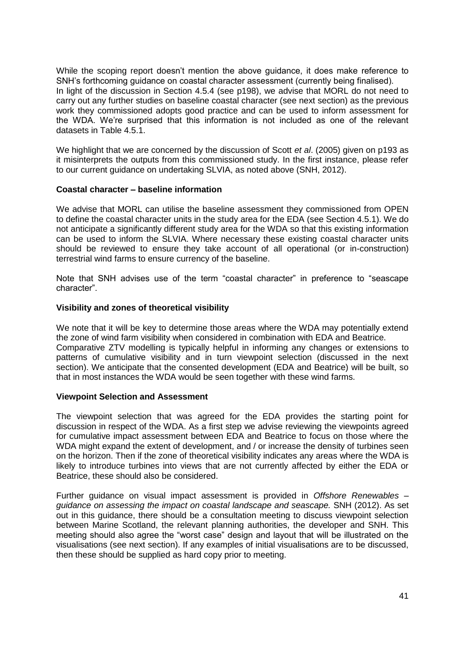While the scoping report doesn't mention the above guidance, it does make reference to SNH's forthcoming guidance on coastal character assessment (currently being finalised). In light of the discussion in Section 4.5.4 (see p198), we advise that MORL do not need to carry out any further studies on baseline coastal character (see next section) as the previous work they commissioned adopts good practice and can be used to inform assessment for the WDA. We're surprised that this information is not included as one of the relevant datasets in Table 4.5.1.

We highlight that we are concerned by the discussion of Scott *et al*. (2005) given on p193 as it misinterprets the outputs from this commissioned study. In the first instance, please refer to our current guidance on undertaking SLVIA, as noted above (SNH, 2012).

#### **Coastal character – baseline information**

We advise that MORL can utilise the baseline assessment they commissioned from OPEN to define the coastal character units in the study area for the EDA (see Section 4.5.1). We do not anticipate a significantly different study area for the WDA so that this existing information can be used to inform the SLVIA. Where necessary these existing coastal character units should be reviewed to ensure they take account of all operational (or in-construction) terrestrial wind farms to ensure currency of the baseline.

Note that SNH advises use of the term "coastal character" in preference to "seascape character".

#### **Visibility and zones of theoretical visibility**

We note that it will be key to determine those areas where the WDA may potentially extend the zone of wind farm visibility when considered in combination with EDA and Beatrice. Comparative ZTV modelling is typically helpful in informing any changes or extensions to patterns of cumulative visibility and in turn viewpoint selection (discussed in the next section). We anticipate that the consented development (EDA and Beatrice) will be built, so that in most instances the WDA would be seen together with these wind farms.

#### **Viewpoint Selection and Assessment**

The viewpoint selection that was agreed for the EDA provides the starting point for discussion in respect of the WDA. As a first step we advise reviewing the viewpoints agreed for cumulative impact assessment between EDA and Beatrice to focus on those where the WDA might expand the extent of development, and / or increase the density of turbines seen on the horizon. Then if the zone of theoretical visibility indicates any areas where the WDA is likely to introduce turbines into views that are not currently affected by either the EDA or Beatrice, these should also be considered.

Further guidance on visual impact assessment is provided in *Offshore Renewables – guidance on assessing the impact on coastal landscape and seascape.* SNH (2012). As set out in this guidance, there should be a consultation meeting to discuss viewpoint selection between Marine Scotland, the relevant planning authorities, the developer and SNH. This meeting should also agree the "worst case" design and layout that will be illustrated on the visualisations (see next section). If any examples of initial visualisations are to be discussed, then these should be supplied as hard copy prior to meeting.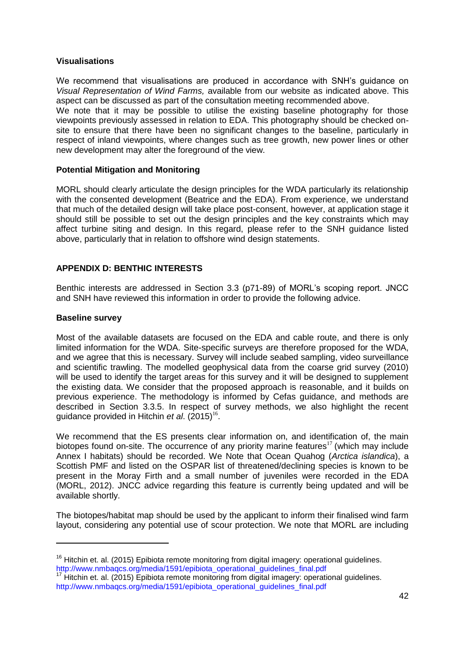#### **Visualisations**

We recommend that visualisations are produced in accordance with SNH's guidance on *Visual Representation of Wind Farms,* available from our website as indicated above. This aspect can be discussed as part of the consultation meeting recommended above.

We note that it may be possible to utilise the existing baseline photography for those viewpoints previously assessed in relation to EDA. This photography should be checked onsite to ensure that there have been no significant changes to the baseline, particularly in respect of inland viewpoints, where changes such as tree growth, new power lines or other new development may alter the foreground of the view.

#### **Potential Mitigation and Monitoring**

MORL should clearly articulate the design principles for the WDA particularly its relationship with the consented development (Beatrice and the EDA). From experience, we understand that much of the detailed design will take place post-consent, however, at application stage it should still be possible to set out the design principles and the key constraints which may affect turbine siting and design. In this regard, please refer to the SNH guidance listed above, particularly that in relation to offshore wind design statements.

### **APPENDIX D: BENTHIC INTERESTS**

Benthic interests are addressed in Section 3.3 (p71-89) of MORL's scoping report. JNCC and SNH have reviewed this information in order to provide the following advice.

#### **Baseline survey**

**.** 

Most of the available datasets are focused on the EDA and cable route, and there is only limited information for the WDA. Site-specific surveys are therefore proposed for the WDA, and we agree that this is necessary. Survey will include seabed sampling, video surveillance and scientific trawling. The modelled geophysical data from the coarse grid survey (2010) will be used to identify the target areas for this survey and it will be designed to supplement the existing data. We consider that the proposed approach is reasonable, and it builds on previous experience. The methodology is informed by Cefas guidance, and methods are described in Section 3.3.5. In respect of survey methods, we also highlight the recent guidance provided in Hitchin *et al.* (2015)<sup>16</sup>.

We recommend that the ES presents clear information on, and identification of, the main biotopes found on-site. The occurrence of any priority marine features<sup>17</sup> (which may include Annex I habitats) should be recorded. We Note that Ocean Quahog (*Arctica islandica*), a Scottish PMF and listed on the OSPAR list of threatened/declining species is known to be present in the Moray Firth and a small number of juveniles were recorded in the EDA (MORL, 2012). JNCC advice regarding this feature is currently being updated and will be available shortly.

The biotopes/habitat map should be used by the applicant to inform their finalised wind farm layout, considering any potential use of scour protection. We note that MORL are including

<sup>&</sup>lt;sup>16</sup> Hitchin et. al. (2015) Epibiota remote monitoring from digital imagery: operational guidelines. http://www.nmbaqcs.org/media/1591/epibiota\_operational\_guidelines\_final.pdf

 $17$  Hitchin et. al. (2015) Epibiota remote monitoring from digital imagery: operational guidelines. http://www.nmbaqcs.org/media/1591/epibiota\_operational\_quidelines\_final.pdf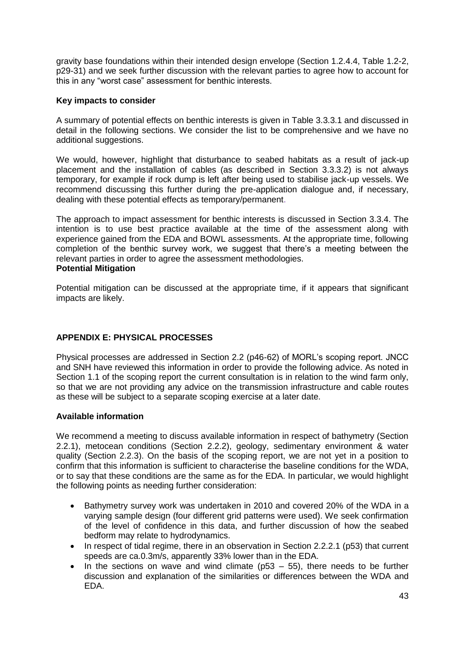gravity base foundations within their intended design envelope (Section 1.2.4.4, Table 1.2-2, p29-31) and we seek further discussion with the relevant parties to agree how to account for this in any "worst case" assessment for benthic interests.

#### **Key impacts to consider**

A summary of potential effects on benthic interests is given in Table 3.3.3.1 and discussed in detail in the following sections. We consider the list to be comprehensive and we have no additional suggestions.

We would, however, highlight that disturbance to seabed habitats as a result of jack-up placement and the installation of cables (as described in Section 3.3.3.2) is not always temporary, for example if rock dump is left after being used to stabilise jack-up vessels. We recommend discussing this further during the pre-application dialogue and, if necessary, dealing with these potential effects as temporary/permanent.

The approach to impact assessment for benthic interests is discussed in Section 3.3.4. The intention is to use best practice available at the time of the assessment along with experience gained from the EDA and BOWL assessments. At the appropriate time, following completion of the benthic survey work, we suggest that there's a meeting between the relevant parties in order to agree the assessment methodologies. **Potential Mitigation** 

Potential mitigation can be discussed at the appropriate time, if it appears that significant impacts are likely.

## **APPENDIX E: PHYSICAL PROCESSES**

Physical processes are addressed in Section 2.2 (p46-62) of MORL's scoping report. JNCC and SNH have reviewed this information in order to provide the following advice. As noted in Section 1.1 of the scoping report the current consultation is in relation to the wind farm only, so that we are not providing any advice on the transmission infrastructure and cable routes as these will be subject to a separate scoping exercise at a later date.

### **Available information**

We recommend a meeting to discuss available information in respect of bathymetry (Section 2.2.1), metocean conditions (Section 2.2.2), geology, sedimentary environment & water quality (Section 2.2.3). On the basis of the scoping report, we are not yet in a position to confirm that this information is sufficient to characterise the baseline conditions for the WDA, or to say that these conditions are the same as for the EDA. In particular, we would highlight the following points as needing further consideration:

- Bathymetry survey work was undertaken in 2010 and covered 20% of the WDA in a varying sample design (four different grid patterns were used). We seek confirmation of the level of confidence in this data, and further discussion of how the seabed bedform may relate to hydrodynamics.
- In respect of tidal regime, there in an observation in Section 2.2.2.1 (p53) that current speeds are ca.0.3m/s, apparently 33% lower than in the EDA.
- In the sections on wave and wind climate ( $p53 55$ ), there needs to be further discussion and explanation of the similarities or differences between the WDA and EDA.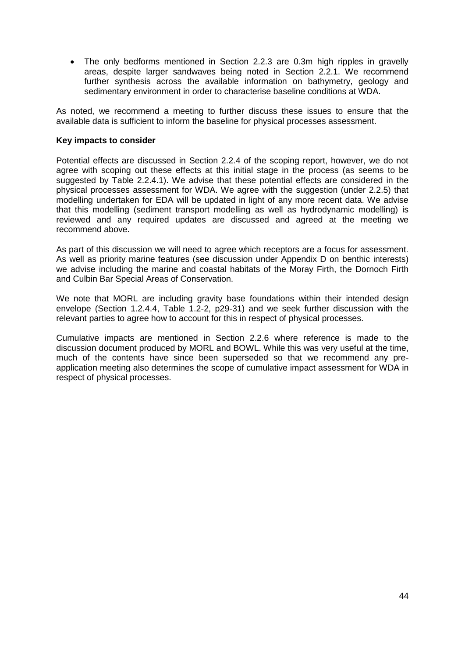The only bedforms mentioned in Section 2.2.3 are 0.3m high ripples in gravelly areas, despite larger sandwaves being noted in Section 2.2.1. We recommend further synthesis across the available information on bathymetry, geology and sedimentary environment in order to characterise baseline conditions at WDA.

As noted, we recommend a meeting to further discuss these issues to ensure that the available data is sufficient to inform the baseline for physical processes assessment.

#### **Key impacts to consider**

Potential effects are discussed in Section 2.2.4 of the scoping report, however, we do not agree with scoping out these effects at this initial stage in the process (as seems to be suggested by Table 2.2.4.1). We advise that these potential effects are considered in the physical processes assessment for WDA. We agree with the suggestion (under 2.2.5) that modelling undertaken for EDA will be updated in light of any more recent data. We advise that this modelling (sediment transport modelling as well as hydrodynamic modelling) is reviewed and any required updates are discussed and agreed at the meeting we recommend above.

As part of this discussion we will need to agree which receptors are a focus for assessment. As well as priority marine features (see discussion under Appendix D on benthic interests) we advise including the marine and coastal habitats of the Moray Firth, the Dornoch Firth and Culbin Bar Special Areas of Conservation.

We note that MORL are including gravity base foundations within their intended design envelope (Section 1.2.4.4, Table 1.2-2, p29-31) and we seek further discussion with the relevant parties to agree how to account for this in respect of physical processes.

Cumulative impacts are mentioned in Section 2.2.6 where reference is made to the discussion document produced by MORL and BOWL. While this was very useful at the time, much of the contents have since been superseded so that we recommend any preapplication meeting also determines the scope of cumulative impact assessment for WDA in respect of physical processes.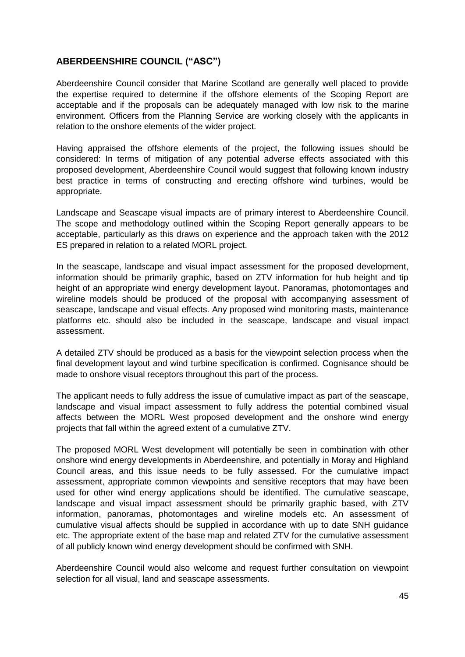## **ABERDEENSHIRE COUNCIL ("ASC")**

Aberdeenshire Council consider that Marine Scotland are generally well placed to provide the expertise required to determine if the offshore elements of the Scoping Report are acceptable and if the proposals can be adequately managed with low risk to the marine environment. Officers from the Planning Service are working closely with the applicants in relation to the onshore elements of the wider project.

Having appraised the offshore elements of the project, the following issues should be considered: In terms of mitigation of any potential adverse effects associated with this proposed development, Aberdeenshire Council would suggest that following known industry best practice in terms of constructing and erecting offshore wind turbines, would be appropriate.

Landscape and Seascape visual impacts are of primary interest to Aberdeenshire Council. The scope and methodology outlined within the Scoping Report generally appears to be acceptable, particularly as this draws on experience and the approach taken with the 2012 ES prepared in relation to a related MORL project.

In the seascape, landscape and visual impact assessment for the proposed development, information should be primarily graphic, based on ZTV information for hub height and tip height of an appropriate wind energy development layout. Panoramas, photomontages and wireline models should be produced of the proposal with accompanying assessment of seascape, landscape and visual effects. Any proposed wind monitoring masts, maintenance platforms etc. should also be included in the seascape, landscape and visual impact assessment.

A detailed ZTV should be produced as a basis for the viewpoint selection process when the final development layout and wind turbine specification is confirmed. Cognisance should be made to onshore visual receptors throughout this part of the process.

The applicant needs to fully address the issue of cumulative impact as part of the seascape, landscape and visual impact assessment to fully address the potential combined visual affects between the MORL West proposed development and the onshore wind energy projects that fall within the agreed extent of a cumulative ZTV.

The proposed MORL West development will potentially be seen in combination with other onshore wind energy developments in Aberdeenshire, and potentially in Moray and Highland Council areas, and this issue needs to be fully assessed. For the cumulative impact assessment, appropriate common viewpoints and sensitive receptors that may have been used for other wind energy applications should be identified. The cumulative seascape, landscape and visual impact assessment should be primarily graphic based, with ZTV information, panoramas, photomontages and wireline models etc. An assessment of cumulative visual affects should be supplied in accordance with up to date SNH guidance etc. The appropriate extent of the base map and related ZTV for the cumulative assessment of all publicly known wind energy development should be confirmed with SNH.

Aberdeenshire Council would also welcome and request further consultation on viewpoint selection for all visual, land and seascape assessments.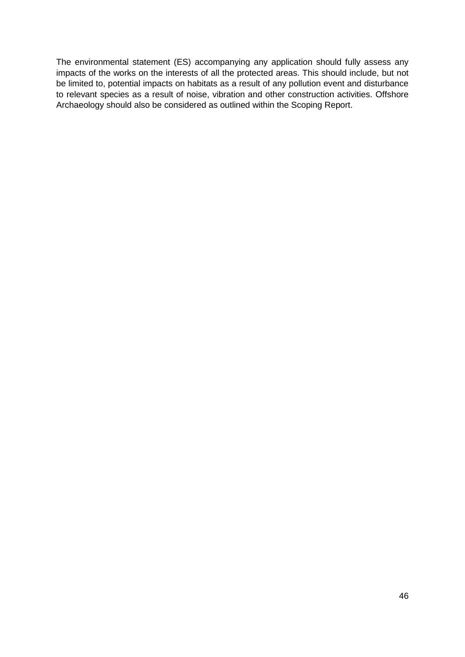The environmental statement (ES) accompanying any application should fully assess any impacts of the works on the interests of all the protected areas. This should include, but not be limited to, potential impacts on habitats as a result of any pollution event and disturbance to relevant species as a result of noise, vibration and other construction activities. Offshore Archaeology should also be considered as outlined within the Scoping Report.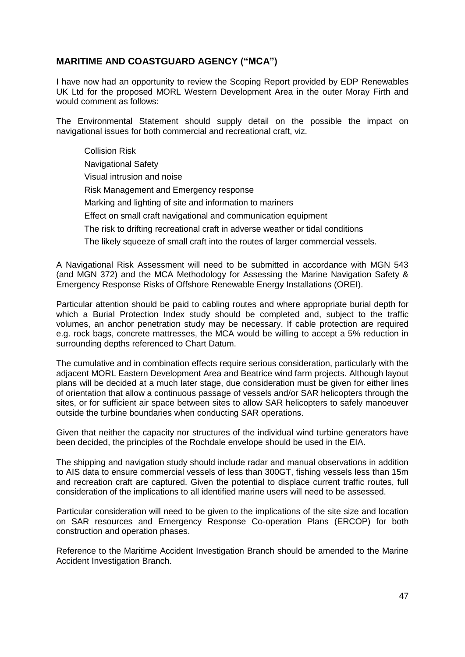## **MARITIME AND COASTGUARD AGENCY ("MCA")**

I have now had an opportunity to review the Scoping Report provided by EDP Renewables UK Ltd for the proposed MORL Western Development Area in the outer Moray Firth and would comment as follows:

The Environmental Statement should supply detail on the possible the impact on navigational issues for both commercial and recreational craft, viz.

Collision Risk Navigational Safety Visual intrusion and noise Risk Management and Emergency response Marking and lighting of site and information to mariners Effect on small craft navigational and communication equipment The risk to drifting recreational craft in adverse weather or tidal conditions The likely squeeze of small craft into the routes of larger commercial vessels.

A Navigational Risk Assessment will need to be submitted in accordance with MGN 543 (and MGN 372) and the MCA Methodology for Assessing the Marine Navigation Safety & Emergency Response Risks of Offshore Renewable Energy Installations (OREI).

Particular attention should be paid to cabling routes and where appropriate burial depth for which a Burial Protection Index study should be completed and, subject to the traffic volumes, an anchor penetration study may be necessary. If cable protection are required e.g. rock bags, concrete mattresses, the MCA would be willing to accept a 5% reduction in surrounding depths referenced to Chart Datum.

The cumulative and in combination effects require serious consideration, particularly with the adjacent MORL Eastern Development Area and Beatrice wind farm projects. Although layout plans will be decided at a much later stage, due consideration must be given for either lines of orientation that allow a continuous passage of vessels and/or SAR helicopters through the sites, or for sufficient air space between sites to allow SAR helicopters to safely manoeuver outside the turbine boundaries when conducting SAR operations.

Given that neither the capacity nor structures of the individual wind turbine generators have been decided, the principles of the Rochdale envelope should be used in the EIA.

The shipping and navigation study should include radar and manual observations in addition to AIS data to ensure commercial vessels of less than 300GT, fishing vessels less than 15m and recreation craft are captured. Given the potential to displace current traffic routes, full consideration of the implications to all identified marine users will need to be assessed.

Particular consideration will need to be given to the implications of the site size and location on SAR resources and Emergency Response Co-operation Plans (ERCOP) for both construction and operation phases.

Reference to the Maritime Accident Investigation Branch should be amended to the Marine Accident Investigation Branch.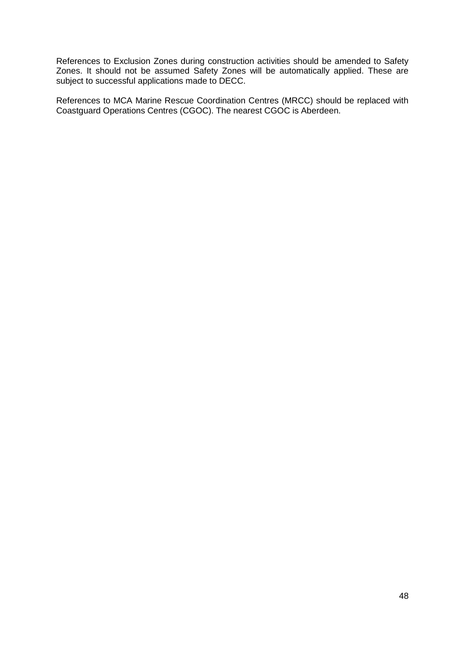References to Exclusion Zones during construction activities should be amended to Safety Zones. It should not be assumed Safety Zones will be automatically applied. These are subject to successful applications made to DECC.

References to MCA Marine Rescue Coordination Centres (MRCC) should be replaced with Coastguard Operations Centres (CGOC). The nearest CGOC is Aberdeen.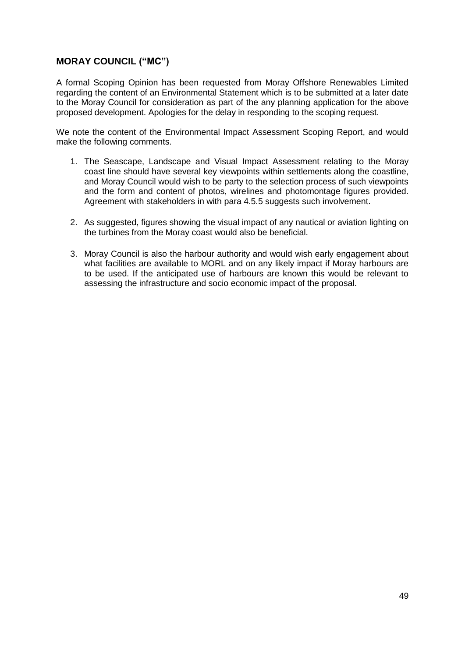## **MORAY COUNCIL ("MC")**

A formal Scoping Opinion has been requested from Moray Offshore Renewables Limited regarding the content of an Environmental Statement which is to be submitted at a later date to the Moray Council for consideration as part of the any planning application for the above proposed development. Apologies for the delay in responding to the scoping request.

We note the content of the Environmental Impact Assessment Scoping Report, and would make the following comments.

- 1. The Seascape, Landscape and Visual Impact Assessment relating to the Moray coast line should have several key viewpoints within settlements along the coastline, and Moray Council would wish to be party to the selection process of such viewpoints and the form and content of photos, wirelines and photomontage figures provided. Agreement with stakeholders in with para 4.5.5 suggests such involvement.
- 2. As suggested, figures showing the visual impact of any nautical or aviation lighting on the turbines from the Moray coast would also be beneficial.
- 3. Moray Council is also the harbour authority and would wish early engagement about what facilities are available to MORL and on any likely impact if Moray harbours are to be used. If the anticipated use of harbours are known this would be relevant to assessing the infrastructure and socio economic impact of the proposal.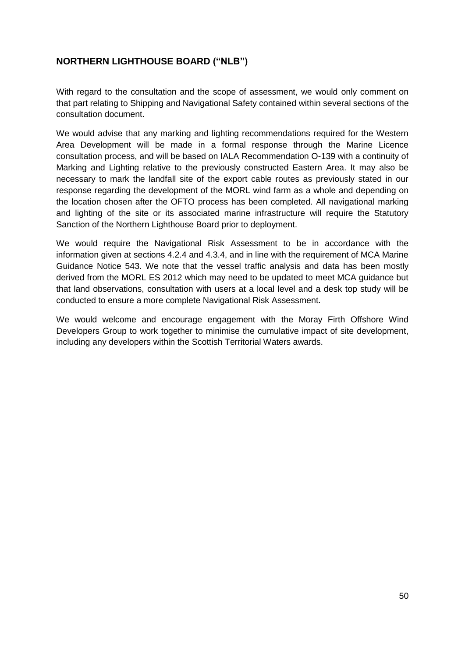## **NORTHERN LIGHTHOUSE BOARD ("NLB")**

With regard to the consultation and the scope of assessment, we would only comment on that part relating to Shipping and Navigational Safety contained within several sections of the consultation document.

We would advise that any marking and lighting recommendations required for the Western Area Development will be made in a formal response through the Marine Licence consultation process, and will be based on IALA Recommendation O-139 with a continuity of Marking and Lighting relative to the previously constructed Eastern Area. It may also be necessary to mark the landfall site of the export cable routes as previously stated in our response regarding the development of the MORL wind farm as a whole and depending on the location chosen after the OFTO process has been completed. All navigational marking and lighting of the site or its associated marine infrastructure will require the Statutory Sanction of the Northern Lighthouse Board prior to deployment.

We would require the Navigational Risk Assessment to be in accordance with the information given at sections 4.2.4 and 4.3.4, and in line with the requirement of MCA Marine Guidance Notice 543. We note that the vessel traffic analysis and data has been mostly derived from the MORL ES 2012 which may need to be updated to meet MCA guidance but that land observations, consultation with users at a local level and a desk top study will be conducted to ensure a more complete Navigational Risk Assessment.

We would welcome and encourage engagement with the Moray Firth Offshore Wind Developers Group to work together to minimise the cumulative impact of site development, including any developers within the Scottish Territorial Waters awards.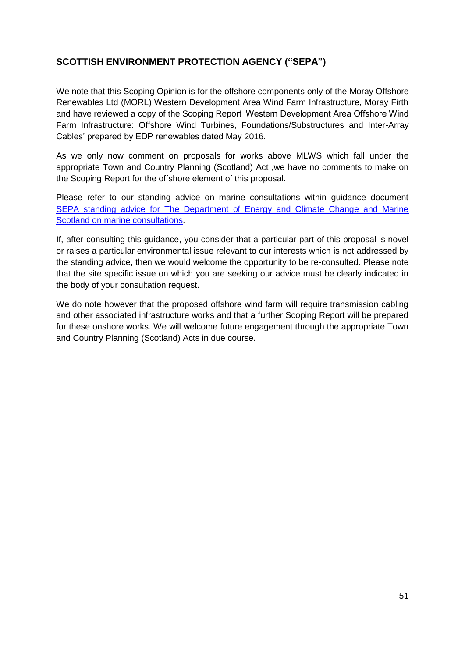## **SCOTTISH ENVIRONMENT PROTECTION AGENCY ("SEPA")**

We note that this Scoping Opinion is for the offshore components only of the Moray Offshore Renewables Ltd (MORL) Western Development Area Wind Farm Infrastructure, Moray Firth and have reviewed a copy of the Scoping Report 'Western Development Area Offshore Wind Farm Infrastructure: Offshore Wind Turbines, Foundations/Substructures and Inter-Array Cables' prepared by EDP renewables dated May 2016.

As we only now comment on proposals for works above MLWS which fall under the appropriate Town and Country Planning (Scotland) Act ,we have no comments to make on the Scoping Report for the offshore element of this proposal.

Please refer to our standing advice on marine consultations within guidance document [SEPA standing advice for The Department of Energy and Climate Change and Marine](http://www.sepa.org.uk/media/143312/lups-gu13-sepa-standing-advice-for-marine-scotland-on-small-scale-marine-licence-consultations.pdf)  [Scotland on marine consultations.](http://www.sepa.org.uk/media/143312/lups-gu13-sepa-standing-advice-for-marine-scotland-on-small-scale-marine-licence-consultations.pdf)

If, after consulting this guidance, you consider that a particular part of this proposal is novel or raises a particular environmental issue relevant to our interests which is not addressed by the standing advice, then we would welcome the opportunity to be re-consulted. Please note that the site specific issue on which you are seeking our advice must be clearly indicated in the body of your consultation request.

We do note however that the proposed offshore wind farm will require transmission cabling and other associated infrastructure works and that a further Scoping Report will be prepared for these onshore works. We will welcome future engagement through the appropriate Town and Country Planning (Scotland) Acts in due course.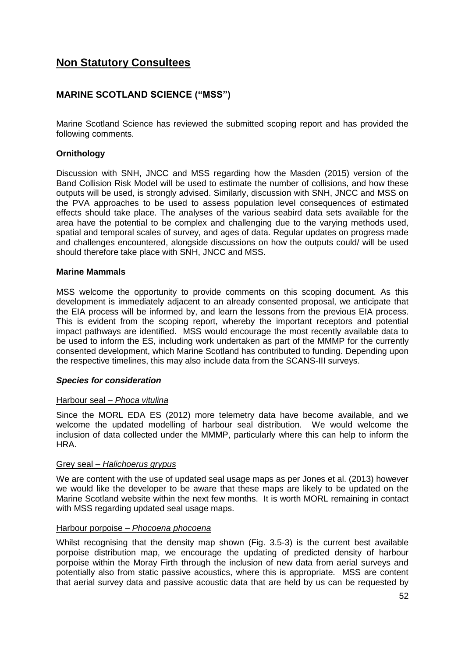# **Non Statutory Consultees**

## **MARINE SCOTLAND SCIENCE ("MSS")**

Marine Scotland Science has reviewed the submitted scoping report and has provided the following comments.

## **Ornithology**

Discussion with SNH, JNCC and MSS regarding how the Masden (2015) version of the Band Collision Risk Model will be used to estimate the number of collisions, and how these outputs will be used, is strongly advised. Similarly, discussion with SNH, JNCC and MSS on the PVA approaches to be used to assess population level consequences of estimated effects should take place. The analyses of the various seabird data sets available for the area have the potential to be complex and challenging due to the varying methods used, spatial and temporal scales of survey, and ages of data. Regular updates on progress made and challenges encountered, alongside discussions on how the outputs could/ will be used should therefore take place with SNH, JNCC and MSS.

#### **Marine Mammals**

MSS welcome the opportunity to provide comments on this scoping document. As this development is immediately adjacent to an already consented proposal, we anticipate that the EIA process will be informed by, and learn the lessons from the previous EIA process. This is evident from the scoping report, whereby the important receptors and potential impact pathways are identified. MSS would encourage the most recently available data to be used to inform the ES, including work undertaken as part of the MMMP for the currently consented development, which Marine Scotland has contributed to funding. Depending upon the respective timelines, this may also include data from the SCANS-III surveys.

### *Species for consideration*

### Harbour seal – *Phoca vitulina*

Since the MORL EDA ES (2012) more telemetry data have become available, and we welcome the updated modelling of harbour seal distribution. We would welcome the inclusion of data collected under the MMMP, particularly where this can help to inform the HRA.

#### Grey seal – *Halichoerus grypus*

We are content with the use of updated seal usage maps as per Jones et al. (2013) however we would like the developer to be aware that these maps are likely to be updated on the Marine Scotland website within the next few months. It is worth MORL remaining in contact with MSS regarding updated seal usage maps.

#### Harbour porpoise – *Phocoena phocoena*

Whilst recognising that the density map shown (Fig. 3.5-3) is the current best available porpoise distribution map, we encourage the updating of predicted density of harbour porpoise within the Moray Firth through the inclusion of new data from aerial surveys and potentially also from static passive acoustics, where this is appropriate. MSS are content that aerial survey data and passive acoustic data that are held by us can be requested by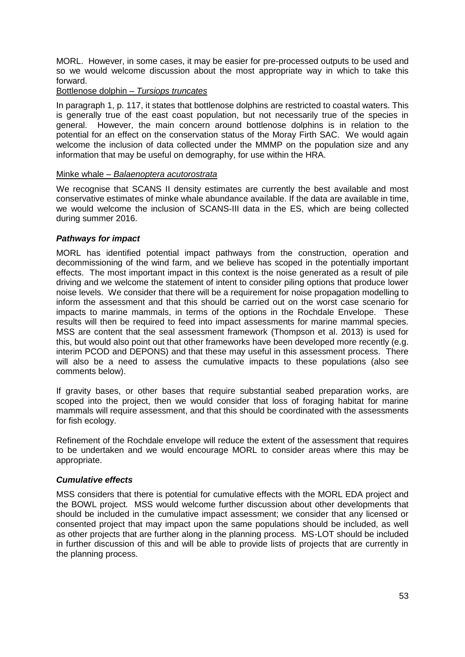MORL. However, in some cases, it may be easier for pre-processed outputs to be used and so we would welcome discussion about the most appropriate way in which to take this forward.

#### Bottlenose dolphin – *Tursiops truncates*

In paragraph 1, p. 117, it states that bottlenose dolphins are restricted to coastal waters. This is generally true of the east coast population, but not necessarily true of the species in general. However, the main concern around bottlenose dolphins is in relation to the potential for an effect on the conservation status of the Moray Firth SAC. We would again welcome the inclusion of data collected under the MMMP on the population size and any information that may be useful on demography, for use within the HRA.

#### Minke whale – *Balaenoptera acutorostrata*

We recognise that SCANS II density estimates are currently the best available and most conservative estimates of minke whale abundance available. If the data are available in time, we would welcome the inclusion of SCANS-III data in the ES, which are being collected during summer 2016.

### *Pathways for impact*

MORL has identified potential impact pathways from the construction, operation and decommissioning of the wind farm, and we believe has scoped in the potentially important effects. The most important impact in this context is the noise generated as a result of pile driving and we welcome the statement of intent to consider piling options that produce lower noise levels. We consider that there will be a requirement for noise propagation modelling to inform the assessment and that this should be carried out on the worst case scenario for impacts to marine mammals, in terms of the options in the Rochdale Envelope. These results will then be required to feed into impact assessments for marine mammal species. MSS are content that the seal assessment framework (Thompson et al. 2013) is used for this, but would also point out that other frameworks have been developed more recently (e.g. interim PCOD and DEPONS) and that these may useful in this assessment process. There will also be a need to assess the cumulative impacts to these populations (also see comments below).

If gravity bases, or other bases that require substantial seabed preparation works, are scoped into the project, then we would consider that loss of foraging habitat for marine mammals will require assessment, and that this should be coordinated with the assessments for fish ecology.

Refinement of the Rochdale envelope will reduce the extent of the assessment that requires to be undertaken and we would encourage MORL to consider areas where this may be appropriate.

### *Cumulative effects*

MSS considers that there is potential for cumulative effects with the MORL EDA project and the BOWL project. MSS would welcome further discussion about other developments that should be included in the cumulative impact assessment; we consider that any licensed or consented project that may impact upon the same populations should be included, as well as other projects that are further along in the planning process. MS-LOT should be included in further discussion of this and will be able to provide lists of projects that are currently in the planning process.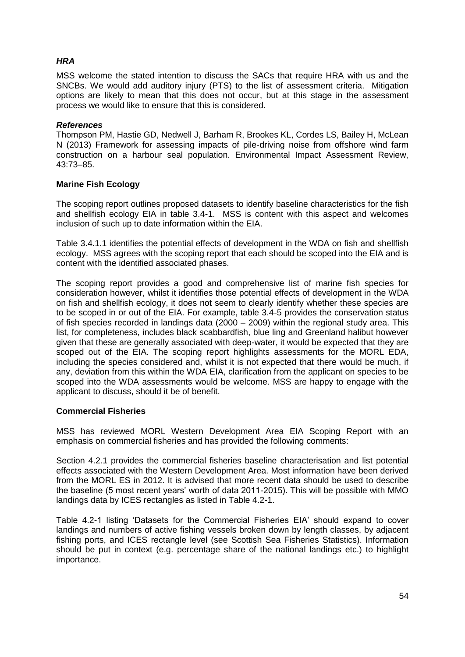## *HRA*

MSS welcome the stated intention to discuss the SACs that require HRA with us and the SNCBs. We would add auditory injury (PTS) to the list of assessment criteria. Mitigation options are likely to mean that this does not occur, but at this stage in the assessment process we would like to ensure that this is considered.

#### *References*

Thompson PM, Hastie GD, Nedwell J, Barham R, Brookes KL, Cordes LS, Bailey H, McLean N (2013) Framework for assessing impacts of pile-driving noise from offshore wind farm construction on a harbour seal population. Environmental Impact Assessment Review, 43:73–85.

### **Marine Fish Ecology**

The scoping report outlines proposed datasets to identify baseline characteristics for the fish and shellfish ecology EIA in table 3.4-1. MSS is content with this aspect and welcomes inclusion of such up to date information within the EIA.

Table 3.4.1.1 identifies the potential effects of development in the WDA on fish and shellfish ecology. MSS agrees with the scoping report that each should be scoped into the EIA and is content with the identified associated phases.

The scoping report provides a good and comprehensive list of marine fish species for consideration however, whilst it identifies those potential effects of development in the WDA on fish and shellfish ecology, it does not seem to clearly identify whether these species are to be scoped in or out of the EIA. For example, table 3.4-5 provides the conservation status of fish species recorded in landings data (2000 – 2009) within the regional study area. This list, for completeness, includes black scabbardfish, blue ling and Greenland halibut however given that these are generally associated with deep-water, it would be expected that they are scoped out of the EIA. The scoping report highlights assessments for the MORL EDA, including the species considered and, whilst it is not expected that there would be much, if any, deviation from this within the WDA EIA, clarification from the applicant on species to be scoped into the WDA assessments would be welcome. MSS are happy to engage with the applicant to discuss, should it be of benefit.

### **Commercial Fisheries**

MSS has reviewed MORL Western Development Area EIA Scoping Report with an emphasis on commercial fisheries and has provided the following comments:

Section 4.2.1 provides the commercial fisheries baseline characterisation and list potential effects associated with the Western Development Area. Most information have been derived from the MORL ES in 2012. It is advised that more recent data should be used to describe the baseline (5 most recent years' worth of data 2011-2015). This will be possible with MMO landings data by ICES rectangles as listed in Table 4.2-1.

Table 4.2-1 listing 'Datasets for the Commercial Fisheries EIA' should expand to cover landings and numbers of active fishing vessels broken down by length classes, by adjacent fishing ports, and ICES rectangle level (see Scottish Sea Fisheries Statistics). Information should be put in context (e.g. percentage share of the national landings etc.) to highlight importance.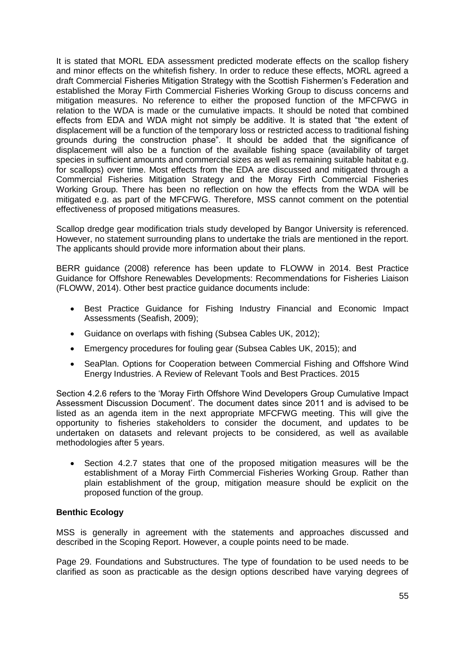It is stated that MORL EDA assessment predicted moderate effects on the scallop fishery and minor effects on the whitefish fishery. In order to reduce these effects, MORL agreed a draft Commercial Fisheries Mitigation Strategy with the Scottish Fishermen's Federation and established the Moray Firth Commercial Fisheries Working Group to discuss concerns and mitigation measures. No reference to either the proposed function of the MFCFWG in relation to the WDA is made or the cumulative impacts. It should be noted that combined effects from EDA and WDA might not simply be additive. It is stated that "the extent of displacement will be a function of the temporary loss or restricted access to traditional fishing grounds during the construction phase". It should be added that the significance of displacement will also be a function of the available fishing space (availability of target species in sufficient amounts and commercial sizes as well as remaining suitable habitat e.g. for scallops) over time. Most effects from the EDA are discussed and mitigated through a Commercial Fisheries Mitigation Strategy and the Moray Firth Commercial Fisheries Working Group. There has been no reflection on how the effects from the WDA will be mitigated e.g. as part of the MFCFWG. Therefore, MSS cannot comment on the potential effectiveness of proposed mitigations measures.

Scallop dredge gear modification trials study developed by Bangor University is referenced. However, no statement surrounding plans to undertake the trials are mentioned in the report. The applicants should provide more information about their plans.

BERR guidance (2008) reference has been update to FLOWW in 2014. Best Practice Guidance for Offshore Renewables Developments: Recommendations for Fisheries Liaison (FLOWW, 2014). Other best practice guidance documents include:

- Best Practice Guidance for Fishing Industry Financial and Economic Impact Assessments (Seafish, 2009);
- Guidance on overlaps with fishing (Subsea Cables UK, 2012);
- Emergency procedures for fouling gear (Subsea Cables UK, 2015); and
- SeaPlan. Options for Cooperation between Commercial Fishing and Offshore Wind Energy Industries. A Review of Relevant Tools and Best Practices. 2015

Section 4.2.6 refers to the 'Moray Firth Offshore Wind Developers Group Cumulative Impact Assessment Discussion Document'. The document dates since 2011 and is advised to be listed as an agenda item in the next appropriate MFCFWG meeting. This will give the opportunity to fisheries stakeholders to consider the document, and updates to be undertaken on datasets and relevant projects to be considered, as well as available methodologies after 5 years.

 Section 4.2.7 states that one of the proposed mitigation measures will be the establishment of a Moray Firth Commercial Fisheries Working Group. Rather than plain establishment of the group, mitigation measure should be explicit on the proposed function of the group.

### **Benthic Ecology**

MSS is generally in agreement with the statements and approaches discussed and described in the Scoping Report. However, a couple points need to be made.

Page 29. Foundations and Substructures. The type of foundation to be used needs to be clarified as soon as practicable as the design options described have varying degrees of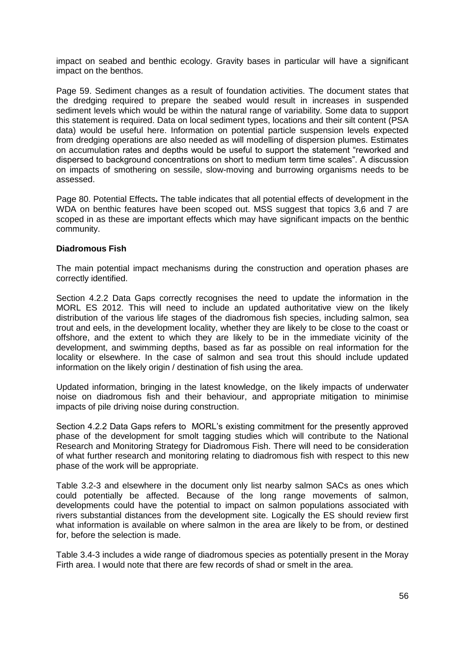impact on seabed and benthic ecology. Gravity bases in particular will have a significant impact on the benthos.

Page 59. Sediment changes as a result of foundation activities. The document states that the dredging required to prepare the seabed would result in increases in suspended sediment levels which would be within the natural range of variability. Some data to support this statement is required. Data on local sediment types, locations and their silt content (PSA data) would be useful here. Information on potential particle suspension levels expected from dredging operations are also needed as will modelling of dispersion plumes. Estimates on accumulation rates and depths would be useful to support the statement "reworked and dispersed to background concentrations on short to medium term time scales". A discussion on impacts of smothering on sessile, slow-moving and burrowing organisms needs to be assessed.

Page 80. Potential Effects**.** The table indicates that all potential effects of development in the WDA on benthic features have been scoped out. MSS suggest that topics 3,6 and 7 are scoped in as these are important effects which may have significant impacts on the benthic community.

#### **Diadromous Fish**

The main potential impact mechanisms during the construction and operation phases are correctly identified.

Section 4.2.2 Data Gaps correctly recognises the need to update the information in the MORL ES 2012. This will need to include an updated authoritative view on the likely distribution of the various life stages of the diadromous fish species, including salmon, sea trout and eels, in the development locality, whether they are likely to be close to the coast or offshore, and the extent to which they are likely to be in the immediate vicinity of the development, and swimming depths, based as far as possible on real information for the locality or elsewhere. In the case of salmon and sea trout this should include updated information on the likely origin / destination of fish using the area.

Updated information, bringing in the latest knowledge, on the likely impacts of underwater noise on diadromous fish and their behaviour, and appropriate mitigation to minimise impacts of pile driving noise during construction.

Section 4.2.2 Data Gaps refers to MORL's existing commitment for the presently approved phase of the development for smolt tagging studies which will contribute to the National Research and Monitoring Strategy for Diadromous Fish. There will need to be consideration of what further research and monitoring relating to diadromous fish with respect to this new phase of the work will be appropriate.

Table 3.2-3 and elsewhere in the document only list nearby salmon SACs as ones which could potentially be affected. Because of the long range movements of salmon, developments could have the potential to impact on salmon populations associated with rivers substantial distances from the development site. Logically the ES should review first what information is available on where salmon in the area are likely to be from, or destined for, before the selection is made.

Table 3.4-3 includes a wide range of diadromous species as potentially present in the Moray Firth area. I would note that there are few records of shad or smelt in the area.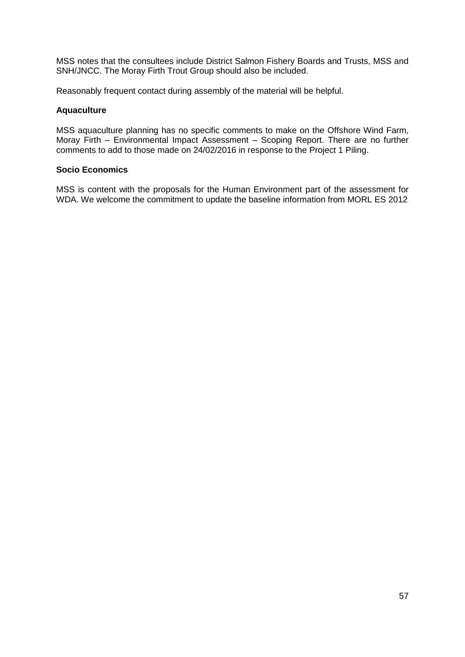MSS notes that the consultees include District Salmon Fishery Boards and Trusts, MSS and SNH/JNCC. The Moray Firth Trout Group should also be included.

Reasonably frequent contact during assembly of the material will be helpful.

#### **Aquaculture**

MSS aquaculture planning has no specific comments to make on the Offshore Wind Farm, Moray Firth – Environmental Impact Assessment – Scoping Report. There are no further comments to add to those made on 24/02/2016 in response to the Project 1 Piling.

#### **Socio Economics**

MSS is content with the proposals for the Human Environment part of the assessment for WDA. We welcome the commitment to update the baseline information from MORL ES 2012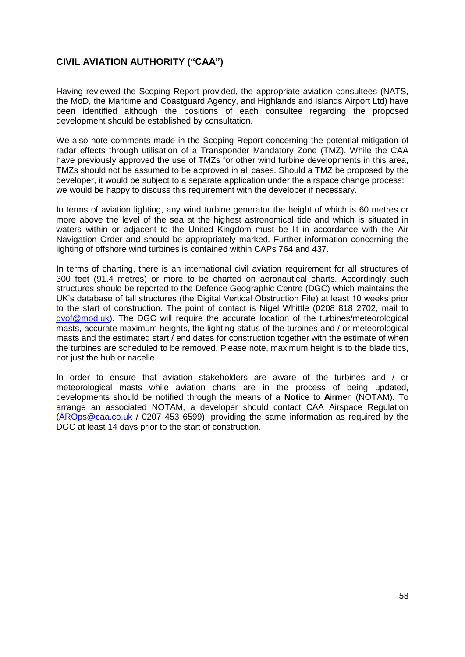## **CIVIL AVIATION AUTHORITY ("CAA")**

Having reviewed the Scoping Report provided, the appropriate aviation consultees (NATS, the MoD, the Maritime and Coastguard Agency, and Highlands and Islands Airport Ltd) have been identified although the positions of each consultee regarding the proposed development should be established by consultation.

We also note comments made in the Scoping Report concerning the potential mitigation of radar effects through utilisation of a Transponder Mandatory Zone (TMZ). While the CAA have previously approved the use of TMZs for other wind turbine developments in this area, TMZs should not be assumed to be approved in all cases. Should a TMZ be proposed by the developer, it would be subject to a separate application under the airspace change process: we would be happy to discuss this requirement with the developer if necessary.

In terms of aviation lighting, any wind turbine generator the height of which is 60 metres or more above the level of the sea at the highest astronomical tide and which is situated in waters within or adjacent to the United Kingdom must be lit in accordance with the Air Navigation Order and should be appropriately marked. Further information concerning the lighting of offshore wind turbines is contained within CAPs 764 and 437.

In terms of charting, there is an international civil aviation requirement for all structures of 300 feet (91.4 metres) or more to be charted on aeronautical charts. Accordingly such structures should be reported to the Defence Geographic Centre (DGC) which maintains the UK's database of tall structures (the Digital Vertical Obstruction File) at least 10 weeks prior to the start of construction. The point of contact is Nigel Whittle (0208 818 2702, mail to [dvof@mod.uk\)](mailto:dvof@mod.uk). The DGC will require the accurate location of the turbines/meteorological masts, accurate maximum heights, the lighting status of the turbines and / or meteorological masts and the estimated start / end dates for construction together with the estimate of when the turbines are scheduled to be removed. Please note, maximum height is to the blade tips, not just the hub or nacelle.

In order to ensure that aviation stakeholders are aware of the turbines and / or meteorological masts while aviation charts are in the process of being updated, developments should be notified through the means of a **Not**ice to **A**ir**m**en (NOTAM). To arrange an associated NOTAM, a developer should contact CAA Airspace Regulation [\(AROps@caa.co.uk](mailto:AROps@caa.co.uk) / 0207 453 6599); providing the same information as required by the DGC at least 14 days prior to the start of construction.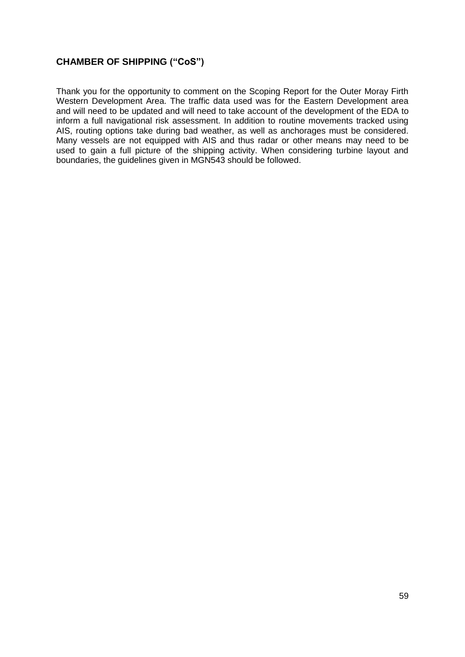## **CHAMBER OF SHIPPING ("CoS")**

Thank you for the opportunity to comment on the Scoping Report for the Outer Moray Firth Western Development Area. The traffic data used was for the Eastern Development area and will need to be updated and will need to take account of the development of the EDA to inform a full navigational risk assessment. In addition to routine movements tracked using AIS, routing options take during bad weather, as well as anchorages must be considered. Many vessels are not equipped with AIS and thus radar or other means may need to be used to gain a full picture of the shipping activity. When considering turbine layout and boundaries, the guidelines given in MGN543 should be followed.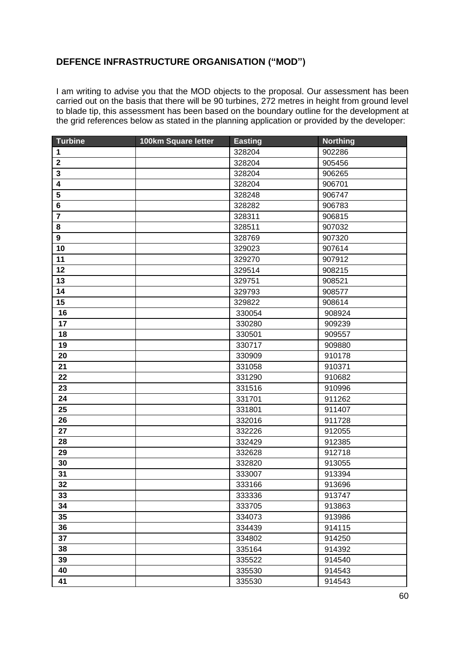## **DEFENCE INFRASTRUCTURE ORGANISATION ("MOD")**

I am writing to advise you that the MOD objects to the proposal. Our assessment has been carried out on the basis that there will be 90 turbines, 272 metres in height from ground level to blade tip, this assessment has been based on the boundary outline for the development at the grid references below as stated in the planning application or provided by the developer:

| <b>Turbine</b>          | 100km Square letter | <b>Easting</b> | <b>Northing</b> |
|-------------------------|---------------------|----------------|-----------------|
| 1                       |                     | 328204         | 902286          |
| $\boldsymbol{2}$        |                     | 328204         | 905456          |
| 3                       |                     | 328204         | 906265          |
| $\overline{\mathbf{4}}$ |                     | 328204         | 906701          |
| 5                       |                     | 328248         | 906747          |
| $\bf 6$                 |                     | 328282         | 906783          |
| $\overline{7}$          |                     | 328311         | 906815          |
| 8                       |                     | 328511         | 907032          |
| $\boldsymbol{9}$        |                     | 328769         | 907320          |
| 10                      |                     | 329023         | 907614          |
| 11                      |                     | 329270         | 907912          |
| 12                      |                     | 329514         | 908215          |
| 13                      |                     | 329751         | 908521          |
| 14                      |                     | 329793         | 908577          |
| 15                      |                     | 329822         | 908614          |
| 16                      |                     | 330054         | 908924          |
| 17                      |                     | 330280         | 909239          |
| 18                      |                     | 330501         | 909557          |
| 19                      |                     | 330717         | 909880          |
| 20                      |                     | 330909         | 910178          |
| 21                      |                     | 331058         | 910371          |
| 22                      |                     | 331290         | 910682          |
| 23                      |                     | 331516         | 910996          |
| 24                      |                     | 331701         | 911262          |
| 25                      |                     | 331801         | 911407          |
| 26                      |                     | 332016         | 911728          |
| 27                      |                     | 332226         | 912055          |
| 28                      |                     | 332429         | 912385          |
| 29                      |                     | 332628         | 912718          |
| 30                      |                     | 332820         | 913055          |
| 31                      |                     | 333007         | 913394          |
| 32                      |                     | 333166         | 913696          |
| 33                      |                     | 333336         | 913747          |
| 34                      |                     | 333705         | 913863          |
| 35                      |                     | 334073         | 913986          |
| 36                      |                     | 334439         | 914115          |
| 37                      |                     | 334802         | 914250          |
| 38                      |                     | 335164         | 914392          |
| 39                      |                     | 335522         | 914540          |
| 40                      |                     | 335530         | 914543          |
| 41                      |                     | 335530         | 914543          |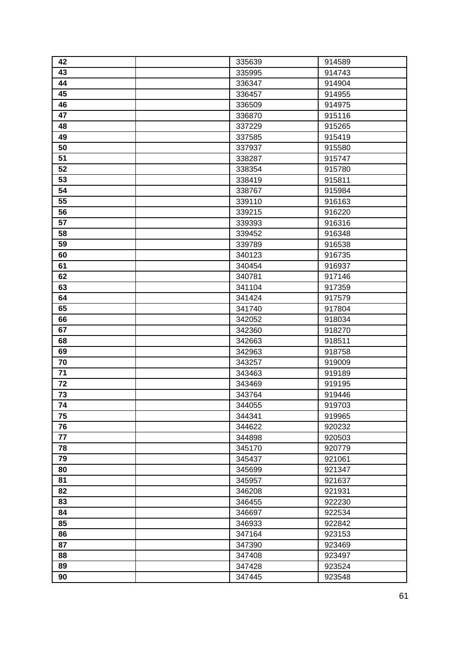| 42 | 335639 | 914589 |
|----|--------|--------|
| 43 | 335995 | 914743 |
| 44 | 336347 | 914904 |
| 45 | 336457 | 914955 |
| 46 | 336509 | 914975 |
| 47 | 336870 | 915116 |
| 48 | 337229 | 915265 |
| 49 | 337585 | 915419 |
| 50 | 337937 | 915580 |
| 51 | 338287 | 915747 |
| 52 | 338354 | 915780 |
| 53 | 338419 | 915811 |
| 54 | 338767 | 915984 |
| 55 | 339110 | 916163 |
| 56 | 339215 | 916220 |
| 57 | 339393 | 916316 |
| 58 | 339452 | 916348 |
| 59 | 339789 | 916538 |
| 60 | 340123 | 916735 |
| 61 | 340454 | 916937 |
| 62 | 340781 | 917146 |
| 63 | 341104 | 917359 |
| 64 | 341424 | 917579 |
| 65 | 341740 | 917804 |
| 66 | 342052 | 918034 |
| 67 | 342360 | 918270 |
| 68 | 342663 | 918511 |
| 69 | 342963 | 918758 |
| 70 | 343257 | 919009 |
| 71 | 343463 | 919189 |
| 72 | 343469 | 919195 |
| 73 | 343764 | 919446 |
| 74 | 344055 | 919703 |
| 75 | 344341 | 919965 |
| 76 | 344622 | 920232 |
| 77 | 344898 | 920503 |
| 78 | 345170 | 920779 |
| 79 | 345437 | 921061 |
| 80 | 345699 | 921347 |
| 81 | 345957 | 921637 |
| 82 | 346208 | 921931 |
| 83 | 346455 | 922230 |
| 84 | 346697 | 922534 |
| 85 | 346933 | 922842 |
| 86 | 347164 | 923153 |
| 87 | 347390 | 923469 |
| 88 | 347408 | 923497 |
| 89 | 347428 | 923524 |
| 90 | 347445 | 923548 |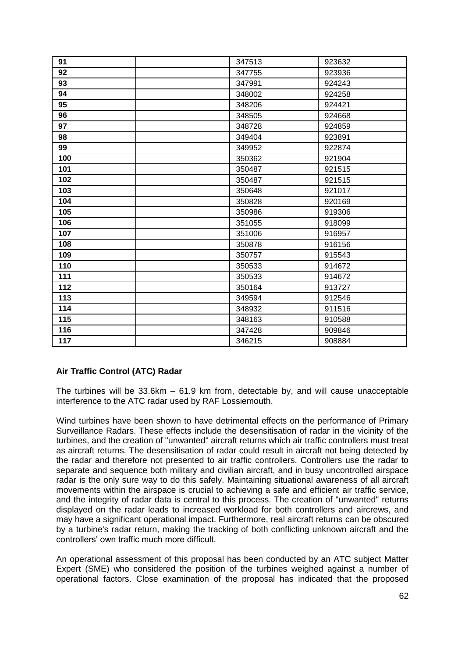| 91  | 347513 | 923632 |
|-----|--------|--------|
| 92  | 347755 | 923936 |
| 93  | 347991 | 924243 |
| 94  | 348002 | 924258 |
| 95  | 348206 | 924421 |
| 96  | 348505 | 924668 |
| 97  | 348728 | 924859 |
| 98  | 349404 | 923891 |
| 99  | 349952 | 922874 |
| 100 | 350362 | 921904 |
| 101 | 350487 | 921515 |
| 102 | 350487 | 921515 |
| 103 | 350648 | 921017 |
| 104 | 350828 | 920169 |
| 105 | 350986 | 919306 |
| 106 | 351055 | 918099 |
| 107 | 351006 | 916957 |
| 108 | 350878 | 916156 |
| 109 | 350757 | 915543 |
| 110 | 350533 | 914672 |
| 111 | 350533 | 914672 |
| 112 | 350164 | 913727 |
| 113 | 349594 | 912546 |
| 114 | 348932 | 911516 |
| 115 | 348163 | 910588 |
| 116 | 347428 | 909846 |
| 117 | 346215 | 908884 |

## **Air Traffic Control (ATC) Radar**

The turbines will be 33.6km – 61.9 km from, detectable by, and will cause unacceptable interference to the ATC radar used by RAF Lossiemouth.

Wind turbines have been shown to have detrimental effects on the performance of Primary Surveillance Radars. These effects include the desensitisation of radar in the vicinity of the turbines, and the creation of "unwanted" aircraft returns which air traffic controllers must treat as aircraft returns. The desensitisation of radar could result in aircraft not being detected by the radar and therefore not presented to air traffic controllers. Controllers use the radar to separate and sequence both military and civilian aircraft, and in busy uncontrolled airspace radar is the only sure way to do this safely. Maintaining situational awareness of all aircraft movements within the airspace is crucial to achieving a safe and efficient air traffic service, and the integrity of radar data is central to this process. The creation of "unwanted" returns displayed on the radar leads to increased workload for both controllers and aircrews, and may have a significant operational impact. Furthermore, real aircraft returns can be obscured by a turbine's radar return, making the tracking of both conflicting unknown aircraft and the controllers' own traffic much more difficult.

An operational assessment of this proposal has been conducted by an ATC subject Matter Expert (SME) who considered the position of the turbines weighed against a number of operational factors. Close examination of the proposal has indicated that the proposed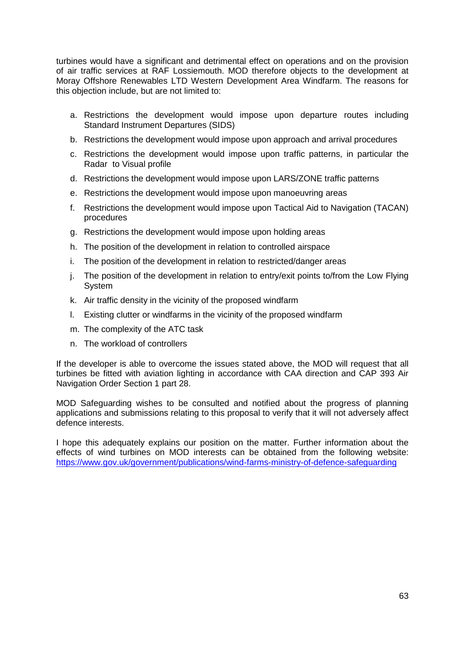turbines would have a significant and detrimental effect on operations and on the provision of air traffic services at RAF Lossiemouth. MOD therefore objects to the development at Moray Offshore Renewables LTD Western Development Area Windfarm. The reasons for this objection include, but are not limited to:

- a. Restrictions the development would impose upon departure routes including Standard Instrument Departures (SIDS)
- b. Restrictions the development would impose upon approach and arrival procedures
- c. Restrictions the development would impose upon traffic patterns, in particular the Radar to Visual profile
- d. Restrictions the development would impose upon LARS/ZONE traffic patterns
- e. Restrictions the development would impose upon manoeuvring areas
- f. Restrictions the development would impose upon Tactical Aid to Navigation (TACAN) procedures
- g. Restrictions the development would impose upon holding areas
- h. The position of the development in relation to controlled airspace
- i. The position of the development in relation to restricted/danger areas
- j. The position of the development in relation to entry/exit points to/from the Low Flying System
- k. Air traffic density in the vicinity of the proposed windfarm
- l. Existing clutter or windfarms in the vicinity of the proposed windfarm
- m. The complexity of the ATC task
- n. The workload of controllers

If the developer is able to overcome the issues stated above, the MOD will request that all turbines be fitted with aviation lighting in accordance with CAA direction and CAP 393 Air Navigation Order Section 1 part 28.

MOD Safeguarding wishes to be consulted and notified about the progress of planning applications and submissions relating to this proposal to verify that it will not adversely affect defence interests.

I hope this adequately explains our position on the matter. Further information about the effects of wind turbines on MOD interests can be obtained from the following website: <https://www.gov.uk/government/publications/wind-farms-ministry-of-defence-safeguarding>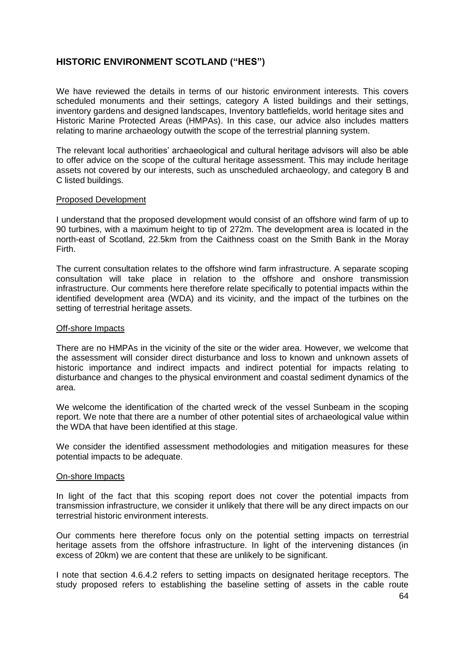## **HISTORIC ENVIRONMENT SCOTLAND ("HES")**

We have reviewed the details in terms of our historic environment interests. This covers scheduled monuments and their settings, category A listed buildings and their settings, inventory gardens and designed landscapes, Inventory battlefields, world heritage sites and Historic Marine Protected Areas (HMPAs). In this case, our advice also includes matters relating to marine archaeology outwith the scope of the terrestrial planning system.

The relevant local authorities' archaeological and cultural heritage advisors will also be able to offer advice on the scope of the cultural heritage assessment. This may include heritage assets not covered by our interests, such as unscheduled archaeology, and category B and C listed buildings.

#### Proposed Development

I understand that the proposed development would consist of an offshore wind farm of up to 90 turbines, with a maximum height to tip of 272m. The development area is located in the north-east of Scotland, 22.5km from the Caithness coast on the Smith Bank in the Moray Firth.

The current consultation relates to the offshore wind farm infrastructure. A separate scoping consultation will take place in relation to the offshore and onshore transmission infrastructure. Our comments here therefore relate specifically to potential impacts within the identified development area (WDA) and its vicinity, and the impact of the turbines on the setting of terrestrial heritage assets.

#### Off-shore Impacts

There are no HMPAs in the vicinity of the site or the wider area. However, we welcome that the assessment will consider direct disturbance and loss to known and unknown assets of historic importance and indirect impacts and indirect potential for impacts relating to disturbance and changes to the physical environment and coastal sediment dynamics of the area.

We welcome the identification of the charted wreck of the vessel Sunbeam in the scoping report. We note that there are a number of other potential sites of archaeological value within the WDA that have been identified at this stage.

We consider the identified assessment methodologies and mitigation measures for these potential impacts to be adequate.

#### On-shore Impacts

In light of the fact that this scoping report does not cover the potential impacts from transmission infrastructure, we consider it unlikely that there will be any direct impacts on our terrestrial historic environment interests.

Our comments here therefore focus only on the potential setting impacts on terrestrial heritage assets from the offshore infrastructure. In light of the intervening distances (in excess of 20km) we are content that these are unlikely to be significant.

I note that section 4.6.4.2 refers to setting impacts on designated heritage receptors. The study proposed refers to establishing the baseline setting of assets in the cable route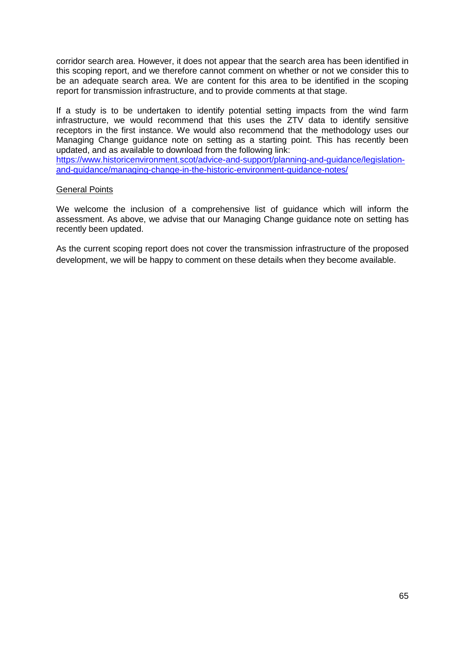corridor search area. However, it does not appear that the search area has been identified in this scoping report, and we therefore cannot comment on whether or not we consider this to be an adequate search area. We are content for this area to be identified in the scoping report for transmission infrastructure, and to provide comments at that stage.

If a study is to be undertaken to identify potential setting impacts from the wind farm infrastructure, we would recommend that this uses the ZTV data to identify sensitive receptors in the first instance. We would also recommend that the methodology uses our Managing Change guidance note on setting as a starting point. This has recently been updated, and as available to download from the following link:

[https://www.historicenvironment.scot/advice-and-support/planning-and-guidance/legislation](https://www.historicenvironment.scot/advice-and-support/planning-and-guidance/legislation-and-guidance/managing-change-in-the-historic-environment-guidance-notes/)[and-guidance/managing-change-in-the-historic-environment-guidance-notes/](https://www.historicenvironment.scot/advice-and-support/planning-and-guidance/legislation-and-guidance/managing-change-in-the-historic-environment-guidance-notes/)

### General Points

We welcome the inclusion of a comprehensive list of guidance which will inform the assessment. As above, we advise that our Managing Change guidance note on setting has recently been updated.

As the current scoping report does not cover the transmission infrastructure of the proposed development, we will be happy to comment on these details when they become available.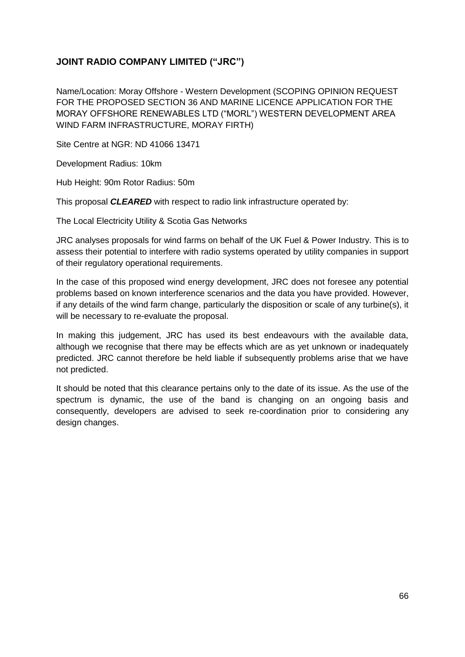## **JOINT RADIO COMPANY LIMITED ("JRC")**

Name/Location: Moray Offshore - Western Development (SCOPING OPINION REQUEST FOR THE PROPOSED SECTION 36 AND MARINE LICENCE APPLICATION FOR THE MORAY OFFSHORE RENEWABLES LTD ("MORL") WESTERN DEVELOPMENT AREA WIND FARM INFRASTRUCTURE, MORAY FIRTH)

Site Centre at NGR: ND 41066 13471

Development Radius: 10km

Hub Height: 90m Rotor Radius: 50m

This proposal *CLEARED* with respect to radio link infrastructure operated by:

The Local Electricity Utility & Scotia Gas Networks

JRC analyses proposals for wind farms on behalf of the UK Fuel & Power Industry. This is to assess their potential to interfere with radio systems operated by utility companies in support of their regulatory operational requirements.

In the case of this proposed wind energy development, JRC does not foresee any potential problems based on known interference scenarios and the data you have provided. However, if any details of the wind farm change, particularly the disposition or scale of any turbine(s), it will be necessary to re-evaluate the proposal.

In making this judgement, JRC has used its best endeavours with the available data, although we recognise that there may be effects which are as yet unknown or inadequately predicted. JRC cannot therefore be held liable if subsequently problems arise that we have not predicted.

It should be noted that this clearance pertains only to the date of its issue. As the use of the spectrum is dynamic, the use of the band is changing on an ongoing basis and consequently, developers are advised to seek re-coordination prior to considering any design changes.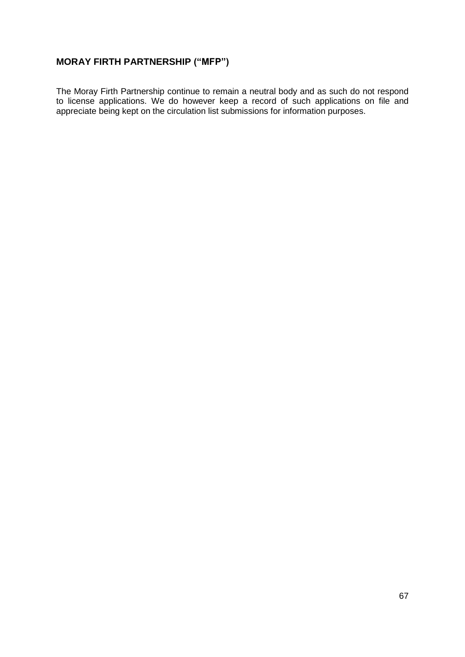# **MORAY FIRTH PARTNERSHIP ("MFP")**

The Moray Firth Partnership continue to remain a neutral body and as such do not respond to license applications. We do however keep a record of such applications on file and appreciate being kept on the circulation list submissions for information purposes.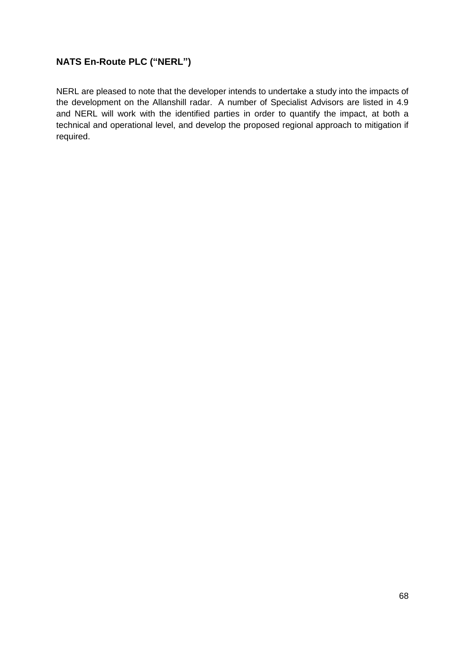## **NATS En-Route PLC ("NERL")**

NERL are pleased to note that the developer intends to undertake a study into the impacts of the development on the Allanshill radar. A number of Specialist Advisors are listed in 4.9 and NERL will work with the identified parties in order to quantify the impact, at both a technical and operational level, and develop the proposed regional approach to mitigation if required.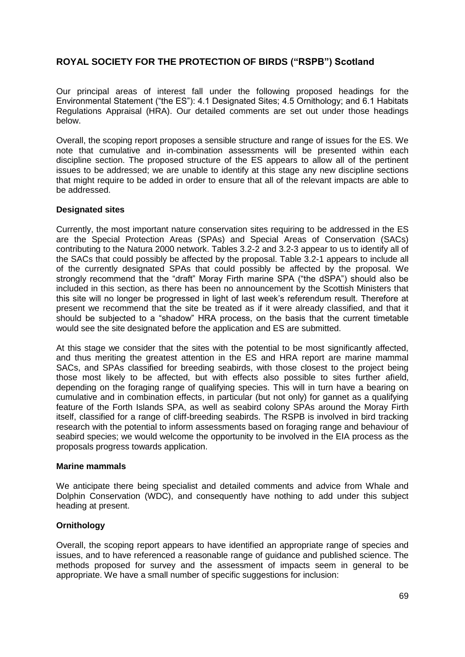## **ROYAL SOCIETY FOR THE PROTECTION OF BIRDS ("RSPB") Scotland**

Our principal areas of interest fall under the following proposed headings for the Environmental Statement ("the ES"): 4.1 Designated Sites; 4.5 Ornithology; and 6.1 Habitats Regulations Appraisal (HRA). Our detailed comments are set out under those headings below.

Overall, the scoping report proposes a sensible structure and range of issues for the ES. We note that cumulative and in-combination assessments will be presented within each discipline section. The proposed structure of the ES appears to allow all of the pertinent issues to be addressed; we are unable to identify at this stage any new discipline sections that might require to be added in order to ensure that all of the relevant impacts are able to be addressed.

#### **Designated sites**

Currently, the most important nature conservation sites requiring to be addressed in the ES are the Special Protection Areas (SPAs) and Special Areas of Conservation (SACs) contributing to the Natura 2000 network. Tables 3.2-2 and 3.2-3 appear to us to identify all of the SACs that could possibly be affected by the proposal. Table 3.2-1 appears to include all of the currently designated SPAs that could possibly be affected by the proposal. We strongly recommend that the "draft" Moray Firth marine SPA ("the dSPA") should also be included in this section, as there has been no announcement by the Scottish Ministers that this site will no longer be progressed in light of last week's referendum result. Therefore at present we recommend that the site be treated as if it were already classified, and that it should be subjected to a "shadow" HRA process, on the basis that the current timetable would see the site designated before the application and ES are submitted.

At this stage we consider that the sites with the potential to be most significantly affected, and thus meriting the greatest attention in the ES and HRA report are marine mammal SACs, and SPAs classified for breeding seabirds, with those closest to the project being those most likely to be affected, but with effects also possible to sites further afield, depending on the foraging range of qualifying species. This will in turn have a bearing on cumulative and in combination effects, in particular (but not only) for gannet as a qualifying feature of the Forth Islands SPA, as well as seabird colony SPAs around the Moray Firth itself, classified for a range of cliff-breeding seabirds. The RSPB is involved in bird tracking research with the potential to inform assessments based on foraging range and behaviour of seabird species; we would welcome the opportunity to be involved in the EIA process as the proposals progress towards application.

#### **Marine mammals**

We anticipate there being specialist and detailed comments and advice from Whale and Dolphin Conservation (WDC), and consequently have nothing to add under this subject heading at present.

### **Ornithology**

Overall, the scoping report appears to have identified an appropriate range of species and issues, and to have referenced a reasonable range of guidance and published science. The methods proposed for survey and the assessment of impacts seem in general to be appropriate. We have a small number of specific suggestions for inclusion: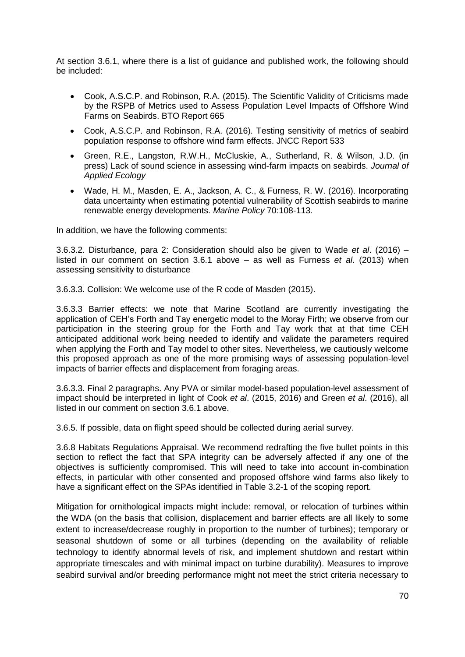At section 3.6.1, where there is a list of guidance and published work, the following should be included:

- Cook, A.S.C.P. and Robinson, R.A. (2015). The Scientific Validity of Criticisms made by the RSPB of Metrics used to Assess Population Level Impacts of Offshore Wind Farms on Seabirds. BTO Report 665
- Cook, A.S.C.P. and Robinson, R.A. (2016). Testing sensitivity of metrics of seabird population response to offshore wind farm effects. JNCC Report 533
- Green, R.E., Langston, R.W.H., McCluskie, A., Sutherland, R. & Wilson, J.D. (in press) Lack of sound science in assessing wind-farm impacts on seabirds. *Journal of Applied Ecology*
- Wade, H. M., Masden, E. A., Jackson, A. C., & Furness, R. W. (2016). Incorporating data uncertainty when estimating potential vulnerability of Scottish seabirds to marine renewable energy developments. *Marine Policy* 70:108-113.

In addition, we have the following comments:

3.6.3.2. Disturbance, para 2: Consideration should also be given to Wade *et al*. (2016) – listed in our comment on section 3.6.1 above – as well as Furness *et al*. (2013) when assessing sensitivity to disturbance

3.6.3.3. Collision: We welcome use of the R code of Masden (2015).

3.6.3.3 Barrier effects: we note that Marine Scotland are currently investigating the application of CEH's Forth and Tay energetic model to the Moray Firth; we observe from our participation in the steering group for the Forth and Tay work that at that time CEH anticipated additional work being needed to identify and validate the parameters required when applying the Forth and Tay model to other sites. Nevertheless, we cautiously welcome this proposed approach as one of the more promising ways of assessing population-level impacts of barrier effects and displacement from foraging areas.

3.6.3.3. Final 2 paragraphs. Any PVA or similar model-based population-level assessment of impact should be interpreted in light of Cook *et al*. (2015, 2016) and Green *et al*. (2016), all listed in our comment on section 3.6.1 above.

3.6.5. If possible, data on flight speed should be collected during aerial survey.

3.6.8 Habitats Regulations Appraisal. We recommend redrafting the five bullet points in this section to reflect the fact that SPA integrity can be adversely affected if any one of the objectives is sufficiently compromised. This will need to take into account in-combination effects, in particular with other consented and proposed offshore wind farms also likely to have a significant effect on the SPAs identified in Table 3.2-1 of the scoping report.

Mitigation for ornithological impacts might include: removal, or relocation of turbines within the WDA (on the basis that collision, displacement and barrier effects are all likely to some extent to increase/decrease roughly in proportion to the number of turbines); temporary or seasonal shutdown of some or all turbines (depending on the availability of reliable technology to identify abnormal levels of risk, and implement shutdown and restart within appropriate timescales and with minimal impact on turbine durability). Measures to improve seabird survival and/or breeding performance might not meet the strict criteria necessary to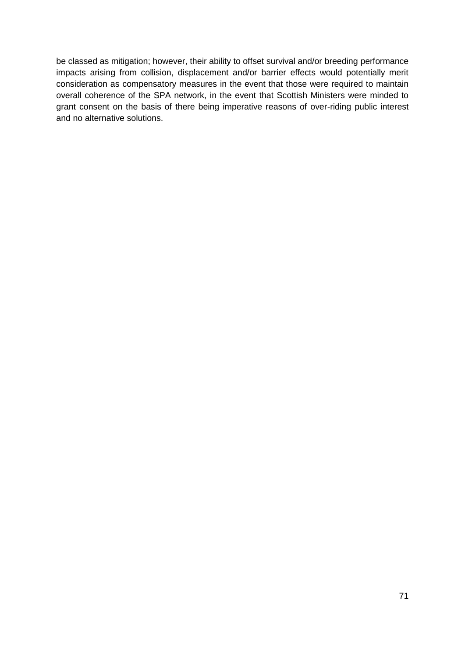be classed as mitigation; however, their ability to offset survival and/or breeding performance impacts arising from collision, displacement and/or barrier effects would potentially merit consideration as compensatory measures in the event that those were required to maintain overall coherence of the SPA network, in the event that Scottish Ministers were minded to grant consent on the basis of there being imperative reasons of over-riding public interest and no alternative solutions.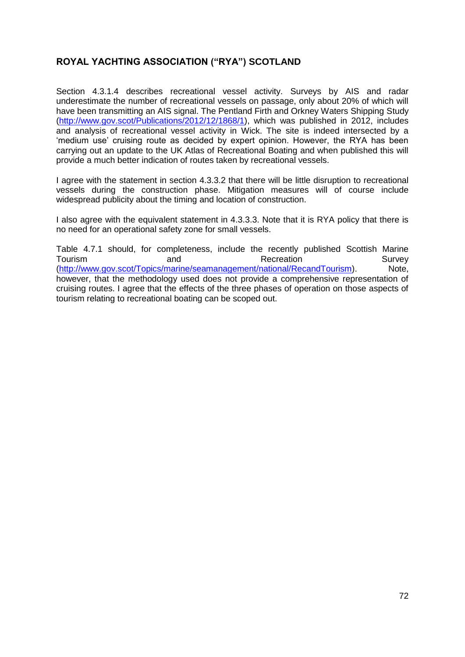## **ROYAL YACHTING ASSOCIATION ("RYA") SCOTLAND**

Section 4.3.1.4 describes recreational vessel activity. Surveys by AIS and radar underestimate the number of recreational vessels on passage, only about 20% of which will have been transmitting an AIS signal. The Pentland Firth and Orkney Waters Shipping Study [\(http://www.gov.scot/Publications/2012/12/1868/1\)](http://www.gov.scot/Publications/2012/12/1868/1), which was published in 2012, includes and analysis of recreational vessel activity in Wick. The site is indeed intersected by a 'medium use' cruising route as decided by expert opinion. However, the RYA has been carrying out an update to the UK Atlas of Recreational Boating and when published this will provide a much better indication of routes taken by recreational vessels.

I agree with the statement in section 4.3.3.2 that there will be little disruption to recreational vessels during the construction phase. Mitigation measures will of course include widespread publicity about the timing and location of construction.

I also agree with the equivalent statement in 4.3.3.3. Note that it is RYA policy that there is no need for an operational safety zone for small vessels.

Table 4.7.1 should, for completeness, include the recently published Scottish Marine Tourism and and Recreation Survey [\(http://www.gov.scot/Topics/marine/seamanagement/national/RecandTourism\)](http://www.gov.scot/Topics/marine/seamanagement/national/RecandTourism). Note, however, that the methodology used does not provide a comprehensive representation of cruising routes. I agree that the effects of the three phases of operation on those aspects of tourism relating to recreational boating can be scoped out.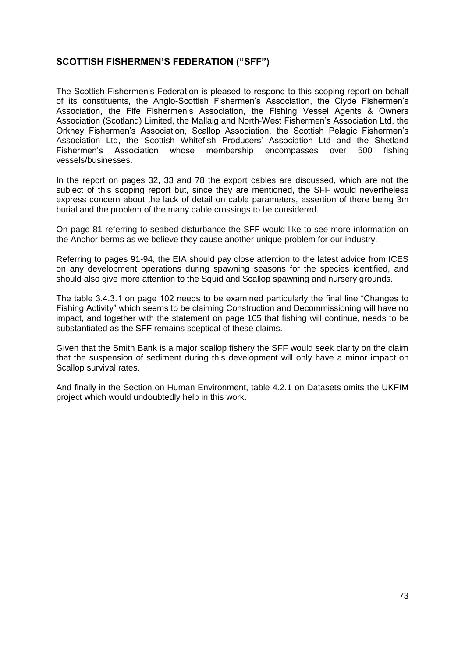## **SCOTTISH FISHERMEN'S FEDERATION ("SFF")**

The Scottish Fishermen's Federation is pleased to respond to this scoping report on behalf of its constituents, the Anglo-Scottish Fishermen's Association, the Clyde Fishermen's Association, the Fife Fishermen's Association, the Fishing Vessel Agents & Owners Association (Scotland) Limited, the Mallaig and North-West Fishermen's Association Ltd, the Orkney Fishermen's Association, Scallop Association, the Scottish Pelagic Fishermen's Association Ltd, the Scottish Whitefish Producers' Association Ltd and the Shetland Fishermen's Association whose membership encompasses over 500 fishing vessels/businesses.

In the report on pages 32, 33 and 78 the export cables are discussed, which are not the subject of this scoping report but, since they are mentioned, the SFF would nevertheless express concern about the lack of detail on cable parameters, assertion of there being 3m burial and the problem of the many cable crossings to be considered.

On page 81 referring to seabed disturbance the SFF would like to see more information on the Anchor berms as we believe they cause another unique problem for our industry.

Referring to pages 91-94, the EIA should pay close attention to the latest advice from ICES on any development operations during spawning seasons for the species identified, and should also give more attention to the Squid and Scallop spawning and nursery grounds.

The table 3.4.3.1 on page 102 needs to be examined particularly the final line "Changes to Fishing Activity" which seems to be claiming Construction and Decommissioning will have no impact, and together with the statement on page 105 that fishing will continue, needs to be substantiated as the SFF remains sceptical of these claims.

Given that the Smith Bank is a major scallop fishery the SFF would seek clarity on the claim that the suspension of sediment during this development will only have a minor impact on Scallop survival rates.

And finally in the Section on Human Environment, table 4.2.1 on Datasets omits the UKFIM project which would undoubtedly help in this work.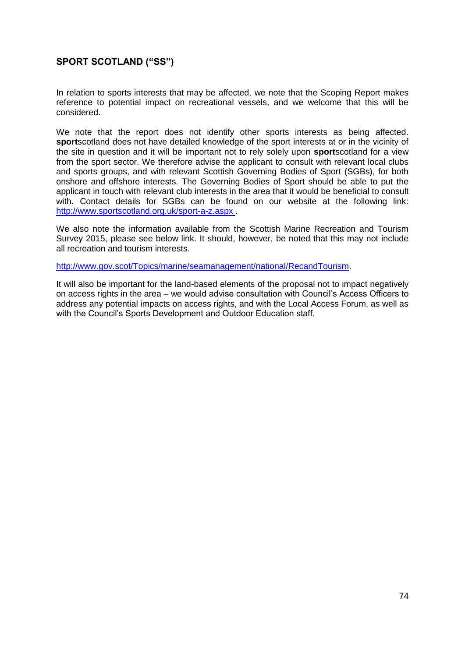## **SPORT SCOTLAND ("SS")**

In relation to sports interests that may be affected, we note that the Scoping Report makes reference to potential impact on recreational vessels, and we welcome that this will be considered.

We note that the report does not identify other sports interests as being affected. **sport**scotland does not have detailed knowledge of the sport interests at or in the vicinity of the site in question and it will be important not to rely solely upon **sport**scotland for a view from the sport sector. We therefore advise the applicant to consult with relevant local clubs and sports groups, and with relevant Scottish Governing Bodies of Sport (SGBs), for both onshore and offshore interests. The Governing Bodies of Sport should be able to put the applicant in touch with relevant club interests in the area that it would be beneficial to consult with. Contact details for SGBs can be found on our website at the following link: <http://www.sportscotland.org.uk/sport-a-z.aspx> .

We also note the information available from the Scottish Marine Recreation and Tourism Survey 2015, please see below link. It should, however, be noted that this may not include all recreation and tourism interests.

[http://www.gov.scot/Topics/marine/seamanagement/national/RecandTourism.](http://www.gov.scot/Topics/marine/seamanagement/national/RecandTourism)

It will also be important for the land-based elements of the proposal not to impact negatively on access rights in the area – we would advise consultation with Council's Access Officers to address any potential impacts on access rights, and with the Local Access Forum, as well as with the Council's Sports Development and Outdoor Education staff.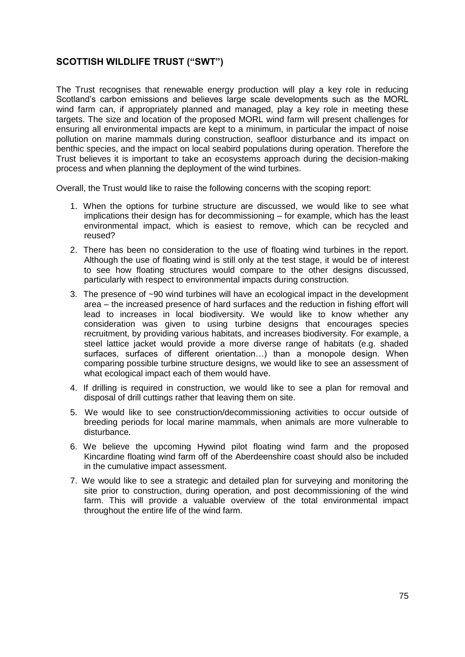# **SCOTTISH WILDLIFE TRUST ("SWT")**

The Trust recognises that renewable energy production will play a key role in reducing Scotland's carbon emissions and believes large scale developments such as the MORL wind farm can, if appropriately planned and managed, play a key role in meeting these targets. The size and location of the proposed MORL wind farm will present challenges for ensuring all environmental impacts are kept to a minimum, in particular the impact of noise pollution on marine mammals during construction, seafloor disturbance and its impact on benthic species, and the impact on local seabird populations during operation. Therefore the Trust believes it is important to take an ecosystems approach during the decision-making process and when planning the deployment of the wind turbines.

Overall, the Trust would like to raise the following concerns with the scoping report:

- 1. When the options for turbine structure are discussed, we would like to see what implications their design has for decommissioning – for example, which has the least environmental impact, which is easiest to remove, which can be recycled and reused?
- 2. There has been no consideration to the use of floating wind turbines in the report. Although the use of floating wind is still only at the test stage, it would be of interest to see how floating structures would compare to the other designs discussed, particularly with respect to environmental impacts during construction.
- 3. The presence of ~90 wind turbines will have an ecological impact in the development area – the increased presence of hard surfaces and the reduction in fishing effort will lead to increases in local biodiversity. We would like to know whether any consideration was given to using turbine designs that encourages species recruitment, by providing various habitats, and increases biodiversity. For example, a steel lattice jacket would provide a more diverse range of habitats (e.g. shaded surfaces, surfaces of different orientation…) than a monopole design. When comparing possible turbine structure designs, we would like to see an assessment of what ecological impact each of them would have.
- 4. If drilling is required in construction, we would like to see a plan for removal and disposal of drill cuttings rather that leaving them on site.
- 5. We would like to see construction/decommissioning activities to occur outside of breeding periods for local marine mammals, when animals are more vulnerable to disturbance.
- 6. We believe the upcoming Hywind pilot floating wind farm and the proposed Kincardine floating wind farm off of the Aberdeenshire coast should also be included in the cumulative impact assessment.
- 7. We would like to see a strategic and detailed plan for surveying and monitoring the site prior to construction, during operation, and post decommissioning of the wind farm. This will provide a valuable overview of the total environmental impact throughout the entire life of the wind farm.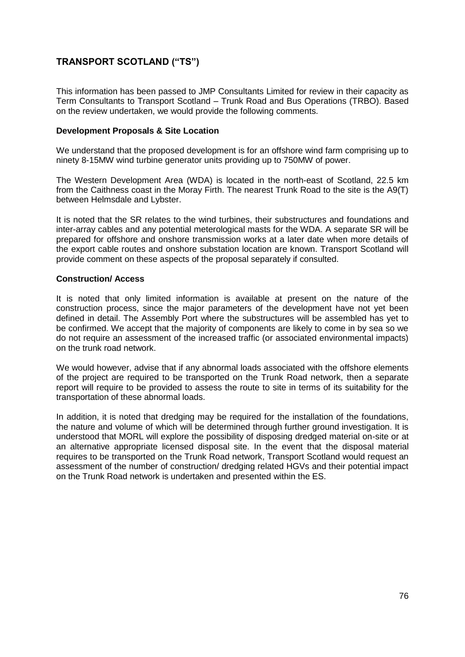# **TRANSPORT SCOTLAND ("TS")**

This information has been passed to JMP Consultants Limited for review in their capacity as Term Consultants to Transport Scotland – Trunk Road and Bus Operations (TRBO). Based on the review undertaken, we would provide the following comments.

### **Development Proposals & Site Location**

We understand that the proposed development is for an offshore wind farm comprising up to ninety 8-15MW wind turbine generator units providing up to 750MW of power.

The Western Development Area (WDA) is located in the north-east of Scotland, 22.5 km from the Caithness coast in the Moray Firth. The nearest Trunk Road to the site is the A9(T) between Helmsdale and Lybster.

It is noted that the SR relates to the wind turbines, their substructures and foundations and inter-array cables and any potential meterological masts for the WDA. A separate SR will be prepared for offshore and onshore transmission works at a later date when more details of the export cable routes and onshore substation location are known. Transport Scotland will provide comment on these aspects of the proposal separately if consulted.

#### **Construction/ Access**

It is noted that only limited information is available at present on the nature of the construction process, since the major parameters of the development have not yet been defined in detail. The Assembly Port where the substructures will be assembled has yet to be confirmed. We accept that the majority of components are likely to come in by sea so we do not require an assessment of the increased traffic (or associated environmental impacts) on the trunk road network.

We would however, advise that if any abnormal loads associated with the offshore elements of the project are required to be transported on the Trunk Road network, then a separate report will require to be provided to assess the route to site in terms of its suitability for the transportation of these abnormal loads.

In addition, it is noted that dredging may be required for the installation of the foundations, the nature and volume of which will be determined through further ground investigation. It is understood that MORL will explore the possibility of disposing dredged material on-site or at an alternative appropriate licensed disposal site. In the event that the disposal material requires to be transported on the Trunk Road network, Transport Scotland would request an assessment of the number of construction/ dredging related HGVs and their potential impact on the Trunk Road network is undertaken and presented within the ES.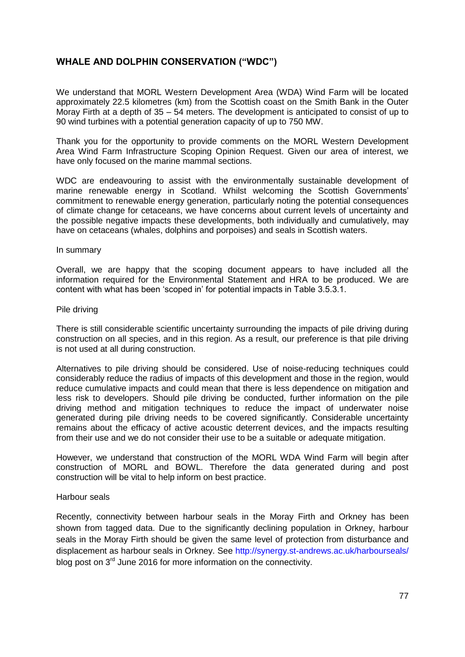## **WHALE AND DOLPHIN CONSERVATION ("WDC")**

We understand that MORL Western Development Area (WDA) Wind Farm will be located approximately 22.5 kilometres (km) from the Scottish coast on the Smith Bank in the Outer Moray Firth at a depth of 35 – 54 meters. The development is anticipated to consist of up to 90 wind turbines with a potential generation capacity of up to 750 MW.

Thank you for the opportunity to provide comments on the MORL Western Development Area Wind Farm Infrastructure Scoping Opinion Request. Given our area of interest, we have only focused on the marine mammal sections.

WDC are endeavouring to assist with the environmentally sustainable development of marine renewable energy in Scotland. Whilst welcoming the Scottish Governments' commitment to renewable energy generation, particularly noting the potential consequences of climate change for cetaceans, we have concerns about current levels of uncertainty and the possible negative impacts these developments, both individually and cumulatively, may have on cetaceans (whales, dolphins and porpoises) and seals in Scottish waters.

#### In summary

Overall, we are happy that the scoping document appears to have included all the information required for the Environmental Statement and HRA to be produced. We are content with what has been 'scoped in' for potential impacts in Table 3.5.3.1.

#### Pile driving

There is still considerable scientific uncertainty surrounding the impacts of pile driving during construction on all species, and in this region. As a result, our preference is that pile driving is not used at all during construction.

Alternatives to pile driving should be considered. Use of noise-reducing techniques could considerably reduce the radius of impacts of this development and those in the region, would reduce cumulative impacts and could mean that there is less dependence on mitigation and less risk to developers. Should pile driving be conducted, further information on the pile driving method and mitigation techniques to reduce the impact of underwater noise generated during pile driving needs to be covered significantly. Considerable uncertainty remains about the efficacy of active acoustic deterrent devices, and the impacts resulting from their use and we do not consider their use to be a suitable or adequate mitigation.

However, we understand that construction of the MORL WDA Wind Farm will begin after construction of MORL and BOWL. Therefore the data generated during and post construction will be vital to help inform on best practice.

#### Harbour seals

Recently, connectivity between harbour seals in the Moray Firth and Orkney has been shown from tagged data. Due to the significantly declining population in Orkney, harbour seals in the Moray Firth should be given the same level of protection from disturbance and displacement as harbour seals in Orkney. See http://synergy.st-andrews.ac.uk/harbourseals/ blog post on 3<sup>rd</sup> June 2016 for more information on the connectivity.